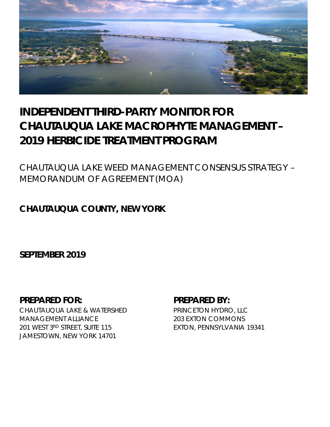

# **INDEPENDENT THIRD-PARTY MONITOR FOR CHAUTAUQUA LAKE MACROPHYTE MANAGEMENT – 2019 HERBICIDE TREATMENT PROGRAM**

*CHAUTAUQUA LAKE WEED MANAGEMENT CONSENSUS STRATEGY – MEMORANDUM OF AGREEMENT (MOA)*

# **CHAUTAUQUA COUNTY, NEW YORK**

**SEPTEMBER 2019**

# **PREPARED FOR: PREPARED BY:**

CHAUTAUQUA LAKE & WATERSHED MANAGEMENT ALLIANCE 201 WEST 3RD STREET, SUITE 115 JAMESTOWN, NEW YORK 14701

PRINCETON HYDRO, LLC 203 EXTON COMMONS EXTON, PENNSYLVANIA 19341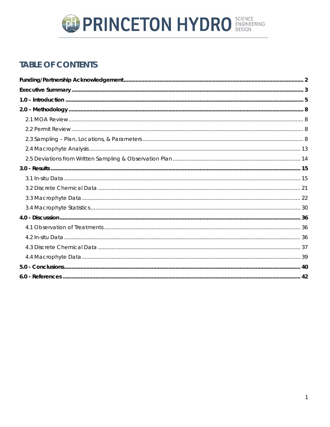

# **TABLE OF CONTENTS**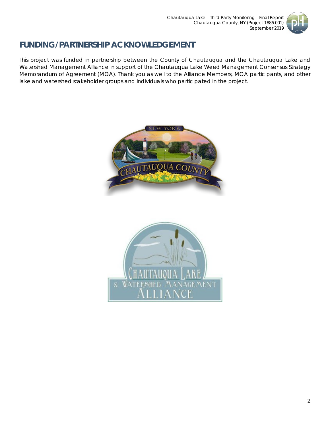

# <span id="page-2-0"></span>**FUNDING/PARTNERSHIP ACKNOWLEDGEMENT**

This project was funded in partnership between the County of Chautauqua and the Chautauqua Lake and Watershed Management Alliance in support of the Chautauqua Lake Weed Management Consensus Strategy Memorandum of Agreement (MOA). Thank you as well to the Alliance Members, MOA participants, and other lake and watershed stakeholder groups and individuals who participated in the project.



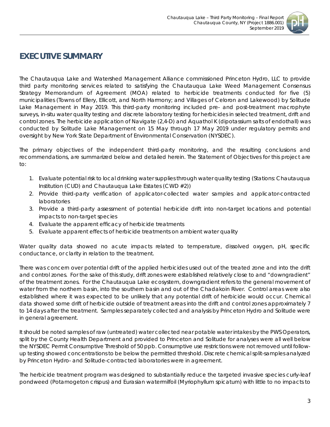

# <span id="page-3-0"></span>**EXECUTIVE SUMMARY**

The Chautauqua Lake and Watershed Management Alliance commissioned Princeton Hydro, LLC to provide third party monitoring services related to satisfying the Chautauqua Lake Weed Management Consensus Strategy Memorandum of Agreement (MOA) related to herbicide treatments conducted for five (5) municipalities (Towns of Ellery, Ellicott, and North Harmony; and Villages of Celoron and Lakewood) by Solitude Lake Management in May 2019. This third-party monitoring included pre- and post-treatment macrophyte surveys, *in-situ* water quality testing and discrete laboratory testing for herbicides in selected treatment, drift and control zones. The herbicide application of Navigate (2,4-D) and Aquathol K (dipotassium salts of endothall) was conducted by Solitude Lake Management on 15 May through 17 May 2019 under regulatory permits and oversight by New York State Department of Environmental Conservation (NYSDEC).

The primary objectives of the independent third-party monitoring, and the resulting conclusions and recommendations, are summarized below and detailed herein. The Statement of Objectives for this project are to:

- 1. Evaluate potential risk to local drinking water supplies through water quality testing (Stations: Chautauqua Institution (CUD) and Chautauqua Lake Estates (CWD #2))
- 2. Provide third-party verification of applicator-collected water samples and applicator-contracted laboratories
- 3. Provide a third-party assessment of potential herbicide drift into non-target locations and potential impacts to non-target species
- 4. Evaluate the apparent efficacy of herbicide treatments
- 5. Evaluate apparent effects of herbicide treatments on ambient water quality

Water quality data showed no acute impacts related to temperature, dissolved oxygen, pH, specific conductance, or clarity in relation to the treatment.

There was concern over potential drift of the applied herbicides used out of the treated zone and into the drift and control zones. For the sake of this study, drift zones were established relatively close to and "downgradient" of the treatment zones. For the Chautauqua Lake ecosystem, downgradient refers to the general movement of water from the northern basin, into the southern basin and out of the Chadakoin River. Control areas were also established where it was expected to be unlikely that any potential drift of herbicide would occur. Chemical data showed some drift of herbicide outside of treatment areas into the drift and control zones approximately 7 to 14 days after the treatment. Samples separately collected and analysis by Princeton Hydro and Solitude were in general agreement.

It should be noted samples of raw (untreated) water collected near potable water intakes by the PWS Operators, split by the County Health Department and provided to Princeton and Solitude for analyses were all well below the NYSDEC Permit Consumptive Threshold of 50 ppb. Consumptive use restrictions were not removed until followup testing showed concentrations to be below the permitted threshold. Discrete chemical split-samples analyzed by Princeton Hydro- and Solitude-contracted laboratories were in agreement.

The herbicide treatment program was designed to substantially reduce the targeted invasive species curly-leaf pondweed (*Potamogeton crispus*) and Eurasian watermilfoil (*Myriophyllum spicatum*) with little to no impacts to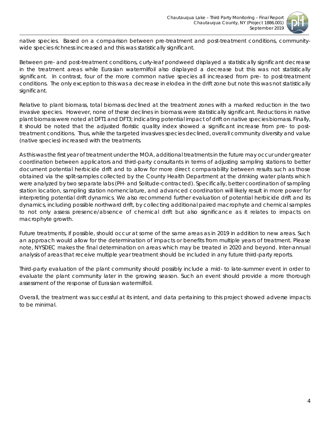

native species. Based on a comparison between pre-treatment and post-treatment conditions, communitywide species richness increased and this was statistically significant.

Between pre- and post-treatment conditions, curly-leaf pondweed displayed a statistically significant decrease in the treatment areas while Eurasian watermilfoil also displayed a decrease but this was not statistically significant. In contrast, four of the more common native species all increased from pre- to post-treatment conditions. The only exception to this was a decrease in elodea in the drift zone but note this was not statistically significant.

Relative to plant biomass, total biomass declined at the treatment zones with a marked reduction in the two invasive species. However, none of these declines in biomass were statistically significant. Reductions in native plant biomass were noted at DFT1 and DFT3; indicating potential impact of drift on native species biomass. Finally, it should be noted that the adjusted floristic quality index showed a significant increase from pre- to posttreatment conditions. Thus, while the targeted invasives species declined, overall community diversity and value (native species) increased with the treatments.

As this was the first year of treatment under the MOA, additional treatments in the future may occur under greater coordination between applicators and third-party consultants in terms of adjusting sampling stations to better document potential herbicide drift and to allow for more direct comparability between results such as those obtained via the split-samples collected by the County Health Department at the drinking water plants which were analyzed by two separate labs (PH- and Solitude-contracted). Specifically, better coordination of sampling station location, sampling station nomenclature, and advanced coordination will likely result in more power for interpreting potential drift dynamics. We also recommend further evaluation of potential herbicide drift and its dynamics, including possible northward drift, by collecting additional paired macrophyte and chemical samples to not only assess presence/absence of chemical drift but also significance as it relates to impacts on macrophyte growth.

Future treatments, if possible, should occur at some of the same areas as in 2019 in addition to new areas. Such an approach would allow for the determination of impacts or benefits from multiple years of treatment. Please note, NYSDEC makes the final determination on areas which may be treated in 2020 and beyond. Inter-annual analysis of areas that receive multiple year treatment should be included in any future third-party reports.

Third-party evaluation of the plant community should possibly include a mid- to late-summer event in order to evaluate the plant community later in the growing season. Such an event should provide a more thorough assessment of the response of Eurasian watermilfoil.

Overall, the treatment was successful at its intent, and data pertaining to this project showed adverse impacts to be minimal.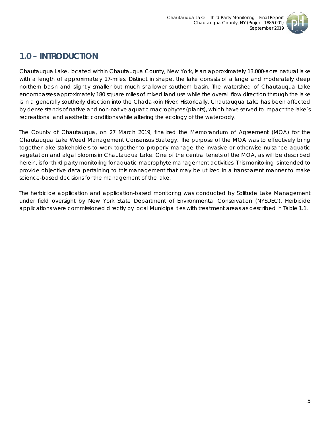

# <span id="page-5-0"></span>**1.0 – INTRODUCTION**

Chautauqua Lake, located within Chautauqua County, New York, is an approximately 13,000-acre natural lake with a length of approximately 17-miles. Distinct in shape, the lake consists of a large and moderately deep northern basin and slightly smaller but much shallower southern basin. The watershed of Chautauqua Lake encompasses approximately 180 square miles of mixed land use while the overall flow direction through the lake is in a generally southerly direction into the Chadakoin River. Historically, Chautauqua Lake has been affected by dense stands of native and non-native aquatic macrophytes (plants), which have served to impact the lake's recreational and aesthetic conditions while altering the ecology of the waterbody.

The County of Chautauqua, on 27 March 2019, finalized the Memorandum of Agreement (MOA) for the Chautauqua Lake Weed Management Consensus Strategy. The purpose of the MOA was to effectively bring together lake stakeholders to work together to properly manage the invasive or otherwise nuisance aquatic vegetation and algal blooms in Chautauqua Lake. One of the central tenets of the MOA, as will be described herein, is for third party monitoring for aquatic macrophyte management activities. This monitoring is intended to provide objective data pertaining to this management that may be utilized in a transparent manner to make science-based decisions for the management of the lake.

The herbicide application and application-based monitoring was conducted by Solitude Lake Management under field oversight by New York State Department of Environmental Conservation (NYSDEC). Herbicide applications were commissioned directly by local Municipalities with treatment areas as described in Table 1.1.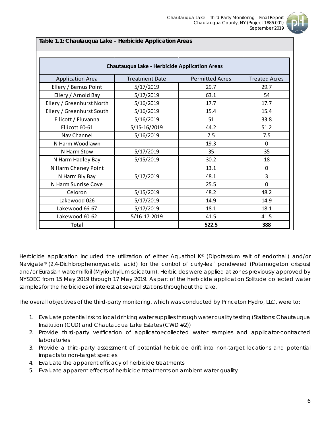

**Table 1.1: Chautauqua Lake – Herbicide Application Areas**

|                           | Chautauqua Lake - Herbicide Application Areas |                        |                      |
|---------------------------|-----------------------------------------------|------------------------|----------------------|
| <b>Application Area</b>   | <b>Treatment Date</b>                         | <b>Permitted Acres</b> | <b>Treated Acres</b> |
| Ellery / Bemus Point      | 5/17/2019                                     | 29.7                   | 29.7                 |
| Ellery / Arnold Bay       | 5/17/2019                                     | 63.1                   | 54                   |
| Ellery / Greenhurst North | 5/16/2019                                     | 17.7                   | 17.7                 |
| Ellery / Greenhurst South | 5/16/2019                                     | 15.4                   | 15.4                 |
| Ellicott / Fluvanna       | 5/16/2019                                     | 51                     | 33.8                 |
| Ellicott 60-61            | 5/15-16/2019                                  | 44.2                   | 51.2                 |
| Nav Channel               | 5/16/2019                                     | 7.5                    | 7.5                  |
| N Harm Woodlawn           |                                               | 19.3                   | $\mathbf 0$          |
| N Harm Stow               | 5/17/2019                                     | 35                     | 35                   |
| N Harm Hadley Bay         | 5/15/2019                                     | 30.2                   | 18                   |
| N Harm Cheney Point       |                                               | 13.1                   | $\mathbf{0}$         |
| N Harm Bly Bay            | 5/17/2019                                     | 48.1                   | 3                    |
| N Harm Sunrise Cove       |                                               | 25.5                   | $\mathbf 0$          |
| Celoron                   | 5/15/2019                                     | 48.2                   | 48.2                 |
| Lakewood 026              | 5/17/2019                                     | 14.9                   | 14.9                 |
| Lakewood 66-67            | 5/17/2019                                     | 18.1                   | 18.1                 |
| Lakewood 60-62            | 5/16-17-2019                                  | 41.5                   | 41.5                 |
| <b>Total</b>              |                                               | 522.5                  | 388                  |

Herbicide application included the utilization of either Aquathol K® (Dipotassium salt of endothall) and/or Navigate® (2,4-Dichlorophenoxyacetic acid) for the control of curly-leaf pondweed (*Potamogeton crispus*) and/or Eurasian watermilfoil (*Myriophyllum spicatum*). Herbicides were applied at zones previously approved by NYSDEC from 15 May 2019 through 17 May 2019. As part of the herbicide application Solitude collected water samples for the herbicides of interest at several stations throughout the lake.

The overall objectives of the third-party monitoring, which was conducted by Princeton Hydro, LLC, were to:

- 1. Evaluate potential risk to local drinking water supplies through water quality testing (Stations: Chautauqua Institution (CUD) and Chautauqua Lake Estates (CWD #2))
- 2. Provide third-party verification of applicator-collected water samples and applicator-contracted laboratories
- 3. Provide a third-party assessment of potential herbicide drift into non-target locations and potential impacts to non-target species
- 4. Evaluate the apparent efficacy of herbicide treatments
- 5. Evaluate apparent effects of herbicide treatments on ambient water quality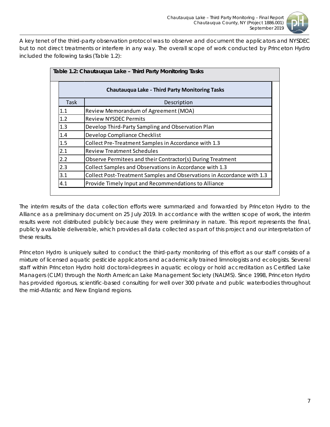

A key tenet of the third-party observation protocol was to observe and document the applicators and NYSDEC but to not direct treatments or interfere in any way. The overall scope of work conducted by Princeton Hydro included the following tasks (Table 1.2):

|             | Table 1.2: Chautauqua Lake – Third Party Monitoring Tasks              |  |  |  |  |  |  |  |  |
|-------------|------------------------------------------------------------------------|--|--|--|--|--|--|--|--|
|             | <b>Chautauqua Lake - Third Party Monitoring Tasks</b>                  |  |  |  |  |  |  |  |  |
| <b>Task</b> | Description                                                            |  |  |  |  |  |  |  |  |
| 1.1         | Review Memorandum of Agreement (MOA)                                   |  |  |  |  |  |  |  |  |
| 1.2         | <b>Review NYSDEC Permits</b>                                           |  |  |  |  |  |  |  |  |
| 1.3         | Develop Third-Party Sampling and Observation Plan                      |  |  |  |  |  |  |  |  |
| 1.4         | Develop Compliance Checklist                                           |  |  |  |  |  |  |  |  |
| 1.5         | Collect Pre-Treatment Samples in Accordance with 1.3                   |  |  |  |  |  |  |  |  |
| 2.1         | <b>Review Treatment Schedules</b>                                      |  |  |  |  |  |  |  |  |
| 2.2         | Observe Permitees and their Contractor(s) During Treatment             |  |  |  |  |  |  |  |  |
| 2.3         | Collect Samples and Observations in Accordance with 1.3                |  |  |  |  |  |  |  |  |
| 3.1         | Collect Post-Treatment Samples and Observations in Accordance with 1.3 |  |  |  |  |  |  |  |  |
| 4.1         | Provide Timely Input and Recommendations to Alliance                   |  |  |  |  |  |  |  |  |

The interim results of the data collection efforts were summarized and forwarded by Princeton Hydro to the Alliance as a preliminary document on 25 July 2019. In accordance with the written scope of work, the interim results were not distributed publicly because they were preliminary in nature. This report represents the final, publicly available deliverable, which provides all data collected as part of this project and our interpretation of these results.

Princeton Hydro is uniquely suited to conduct the third-party monitoring of this effort as our staff consists of a mixture of licensed aquatic pesticide applicators and academically trained limnologists and ecologists. Several staff within Princeton Hydro hold doctoral-degrees in aquatic ecology or hold accreditation as Certified Lake Managers (CLM) through the North American Lake Management Society (NALMS). Since 1998, Princeton Hydro has provided rigorous, scientific-based consulting for well over 300 private and public waterbodies throughout the mid-Atlantic and New England regions.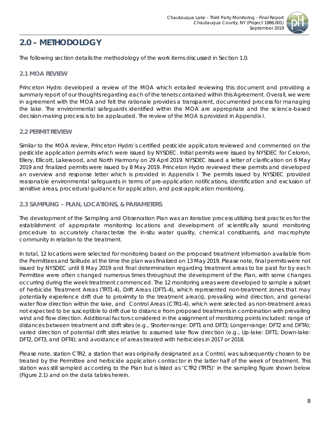

# <span id="page-8-0"></span>**2.0 – METHODOLOGY**

The following section details the methodology of the work items discussed in Section 1.0.

### <span id="page-8-1"></span>*2.1 MOA REVIEW*

Princeton Hydro developed a review of the MOA which entailed reviewing this document and providing a summary report of our thoughts regarding each of the tenets contained within this Agreement. Overall, we were in agreement with the MOA and felt the rationale provides a transparent, documented process for managing the lake. The environmental safeguards identified within the MOA are appropriate and the science-based decision-making process is to be applauded. The review of the MOA is provided in Appendix I.

# <span id="page-8-2"></span>*2.2 PERMIT REVIEW*

Similar to the MOA review, Princeton Hydro's certified pesticide applicators reviewed and commented on the pesticide application permits which were issued by NYSDEC. Initial permits were issued by NYSDEC for Celoron, Ellery, Ellicott, Lakewood, and North Harmony on 29 April 2019. NYSDEC issued a letter of clarification on 6 May 2019 and finalized permits were issued by 8 May 2019. Princeton Hydro reviewed these permits and developed an overview and response letter which is provided in Appendix I. The permits issued by NYSDEC provided reasonable environmental safeguards in terms of pre-application notifications, identification and exclusion of sensitive areas, procedural guidance for application, and post-application monitoring.

# <span id="page-8-3"></span>*2.3 SAMPLING – PLAN, LOCATIONS, & PARAMETERS*

The development of the Sampling and Observation Plan was an iterative process utilizing best practices for the establishment of appropriate monitoring locations and development of scientifically sound monitoring procedure to accurately characterize the *in-situ* water quality, chemical constituents, and macrophyte community in relation to the treatment.

In total, 12 locations were selected for monitoring based on the proposed treatment information available from the Permittees and Solitude at the time the plan was finalized on 13 May 2019. Please note, final permits were not issued by NYSDEC until 8 May 2019 and final determination regarding treatment areas to be paid for by each Permittee were often changed numerous times throughout the development of the Plan, with some changes occurring during the week treatment commenced. The 12 monitoring areas were developed to sample a subset of herbicide Treatment Areas (TRT1-4), Drift Areas (DFT1-4), which represented non-treatment zones that may potentially experience drift due to proximity to the treatment area(s), prevailing wind direction, and general water flow direction within the lake, and Control Areas (CTR1-4), which were selected as non-treatment areas not expected to be susceptible to drift due to distance from proposed treatments in combination with prevailing wind and flow direction. Additional factors considered in the assignment of monitoring points included: range of distances between treatment and drift sites (e.g., Shorter-range: DFT1 and DFT3; Longer-range: DFT2 and DFT4); varied direction of potential drift sites relative to assumed lake flow direction (e.g., Up-lake: DFT1; Down-lake: DFT2, DFT3, and DFT4); and avoidance of areas treated with herbicides in 2017 or 2018.

Please note, station CTR2, a station that was originally designated as a Control, was subsequently chosen to be treated by the Permittee and herbicide application contractor in the latter half of the week of treatment. This station was still sampled according to the Plan but is listed as 'CTR2 (TRT5)' in the sampling figure shown below (Figure 2.1) and on the data tables herein.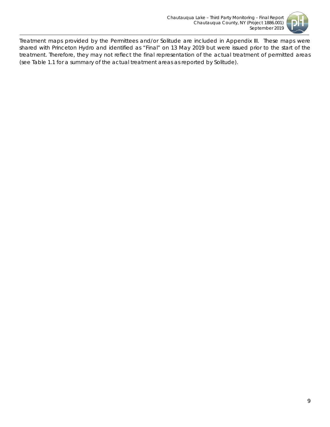

Treatment maps provided by the Permittees and/or Solitude are included in Appendix III. These maps were shared with Princeton Hydro and identified as "Final" on 13 May 2019 but were issued prior to the start of the treatment. Therefore, they may not reflect the final representation of the actual treatment of permitted areas (see Table 1.1 for a summary of the actual treatment areas as reported by Solitude).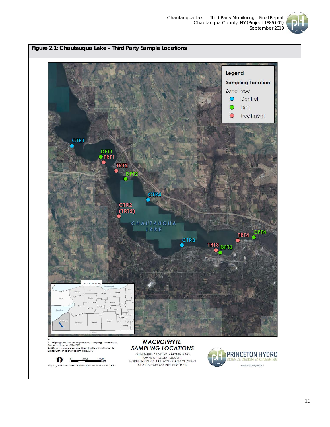

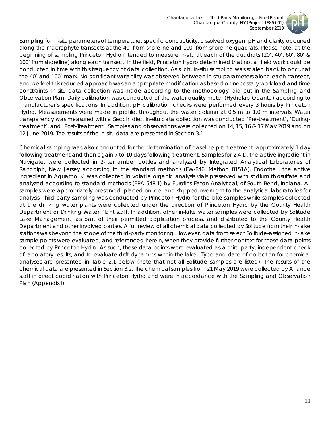

Sampling for *in-situ* parameters of temperature, specific conductivity, dissolved oxygen, pH and clarity occurred along the macrophyte transects at the 40' from shoreline and 100' from shoreline quadrats. Please note, at the beginning of sampling Princeton Hydro intended to measure *in-situ* at each of the quadrats (20', 40', 60', 80' & 100' from shoreline) along each transect. In the field, Princeton Hydro determined that not all field work could be conducted in time with this frequency of data collection. As such, *in-situ* sampling was scaled back to occur at the 40' and 100' mark. No significant variability was observed between *in-situ* parameters along each transect, and we feel this reduced approach was an appropriate modification as based on necessary work load and time constraints. *In-situ* data collection was made according to the methodology laid out in the Sampling and Observation Plan. Daily calibration was conducted of the water quality meter (Hydrolab Quanta) according to manufacturer's specifications. In addition, pH calibration checks were performed every 3 hours by Princeton Hydro. Measurements were made in profile, throughout the water column at 0.5 m to 1.0 m intervals. Water transparency was measured with a Secchi disc. *In-situ* data collection was conducted 'Pre-treatment', 'Duringtreatment', and 'Post-Treatment'. Samples and observations were collected on 14, 15, 16 & 17 May 2019 and on 12 June 2019. The results of the *in-situ* data are presented in Section 3.1.

Chemical sampling was also conducted for the determination of baseline pre-treatment, approximately 1 day following treatment and then again 7 to 10 days following treatment. Samples for 2,4-D, the active ingredient in Navigate, were collected in 2-liter amber bottles and analyzed by Integrated Analytical Laboratories of Randolph, New Jersey according to the standard methods (FW-846, Method 8151A). Endothall, the active ingredient in Aquathol K, was collected in volatile organic analysis vials preserved with sodium thiosulfate and analyzed according to standard methods (EPA 548.1) by Eurofins Eaton Analytical, of South Bend, Indiana. All samples were appropriately preserved, placed on ice, and shipped overnight to the analytical laboratories for analysis. Third-party sampling was conducted by Princeton Hydro for the lake samples while samples collected at the drinking water plants were collected under the direction of Princeton Hydro by the County Health Department or Drinking Water Plant staff. In addition, other in-lake water samples were collected by Solitude Lake Management, as part of their permitted application process, and distributed to the County Health Department and other involved parties. A full review of all chemical data collected by Solitude from their in-lake stations was beyond the scope of the third-party monitoring. However, data from select Solitude-assigned in-lake sample points were evaluated, and referenced herein, when they provide further context for those data points collected by Princeton Hydro. As such, these data points were evaluated as a third-party, independent check of laboratory results, and to evaluate drift dynamics within the lake. Type and date of collection for chemical analyses are presented in Table 2.1 below (note that not all Solitude samples are listed). The results of the chemical data are presented in Section 3.2. The chemical samples from 21 May 2019 were collected by Alliance staff in direct coordination with Princeton Hydro and were in accordance with the Sampling and Observation Plan (Appendix I).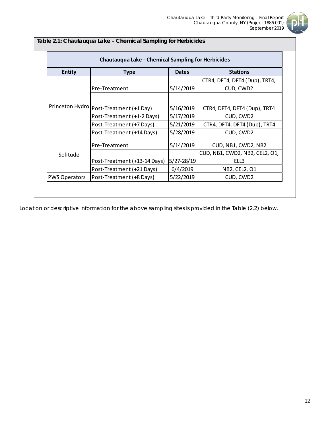

### **Table 2.1: Chautauqua Lake – Chemical Sampling for Herbicides**

| <b>Entity</b>        | <b>Type</b>                  | <b>Dates</b> | <b>Stations</b>                |
|----------------------|------------------------------|--------------|--------------------------------|
|                      |                              |              | CTR4, DFT4, DFT4 (Dup), TRT4,  |
|                      | Pre-Treatment                | 5/14/2019    | CUD, CWD2                      |
| Princeton Hydro      |                              |              |                                |
|                      | Post-Treatment (+1 Day)      | 5/16/2019    | CTR4, DFT4, DFT4 (Dup), TRT4   |
|                      | Post-Treatment (+1-2 Days)   | 5/17/2019    | CUD, CWD2                      |
|                      | Post-Treatment (+7 Days)     | 5/21/2019    | CTR4, DFT4, DFT4 (Dup), TRT4   |
|                      | Post-Treatment (+14 Days)    | 5/28/2019    | CUD, CWD2                      |
|                      | Pre-Treatment                | 5/14/2019    | CUD, NB1, CWD2, NB2            |
| Solitude             |                              |              | CUD, NB1, CWD2, NB2, CEL2, O1, |
|                      | Post-Treatment (+13-14 Days) | 5/27-28/19   | ELL3                           |
|                      | Post-Treatment (+21 Days)    | 6/4/2019     | NB2, CEL2, O1                  |
| <b>PWS Operators</b> | Post-Treatment (+8 Days)     | 5/22/2019    | CUD, CWD2                      |

Location or descriptive information for the above sampling sites is provided in the Table (2.2) below.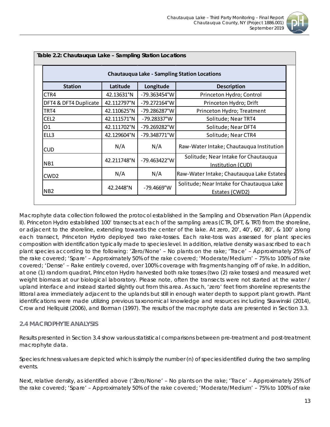

|                       |             |                       | <b>Chautauqua Lake - Sampling Station Locations</b>         |
|-----------------------|-------------|-----------------------|-------------------------------------------------------------|
| <b>Station</b>        | Latitude    | Longitude             | <b>Description</b>                                          |
| CTR4                  | 42.13631°N  | -79.363454°W          | Princeton Hydro; Control                                    |
| DFT4 & DFT4 Duplicate | 42.112797°N | $-79.272164^{\circ}W$ | Princeton Hydro; Drift                                      |
| TRT4                  | 42.110625°N | -79.286287°W          | Princeton Hydro; Treatment                                  |
| CEL <sub>2</sub>      | 42.111571°N | -79.28337°W           | Solitude; Near TRT4                                         |
| 01                    | 42.111702°N | -79.269282°W          | Solitude; Near DFT4                                         |
| ELL3                  | 42.129604°N | -79.348771°W          | Solitude; Near CTR4                                         |
| <b>CUD</b>            | N/A         | N/A                   | Raw-Water Intake; Chautauqua Institution                    |
| NB1                   | 42.211748°N | -79.463422°W          | Solitude; Near Intake for Chautauqua<br>Institution (CUD)   |
| CWD <sub>2</sub>      | N/A         | N/A                   | Raw-Water Intake; Chautauqua Lake Estates                   |
| N <sub>B</sub> 2      | 42.2448°N   | $-79.4669^{\circ}$ W  | Solitude; Near Intake for Chautauqua Lake<br>Estates (CWD2) |

Macrophyte data collection followed the protocol established in the Sampling and Observation Plan (Appendix II). Princeton Hydro established 100' transects at each of the sampling areas (CTR, DFT, & TRT) from the shoreline, or adjacent to the shoreline, extending towards the center of the lake. At zero, 20', 40', 60', 80', & 100' along each transect, Princeton Hydro deployed two rake-tosses. Each rake-toss was assessed for plant species composition with identification typically made to species level. In addition, relative density was ascribed to each plant species according to the following: 'Zero/None' – No plants on the rake; 'Trace' – Approximately 25% of the rake covered; 'Spare' – Approximately 50% of the rake covered; 'Moderate/Medium' – 75% to 100% of rake covered; 'Dense' – Rake entirely covered, over 100% coverage with fragments hanging off of rake. In addition, at one (1) random quadrat, Princeton Hydro harvested both rake tosses (two (2) rake tosses) and measured wet weight biomass at our biological laboratory. Please note, often the transects were not started at the water / upland interface and instead started slightly out from this area. As such, 'zero' feet from shoreline represents the littoral area immediately adjacent to the uplands but still in enough water depth to support plant growth. Plant identifications were made utilizing previous taxonomical knowledge and resources including Skawinski (2014), Crow and Hellquist (2006), and Borman (1997). The results of the macrophyte data are presented in Section 3.3.

### <span id="page-13-0"></span>*2.4 MACROPHYTE ANALYSIS*

Results presented in Section 3.4 show various statistical comparisons between pre-treatment and post-treatment macrophyte data.

Species richness values are depicted which is simply the number (n) of species identified during the two sampling events.

Next, relative density, as identified above ('Zero/None' – No plants on the rake; 'Trace' – Approximately 25% of the rake covered; 'Spare' – Approximately 50% of the rake covered; 'Moderate/Medium' – 75% to 100% of rake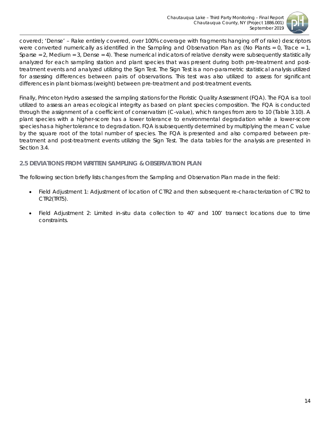

covered; 'Dense' – Rake entirely covered, over 100% coverage with fragments hanging off of rake) descriptors were converted numerically as identified in the Sampling and Observation Plan as: (No Plants = 0, Trace = 1, Sparse = 2, Medium = 3, Dense = 4). These numerical indicators of relative density were subsequently statistically analyzed for each sampling station and plant species that was present during both pre-treatment and posttreatment events and analyzed utilizing the Sign Test. The Sign Test is a non-parametric statistical analysis utilized for assessing differences between pairs of observations. This test was also utilized to assess for significant differences in plant biomass (weight) between pre-treatment and post-treatment events.

Finally, Princeton Hydro assessed the sampling stations for the Floristic Quality Assessment (FQA). The FQA is a tool utilized to assess an areas ecological integrity as based on plant species composition. The FQA is conducted through the assignment of a *coefficient of conservatism* (C-value), which ranges from zero to 10 (Table 3.10). A plant species with a higher-score has a lower tolerance to environmental degradation while a lower-score species has a higher tolerance to degradation. FQA is subsequently determined by multiplying the mean C value by the square root of the total number of species. The FQA is presented and also compared between pretreatment and post-treatment events utilizing the Sign Test. The data tables for the analysis are presented in Section 3.4.

### <span id="page-14-0"></span>*2.5 DEVIATIONS FROM WRITTEN SAMPLING & OBSERVATION PLAN*

The following section briefly lists changes from the Sampling and Observation Plan made in the field:

- Field Adjustment 1: Adjustment of location of CTR2 and then subsequent re-characterization of CTR2 to CTR2(TRT5).
- Field Adjustment 2: Limited *in-situ* data collection to 40' and 100' transect locations due to time constraints.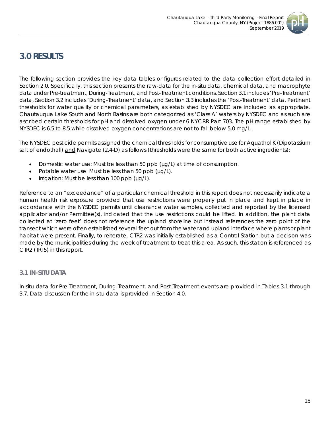

# <span id="page-15-0"></span>**3.0 RESULTS**

The following section provides the key data tables or figures related to the data collection effort detailed in Section 2.0. Specifically, this section presents the raw-data for the *in-situ* data, chemical data, and macrophyte data under Pre-treatment, During-Treatment, and Post-Treatment conditions. Section 3.1 includes 'Pre-Treatment' data, Section 3.2 includes 'During-Treatment' data, and Section 3.3 includes the 'Post-Treatment' data. Pertinent thresholds for water quality or chemical parameters, as established by NYSDEC are included as appropriate. Chautauqua Lake South and North Basins are both categorized as 'Class A' waters by NYSDEC and as such are ascribed certain thresholds for pH and dissolved oxygen under 6 NYCRR Part 703. The pH range established by NYSDEC is 6.5 to 8.5 while dissolved oxygen concentrations are not to fall below 5.0 mg/L.

The NYSDEC pesticide permits assigned the chemical thresholds for consumptive use for Aquathol K (Dipotassium salt of endothall) and Navigate (2,4-D) as follows (thresholds were the same for both active ingredients):

- Domestic water use: Must be less than 50 ppb (µg/L) at time of consumption.
- Potable water use: Must be less than 50 ppb ( $\mu$ g/L).
- Irrigation: Must be less than 100 ppb (µg/L).

Reference to an "exceedance" of a particular chemical threshold in this report does not necessarily indicate a human health risk exposure provided that use restrictions were properly put in place and kept in place in accordance with the NYSDEC permits until clearance water samples, collected and reported by the licensed applicator and/or Permittee(s), indicated that the use restrictions could be lifted. In addition, the plant data collected at 'zero feet' does not reference the upland shoreline but instead references the zero point of the transect which were often established several feet out from the water and upland interface where plants or plant habitat were present. Finally, to reiterate, CTR2 was initially established as a Control Station but a decision was made by the municipalities during the week of treatment to treat this area. As such, this station is referenced as CTR2 (TRT5) in this report.

### <span id="page-15-1"></span>*3.1 IN-SITU DATA*

*In-situ* data for Pre-Treatment, During-Treatment, and Post-Treatment events are provided in Tables 3.1 through 3.7. Data discussion for the *in-situ* data is provided in Section 4.0.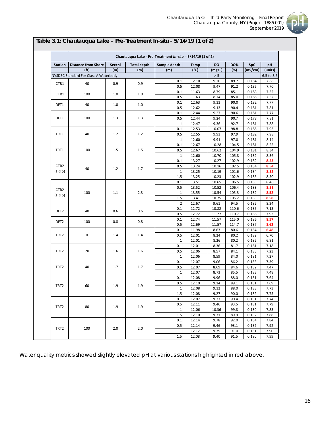

| <b>Station</b>   | <b>Distance from Shore</b>             | Secchi | <b>Total depth</b> | Sample depth    | <b>Temp</b> | DO     | <b>DO%</b> | SpC     | pН         |
|------------------|----------------------------------------|--------|--------------------|-----------------|-------------|--------|------------|---------|------------|
|                  | (f <sup>t</sup> )                      | (m)    | (m)                | (m)             | (°c)        | (mg/L) | (%)        | (mS/cm) | (units)    |
|                  | NYSDEC Standard For Class A Waterbody: |        |                    |                 |             | $> 5$  |            |         | 6.5 to 8.5 |
|                  |                                        |        |                    | 0.1             | 12.10       | 9.20   | 89.7       | 0.184   | 7.68       |
| CTR1             | 40                                     | 0.9    | 0.9                | 0.5             | 12.08       | 9.47   | 91.2       | 0.185   | 7.70       |
|                  |                                        |        |                    | 0.1             | 11.63       | 8.79   | 85.1       | 0.183   | 7.52       |
| CTR1             | 100                                    | 1.0    | 1.0                | 0.5             | 11.63       | 8.74   | 85.0       | 0.185   | 7.52       |
|                  |                                        |        |                    | 0.1             | 12.63       | 9.33   | 90.0       | 0.182   | 7.77       |
| DFT1             | 40                                     | 1.0    | 1.0                | 0.5             | 12.62       | 9.13   | 90.4       | 0.181   | 7.81       |
|                  |                                        |        |                    | 0.1             | 12.44       | 9.27   | 90.6       | 0.181   | 7.77       |
| DFT1             | 100                                    | 1.3    | 1.3                | 0.5             | 12.44       | 9.24   | 90.7       | 0.178   | 7.81       |
|                  |                                        |        |                    | $1\overline{ }$ | 12.47       | 9.36   | 92.7       | 0.181   | 7.88       |
|                  |                                        |        |                    | 0.1             | 12.53       | 10.07  | 98.8       | 0.185   | 7.93       |
| TRT1             | 40                                     | 1.2    | 1.2                | 0.5             | 12.55       | 9.93   | 97.9       | 0.182   | 7.98       |
|                  |                                        |        |                    | $\mathbf 1$     | 12.60       | 9.91   | 97.0       | 0.181   | 8.14       |
|                  |                                        |        |                    | 0.1             | 12.67       | 10.28  | 104.5      | 0.181   | 8.25       |
| TRT1             | 100                                    | 1.5    | 1.5                | 0.5             | 12.67       | 10.62  | 104.9      | 0.181   | 8.34       |
|                  |                                        |        |                    | $\mathbf 1$     | 12.60       | 10.70  | 105.8      | 0.182   | 8.36       |
|                  |                                        |        |                    | 0.1             | 13.27       | 10.27  | 102.9      | 0.182   | 8.53       |
| CTR <sub>2</sub> |                                        |        | 1.7                | 0.5             | 13.24       | 10.16  | 102.5      | 0.184   | 8.54       |
| (TRT5)           | 40                                     | 1.2    |                    | $\mathbf 1$     | 13.25       | 10.19  | 101.6      | 0.184   | 8.52       |
|                  |                                        |        |                    | 1.5             | 13.25       | 10.23  | 102.9      | 0.185   | 8.50       |
|                  |                                        |        |                    | 0.1             | 13.51       | 10.65  | 106.5      | 0.183   | 8.46       |
|                  |                                        |        |                    | 0.5             | 13.52       | 10.52  | 106.4      | 0.183   | 8.51       |
| CTR <sub>2</sub> | 100                                    | 1.1    | 2.3                | $\mathbf 1$     | 13.55       | 10.54  | 105.3      | 0.182   | 8.52       |
| (TRT5)           |                                        |        |                    | 1.5             | 13.41       | 10.75  | 105.2      | 0.183   | 8.58       |
|                  |                                        |        |                    | $\overline{2}$  | 12.67       | 9.61   | 94.5       | 0.182   | 8.34       |
|                  |                                        |        |                    | 0.1             | 12.72       | 10.82  | 110.6      | 0.185   | 7.13       |
| DFT <sub>2</sub> | 40                                     | 0.6    | 0.6                | 0.5             | 12.72       | 11.27  | 110.7      | 0.186   | 7.93       |
|                  |                                        |        |                    | 0.1             | 12.74       | 11.57  | 115.0      | 0.186   | 8.57       |
| DFT <sub>2</sub> | 100                                    | 0.8    | 0.8                | 0.5             | 12.69       | 11.57  | 114.7      | 0.187   | 8.62       |
|                  |                                        |        |                    | 0.1             | 11.98       | 8.63   | 80.6       | 0.184   | 6.48       |
| TRT2             | 0                                      | 1.4    | 1.4                | 0.5             | 12.01       | 8.24   | 80.2       | 0.182   | 6.70       |
|                  |                                        |        |                    | $\mathbf{1}$    | 12.01       | 8.26   | 80.2       | 0.182   | 6.81       |
|                  |                                        |        |                    | 0.1             | 12.01       | 8.36   | 81.7       | 0.181   | 7.18       |
| TRT2             | 20                                     | 1.6    | 1.6                | 0.5             | 12.06       | 8.57   | 84.1       | 0.183   | 7.23       |
|                  |                                        |        |                    | $\mathbf 1$     | 12.06       | 8.59   | 84.0       | 0.181   | 7.27       |
|                  |                                        |        |                    | 0.1             | 12.07       | 9.06   | 86.2       | 0.183   | 7.39       |
| TRT <sub>2</sub> | 40                                     | 1.7    | 1.7                | 0.5             | 12.07       | 8.69   | 84.6       | 0.182   | 7.47       |
|                  |                                        |        |                    | $\mathbf 1$     | 12.07       | 8.73   | 85.5       | 0.183   | 7.48       |
|                  |                                        |        |                    | 0.1             | 12.08       | 9.96   | 88.0       | 0.181   | 7.64       |
|                  |                                        |        |                    | 0.5             | 12.10       | 9.14   | 89.1       | 0.181   | 7.69       |
| TRT <sub>2</sub> | 60                                     | 1.9    | 1.9                | $1\vert$        | 12.08       | 9.12   | 88.0       | 0.183   | 7.73       |
|                  |                                        |        |                    | 1.5             | 12.08       | 9.27   | 90.0       | 0.182   | 7.75       |
|                  |                                        |        |                    | 0.1             | 12.07       | 9.23   | 90.4       | 0.181   | 7.74       |
|                  |                                        |        |                    | 0.5             | 12.11       | 9.46   | 93.5       | 0.181   | 7.79       |
| TRT <sub>2</sub> | 80                                     | 1.9    | 1.9                | $\mathbf 1$     | 12.06       | 10.36  | 99.8       | 0.180   | 7.83       |
|                  |                                        |        |                    | 1.5             | 12.10       | 9.31   | 89.9       | 0.182   | 7.88       |
|                  |                                        |        |                    | 0.1             | 12.14       | 9.78   | 92.0       | 0.184   | 7.84       |
|                  |                                        |        |                    | 0.5             | 12.14       | 9.46   | 93.1       | 0.182   | 7.92       |
| TRT2             | 100                                    | 2.0    | 2.0                | $\mathbf 1$     | 12.12       | 9.39   | 91.0       | 0.181   | 7.90       |
|                  |                                        |        |                    | 1.5             | 12.08       | 9.40   | 91.5       | 0.180   | 7.99       |

# **Table 3.1: Chautauqua Lake – Pre-Treatment** *In-situ -* **5/14/19 (1 of 2)**

Water quality metrics showed slightly elevated pH at various stations highlighted in red above.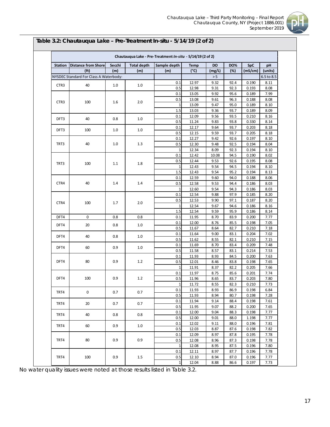

| <b>Station</b>   | <b>Distance from Shore</b>             | Secchi | <b>Total depth</b> | Sample depth   | <b>Temp</b>   | <b>DO</b> | <b>DO%</b> | <b>SpC</b> | pH         |
|------------------|----------------------------------------|--------|--------------------|----------------|---------------|-----------|------------|------------|------------|
|                  | (f <sub>t</sub> )                      | (m)    | (m)                | (m)            | $(^{\circ}C)$ | (mg/L)    | (%)        | (mS/cm)    | (units)    |
|                  | NYSDEC Standard For Class A Waterbody: |        |                    |                |               | > 5       |            |            | 6.5 to 8.5 |
|                  |                                        |        |                    | 0.1            | 12.97         | 9.32      | 92.4       | 0.190      | 8.11       |
| CTR3             | 40                                     | 1.0    | 1.0                | 0.5            | 12.98         | 9.31      | 92.3       | 0.193      | 8.08       |
|                  |                                        |        |                    | 0.1            | 13.05         | 9.92      | 95.6       | 0.189      | 7.99       |
|                  |                                        |        |                    | 0.5            | 13.08         | 9.61      | 96.3       | 0.188      | 8.08       |
| CTR <sub>3</sub> | 100                                    | 1.6    | 2.0                | 1              | 13.09         | 9.47      | 95.0       | 0.189      | 8.10       |
|                  |                                        |        |                    | 1.5            | 13.03         | 9.36      | 93.7       | 0.189      | 8.09       |
|                  |                                        |        |                    | 0.1            | 12.09         | 9.56      | 93.5       | 0.210      | 8.16       |
| DFT3             | 40                                     | 0.8    | 1.0                | 0.5            | 11.24         | 9.83      | 93.8       | 0.330      | 8.14       |
|                  |                                        |        |                    | 0.1            | 12.17         | 9.64      | 93.7       | 0.203      | 8.18       |
| DFT3             | 100                                    | 1.0    | 1.0                | 0.5            | 12.15         | 9.59      | 93.7       | 0.205      | 8.18       |
|                  |                                        |        |                    | 0.1            | 12.27         | 9.42      | 92.6       | 0.197      | 8.10       |
| TRT3             | 40                                     | 1.0    | 1.3                | 0.5            | 12.30         | 9.48      | 92.5       | 0.194      | 8.04       |
|                  |                                        |        |                    | $\mathbf{1}$   | 12.34         | 8.09      | 92.3       | 0.194      | 8.10       |
|                  |                                        |        |                    | 0.1            | 12.42         | 10.08     | 94.5       | 0.190      | 8.02       |
|                  | 100                                    |        |                    | 0.5            | 12.44         | 9.53      | 92.6       | 0.195      | 8.08       |
| TRT3             |                                        | 1.1    | 1.8                | 1              | 12.43         | 9.54      | 94.5       | 0.194      | 8.10       |
|                  |                                        |        |                    | 1.5            | 12.43         | 9.54      | 95.2       | 0.194      | 8.13       |
|                  |                                        |        |                    | 0.1            | 12.59         | 9.60      | 94.0       | 0.188      | 8.06       |
| CTR4             | 40                                     | 1.4    | 1.4                | 0.5            | 12.58         | 9.53      | 94.4       | 0.186      | 8.03       |
|                  |                                        |        |                    | 1              | 12.60         | 9.54      | 94.3       | 0.186      | 8.03       |
|                  |                                        |        |                    | 0.1            | 12.54         | 9.88      | 97.9       | 0.185      | 8.20       |
| CTR4             |                                        | 1.7    | 2.0                | 0.5            | 12.53         | 9.90      | 97.1       | 0.187      | 8.20       |
|                  | 100                                    |        |                    | $\mathbf{1}$   | 12.54         | 9.67      | 94.6       | 0.186      | 8.16       |
|                  |                                        |        |                    | 1.5            | 12.54         | 9.59      | 95.9       | 0.186      | 8.14       |
| DFT4             | 0                                      | 0.8    | 0.8                | 0.1            | 11.95         | 8.70      | 83.9       | 0.200      | 7.77       |
| DFT4             | 20                                     | 0.8    | 1.0                | 0.1            | 12.00         | 8.76      | 85.5       | 0.198      | 7.05       |
|                  |                                        |        |                    | 0.5            | 11.67         | 8.64      | 82.7       | 0.210      | 7.18       |
| DFT4             | 40                                     | 0.8    | 1.0                | 0.1            | 11.64         | 9.00      | 83.1       | 0.204      | 7.02       |
|                  |                                        |        |                    | 0.5            | 11.62         | 8.55      | 82.1       | 0.210      | 7.15       |
| DFT4             | 60                                     | 0.9    | 1.0                | 0.1            | 11.69         | 8.70      | 83.4       | 0.209      | 7.48       |
|                  |                                        |        |                    | 0.5            | 11.58         | 8.57      | 83.1       | 0.214      | 7.53       |
|                  |                                        |        |                    | 0.1            | 11.93         | 8.93      | 84.5       | 0.200      | 7.63       |
| DFT4             | 80                                     | 0.9    | 1.2                | 0.5            | 12.01         | 8.46      | 83.8       | 0.198      | 7.65       |
|                  |                                        |        |                    | $\overline{1}$ | 11.91         | 8.37      | 82.2       | 0.205      | 7.66       |
|                  |                                        |        |                    | 0.1            | 11.97         | 8.75      | 85.6       | 0.201      | 7.74       |
| DFT4             | 100                                    | 0.9    | 1.2                | 0.5            | 11.96         | 8.65      | 83.7       | 0.203      | 7.80       |
|                  |                                        |        |                    | 1              | 11.72         | 8.55      | 82.3       | 0.210      | 7.73       |
| TRT4             | 0                                      | 0.7    | 0.7                | 0.1            | 11.93         | 8.93      | 86.9       | 0.198      | 6.84       |
|                  |                                        |        |                    | 0.5            | 11.93         | 8.94      | 80.7       | 0.198      | 7.28       |
| TRT4             | 20                                     | 0.7    | 0.7                | 0.1            | 11.94         | 9.14      | 88.4       | 0.198      | 7.61       |
|                  |                                        |        |                    | 0.5            | 11.95         | 9.07      | 88.2       | 0.200      | 7.65       |
| TRT4             | 40                                     | 0.8    | 0.8                | 0.1            | 12.00         | 9.04      | 88.3       | 0.198      | 7.77       |
|                  |                                        |        |                    | 0.5            | 12.00         | 9.01      | 88.0       | 1.198      | 7.77       |
| TRT4             | 60                                     | 0.9    | $1.0\,$            | 0.1            | 12.02         | 9.11      | 88.0       | 0.196      | 7.81       |
|                  |                                        |        |                    | 0.5            | 12.03         | 8.87      | 87.6       | 0.198      | 7.82       |
|                  |                                        |        |                    | 0.1            | 12.09         | 8.97      | 87.8       | 0.195      | 7.78       |
| TRT4             | 80                                     | 0.9    | 0.9                | 0.5            | 12.08         | 8.96      | 87.3       | 0.198      | 7.78       |
|                  |                                        |        |                    | $\mathbf{1}$   | 12.08         | 8.95      | 87.5       | 0.196      | 7.80       |
|                  |                                        |        |                    | 0.1            | 12.11         | 8.97      | 87.7       | 0.196      | 7.78       |
| TRT4             | 100                                    | 0.9    | $1.5\,$            | 0.5            | 12.10         | 8.94      | 87.0       | 0.196      | 7.77       |
|                  |                                        |        |                    | $\mathbf 1$    | 12.04         | 8.88      | 86.6       | 0.197      | 7.73       |

### **Table 3.2: Chautauqua Lake – Pre-Treatment** *In-situ -* **5/14/19 (2 of 2)**

No water quality issues were noted at those results listed in Table 3.2.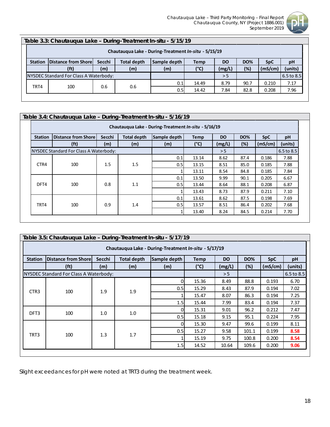

| Table 3.3: Chautauqua Lake - During-Treatment In-situ - 5/15/19 |                                        |        |                    |                  |             |           |            |            |            |  |
|-----------------------------------------------------------------|----------------------------------------|--------|--------------------|------------------|-------------|-----------|------------|------------|------------|--|
| Chautaugua Lake - During-Treatment In-situ - 5/15/19            |                                        |        |                    |                  |             |           |            |            |            |  |
| <b>Station</b>                                                  | Distance from Shorel                   | Secchi | <b>Total depth</b> | Sample depth     | <b>Temp</b> | <b>DO</b> | <b>DO%</b> | <b>SpC</b> | pH         |  |
|                                                                 | (f <sub>t</sub> )                      | (m)    | (m)                | (m)              | (°C)        | (mg/L)    | (%)        | (mS/cm)    | (units)    |  |
|                                                                 | NYSDEC Standard For Class A Waterbody: |        |                    |                  |             | > 5       |            |            | 6.5 to 8.5 |  |
|                                                                 |                                        |        |                    | 0.1              | 14.49       | 8.79      | 90.7       | 0.210      | 7.17       |  |
| TRT4                                                            | 100                                    | 0.6    | 0.6                | 0.5 <sub>l</sub> | 14.42       | 7.84      | 82.8       | 0.208      | 7.96       |  |
|                                                                 |                                        |        |                    |                  |             |           |            |            |            |  |

|                | Table 3.4: Chautauqua Lake - During-Treatment In-situ - 5/16/19<br>Chautauqua Lake - During-Treatment In-situ - 5/16/19 |               |                           |                     |                     |                     |                   |                       |               |      |  |  |  |  |
|----------------|-------------------------------------------------------------------------------------------------------------------------|---------------|---------------------------|---------------------|---------------------|---------------------|-------------------|-----------------------|---------------|------|--|--|--|--|
| <b>Station</b> | Distance from Shore<br>(f <sub>t</sub> )                                                                                | Secchi<br>(m) | <b>Total depth</b><br>(m) | Sample depth<br>(m) | <b>Temp</b><br>(°C) | <b>DO</b><br>(mg/L) | <b>DO%</b><br>(%) | <b>SpC</b><br>(mS/cm) | pH<br>(units) |      |  |  |  |  |
|                | NYSDEC Standard For Class A Waterbody:                                                                                  |               |                           | > 5                 |                     |                     | 6.5 to 8.5        |                       |               |      |  |  |  |  |
|                | 100                                                                                                                     |               |                           |                     | 0.1                 | 13.14               | 8.62              | 87.4                  | 0.186         | 7.88 |  |  |  |  |
| CTR4           |                                                                                                                         | 1.5           | 1.5                       | 0.5                 | 13.15               | 8.51                | 85.0              | 0.185                 | 7.88          |      |  |  |  |  |
|                |                                                                                                                         |               |                           |                     | 13.11               | 8.54                | 84.8              | 0.185                 | 7.84          |      |  |  |  |  |
|                |                                                                                                                         |               |                           | 0.1                 | 13.50               | 9.99                | 90.1              | 0.205                 | 6.67          |      |  |  |  |  |
| DFT4           | 100                                                                                                                     | 0.8           | 1.1                       | 0.5                 | 13.44               | 8.64                | 88.1              | 0.208                 | 6.87          |      |  |  |  |  |
|                |                                                                                                                         |               |                           |                     | 13.43               | 8.73                | 87.9              | 0.211                 | 7.10          |      |  |  |  |  |
|                |                                                                                                                         |               |                           | 0.1                 | 13.61               | 8.62                | 87.5              | 0.198                 | 7.69          |      |  |  |  |  |
| TRT4           | 100                                                                                                                     | 0.9           | 1.4                       | 0.5                 | 13.57               | 8.51                | 86.4              | 0.202                 | 7.68          |      |  |  |  |  |
|                |                                                                                                                         |               |                           |                     | 13.40               | 8.24                | 84.5              | 0.214                 | 7.70          |      |  |  |  |  |

|                  | Table 3.5: Chautauqua Lake - During-Treatment In-situ - 5/17/19 |        |                    |              |               |           |                |            |         |  |  |  |  |
|------------------|-----------------------------------------------------------------|--------|--------------------|--------------|---------------|-----------|----------------|------------|---------|--|--|--|--|
|                  | Chautauqua Lake - During-Treatment In-situ - 5/17/19            |        |                    |              |               |           |                |            |         |  |  |  |  |
| <b>Station</b>   | <b>Distance from Shorel</b>                                     | Secchi | <b>Total depth</b> | Sample depth | <b>Temp</b>   | <b>DO</b> | <b>DO%</b>     | <b>SpC</b> | pH      |  |  |  |  |
|                  | (f <sub>t</sub> )                                               | (m)    | (m)                | (m)          | $(^{\circ}C)$ | (mg/L)    | (%)            | (mS/cm)    | (units) |  |  |  |  |
|                  | NYSDEC Standard For Class A Waterbody:                          |        |                    | > 5          |               |           | $6.5$ to $8.5$ |            |         |  |  |  |  |
|                  | 100                                                             |        |                    | 0            | 15.36         | 8.49      | 88.8           | 0.193      | 6.70    |  |  |  |  |
| CTR <sub>3</sub> |                                                                 | 1.9    | 1.9                | 0.5          | 15.29         | 8.43      | 87.9           | 0.194      | 7.02    |  |  |  |  |
|                  |                                                                 |        |                    |              | 15.47         | 8.07      | 86.3           | 0.194      | 7.25    |  |  |  |  |
|                  |                                                                 |        |                    | 1.5          | 15.44         | 7.99      | 83.4           | 0.194      | 7.37    |  |  |  |  |
| DFT3             | 100                                                             | 1.0    | 1.0                | 0            | 15.31         | 9.01      | 96.2           | 0.212      | 7.47    |  |  |  |  |
|                  |                                                                 |        |                    | 0.5          | 15.18         | 9.15      | 95.1           | 0.224      | 7.95    |  |  |  |  |
|                  |                                                                 |        |                    | 0            | 15.30         | 9.47      | 99.6           | 0.199      | 8.11    |  |  |  |  |
| TRT3             |                                                                 |        |                    | 0.5          | 15.27         | 9.58      | 101.1          | 0.199      | 8.58    |  |  |  |  |
|                  | 100                                                             | 1.3    | 1.7                |              | 15.19         | 9.75      | 100.8          | 0.200      | 8.54    |  |  |  |  |
|                  |                                                                 |        |                    | 1.5          | 14.52         | 10.64     | 109.6          | 0.200      | 9.06    |  |  |  |  |
|                  |                                                                 |        |                    |              |               |           |                |            |         |  |  |  |  |

Slight exceedances for pH were noted at TRT3 during the treatment week.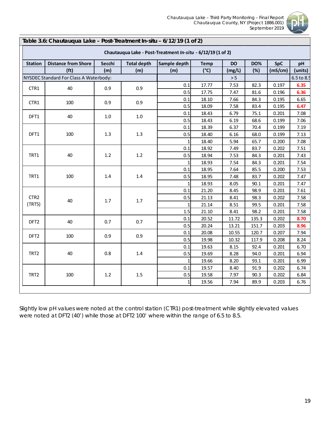

|                  | Table 3.6: Chautauqua Lake - Post-Treatment In-situ - 6/12/19 (1 of 2) |        |                    |                                                             |               |           |            |            |            |
|------------------|------------------------------------------------------------------------|--------|--------------------|-------------------------------------------------------------|---------------|-----------|------------|------------|------------|
|                  |                                                                        |        |                    | Chautauqua Lake - Post-Treatment In-situ - 6/12/19 (1 of 2) |               |           |            |            |            |
| <b>Station</b>   | <b>Distance from Shore</b>                                             | Secchi | <b>Total depth</b> | Sample depth                                                | <b>Temp</b>   | <b>DO</b> | <b>DO%</b> | <b>SpC</b> | pH         |
|                  | (f <sub>t</sub> )                                                      | (m)    | (m)                | (m)                                                         | $(^{\circ}C)$ | (mg/L)    | (%)        | (mS/cm)    | (units)    |
|                  | NYSDEC Standard For Class A Waterbody:                                 |        |                    |                                                             |               | $> 5$     |            |            | 6.5 to 8.5 |
| CTR1             | 40                                                                     | 0.9    | 0.9                | 0.1                                                         | 17.77         | 7.53      | 82.3       | 0.197      | 6.35       |
|                  |                                                                        |        |                    | 0.5                                                         | 17.75         | 7.47      | 81.6       | 0.196      | 6.36       |
| CTR1             | 100                                                                    | 0.9    | 0.9                | 0.1                                                         | 18.10         | 7.66      | 84.3       | 0.195      | 6.65       |
|                  |                                                                        |        |                    | 0.5                                                         | 18.09         | 7.58      | 83.4       | 0.195      | 6.47       |
| DFT1             | 40                                                                     | 1.0    | 1.0                | 0.1                                                         | 18.43         | 6.79      | 75.1       | 0.201      | 7.08       |
|                  |                                                                        |        |                    | 0.5                                                         | 18.43         | 6.19      | 68.6       | 0.199      | 7.06       |
|                  |                                                                        |        |                    | 0.1                                                         | 18.39         | 6.37      | 70.4       | 0.199      | 7.19       |
| DFT1             | 100                                                                    | 1.3    | 1.3                | 0.5                                                         | 18.40         | 6.16      | 68.0       | 0.199      | 7.13       |
|                  |                                                                        |        |                    | $1\vert$                                                    | 18.40         | 5.94      | 65.7       | 0.200      | 7.08       |
|                  |                                                                        |        | $1.2\,$            | 0.1                                                         | 18.92         | 7.49      | 83.7       | 0.202      | 7.51       |
| TRT1             | 40                                                                     | 1.2    |                    | 0.5                                                         | 18.94         | 7.53      | 84.3       | 0.201      | 7.43       |
|                  |                                                                        |        |                    | $\mathbf{1}$                                                | 18.93         | 7.54      | 84.3       | 0.201      | 7.54       |
|                  |                                                                        |        | 1.4                | 0.1                                                         | 18.95         | 7.64      | 85.5       | 0.200      | 7.53       |
| TRT1             | 100                                                                    | 1.4    |                    | 0.5                                                         | 18.95         | 7.48      | 83.7       | 0.202      | 7.47       |
|                  |                                                                        |        |                    | 1                                                           | 18.93         | 8.05      | 90.1       | 0.201      | 7.47       |
|                  |                                                                        |        |                    | 0.1                                                         | 21.20         | 8.45      | 98.9       | 0.201      | 7.61       |
| CTR <sub>2</sub> | 40                                                                     | $1.7$  | $1.7$              | 0.5                                                         | 21.13         | 8.41      | 98.3       | 0.202      | 7.58       |
| (TRT5)           |                                                                        |        |                    | $1\vert$                                                    | 21.14         | 8.51      | 99.5       | 0.201      | 7.58       |
|                  |                                                                        |        |                    | 1.5                                                         | 21.10         | 8.41      | 98.2       | 0.201      | 7.58       |
| DFT <sub>2</sub> | 40                                                                     | 0.7    | 0.7                | 0.1                                                         | 20.52         | 11.72     | 135.3      | 0.202      | 8.70       |
|                  |                                                                        |        |                    | 0.5                                                         | 20.24         | 13.21     | 151.7      | 0.203      | 8.96       |
| DFT <sub>2</sub> | 100                                                                    | 0.9    | 0.9                | 0.1                                                         | 20.08         | 10.55     | 120.7      | 0.207      | 7.94       |
|                  |                                                                        |        |                    | 0.5                                                         | 19.98         | 10.32     | 117.9      | 0.208      | 8.24       |
|                  |                                                                        |        |                    | 0.1                                                         | 19.63         | 8.15      | 92.4       | 0.201      | 6.70       |
| TRT2             | 40                                                                     | 0.8    | $1.4\,$            | 0.5                                                         | 19.69         | 8.28      | 94.0       | 0.201      | 6.94       |
|                  |                                                                        |        |                    | $1\vert$                                                    | 19.66         | 8.20      | 93.1       | 0.201      | 6.99       |
|                  |                                                                        |        |                    | 0.1                                                         | 19.57         | 8.40      | 91.9       | 0.202      | 6.74       |
| TRT2             | 100                                                                    | $1.2$  | $1.5\,$            | 0.5                                                         | 19.58         | 7.97      | 90.3       | 0.202      | 6.84       |
|                  |                                                                        |        |                    | $\mathbf{1}$                                                | 19.56         | 7.94      | 89.9       | 0.203      | 6.76       |

Slightly low pH values were noted at the control station (CTR1) post-treatment while slightly elevated values were noted at DFT2 (40') while those at DFT2 100' where within the range of 6.5 to 8.5.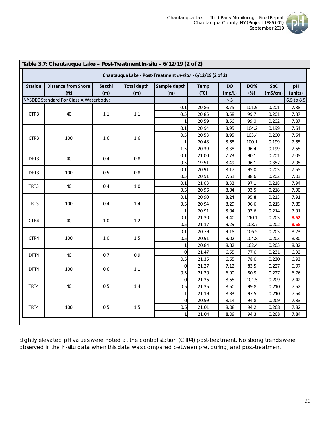

|                | Table 3.7: Chautauqua Lake - Post-Treatment In-situ - 6/12/19 (2 of 2) |         |                    |                                                             |               |           |            |            |            |  |  |  |  |
|----------------|------------------------------------------------------------------------|---------|--------------------|-------------------------------------------------------------|---------------|-----------|------------|------------|------------|--|--|--|--|
|                |                                                                        |         |                    | Chautauqua Lake - Post-Treatment In-situ - 6/12/19 (2 of 2) |               |           |            |            |            |  |  |  |  |
| <b>Station</b> | <b>Distance from Shore</b>                                             | Secchi  | <b>Total depth</b> | Sample depth                                                | <b>Temp</b>   | <b>DO</b> | <b>DO%</b> | <b>SpC</b> | рH         |  |  |  |  |
|                | (f <sub>t</sub> )                                                      | (m)     | (m)                | (m)                                                         | $(^{\circ}C)$ | (mg/L)    | (%)        | (mS/cm)    | (units)    |  |  |  |  |
|                | NYSDEC Standard For Class A Waterbody:                                 |         |                    |                                                             |               | $> 5$     |            |            | 6.5 to 8.5 |  |  |  |  |
|                |                                                                        |         |                    | 0.1                                                         | 20.86         | 8.75      | 101.9      | 0.201      | 7.88       |  |  |  |  |
| CTR3           | 40                                                                     | 1.1     | $1.1\,$            | 0.5                                                         | 20.85         | 8.58      | 99.7       | 0.201      | 7.87       |  |  |  |  |
|                |                                                                        |         |                    | $\mathbf{1}$                                                | 20.59         | 8.56      | 99.0       | 0.202      | 7.87       |  |  |  |  |
|                |                                                                        |         |                    | 0.1                                                         | 20.94         | 8.95      | 104.2      | 0.199      | 7.64       |  |  |  |  |
| CTR3           | 100                                                                    | 1.6     | 1.6                | 0.5                                                         | 20.53         | 8.95      | 103.4      | 0.200      | 7.64       |  |  |  |  |
|                |                                                                        |         |                    | $\mathbf 1$                                                 | 20.48         | 8.68      | 100.1      | 0.199      | 7.65       |  |  |  |  |
|                |                                                                        |         |                    | 1.5                                                         | 20.39         | 8.38      | 96.4       | 0.199      | 7.65       |  |  |  |  |
| DFT3           | 40                                                                     | 0.4     | 0.8                | 0.1                                                         | 21.00         | 7.73      | 90.1       | 0.201      | 7.05       |  |  |  |  |
|                |                                                                        |         |                    | 0.5                                                         | 19.51         | 8.49      | 96.1       | 0.357      | 7.05       |  |  |  |  |
| DFT3           | 100                                                                    | 0.5     | 0.8                | 0.1                                                         | 20.91         | 8.17      | 95.0       | 0.203      | 7.55       |  |  |  |  |
|                |                                                                        |         |                    | 0.5                                                         | 20.91         | 7.61      | 88.6       | 0.202      | 7.03       |  |  |  |  |
| TRT3           | 40                                                                     | 0.4     | $1.0\,$            | 0.1                                                         | 21.03         | 8.32      | 97.1       | 0.218      | 7.94       |  |  |  |  |
|                |                                                                        |         |                    | 0.5                                                         | 20.96         | 8.04      | 93.5       | 0.218      | 7.90       |  |  |  |  |
|                |                                                                        |         | $1.4\,$            | 0.1                                                         | 20.90         | 8.24      | 95.8       | 0.213      | 7.91       |  |  |  |  |
| TRT3           | 100                                                                    | 0.4     |                    | 0.5                                                         | 20.94         | 8.29      | 96.6       | 0.215      | 7.89       |  |  |  |  |
|                |                                                                        |         |                    | $\mathbf{1}$                                                | 20.91         | 8.04      | 93.6       | 0.214      | 7.91       |  |  |  |  |
| CTR4           | 40                                                                     | $1.0\,$ | $1.2$              | 0.1                                                         | 21.30         | 9.40      | 110.1      | 0.203      | 8.62       |  |  |  |  |
|                |                                                                        |         |                    | 0.5                                                         | 21.17         | 9.29      | 108.7      | 0.202      | 8.58       |  |  |  |  |
|                |                                                                        |         |                    | 0.1                                                         | 20.79         | 9.18      | 106.5      | 0.203      | 8.23       |  |  |  |  |
| CTR4           | 100                                                                    | $1.0\,$ | $1.5\,$            | 0.5                                                         | 20.91         | 9.02      | 104.8      | 0.203      | 8.30       |  |  |  |  |
|                |                                                                        |         |                    | $\mathbf{1}$                                                | 20.84         | 8.82      | 102.4      | 0.203      | 8.32       |  |  |  |  |
| DFT4           | 40                                                                     | 0.7     | 0.9                | $\overline{0}$                                              | 21.47         | 6.55      | 77.0       | 0.231      | 6.92       |  |  |  |  |
|                |                                                                        |         |                    | 0.5                                                         | 21.35         | 6.65      | 78.0       | 0.230      | 6.93       |  |  |  |  |
| DFT4           | 100                                                                    | 0.6     | $1.1\,$            | $\overline{0}$                                              | 21.27         | 7.12      | 83.5       | 0.227      | 6.97       |  |  |  |  |
|                |                                                                        |         |                    | 0.5                                                         | 21.30         | 6.90      | 80.9       | 0.227      | 6.76       |  |  |  |  |
|                |                                                                        |         |                    | $\overline{0}$                                              | 21.36         | 8.65      | 101.5      | 0.209      | 7.42       |  |  |  |  |
| TRT4           | 40                                                                     | 0.5     | 1.4                | 0.5                                                         | 21.35         | 8.50      | 99.8       | 0.210      | 7.52       |  |  |  |  |
|                |                                                                        |         |                    | $\mathbf{1}$                                                | 21.19         | 8.33      | 97.5       | 0.210      | 7.54       |  |  |  |  |
|                |                                                                        |         |                    | $\overline{0}$                                              | 20.99         | 8.14      | 94.8       | 0.209      | 7.83       |  |  |  |  |
| TRT4           | 100                                                                    | 0.5     | 1.5                | 0.5                                                         | 21.01         | 8.08      | 94.2       | 0.208      | 7.82       |  |  |  |  |
|                |                                                                        |         |                    | $\mathbf{1}$                                                | 21.04         | 8.09      | 94.3       | 0.208      | 7.84       |  |  |  |  |

Slightly elevated pH values were noted at the control station (CTR4) post-treatment. No strong trends were observed in the *in-situ* data when this data was compared between pre, during, and post-treatment.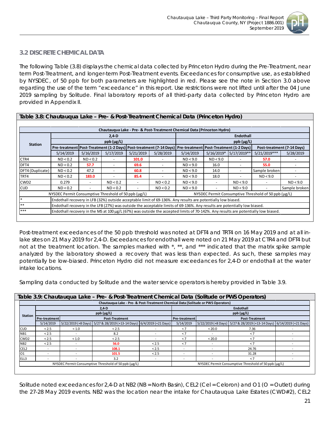

### <span id="page-21-0"></span>*3.2 DISCRETE CHEMICAL DATA*

The following Table (3.8) displays the chemical data collected by Princeton Hydro during the Pre-Treatment, near term Post-Treatment, and longer-term Post-Treatment events. Exceedances for consumptive use, as established by NYSDEC, of 50 ppb for both parameters are highlighted in red. Please see the note in Section 3.0 above regarding the use of the term "exceedance" in this report. Use restrictions were not lifted until after the 04 June 2019 sampling by Solitude. Final laboratory reports of all third-party data collected by Princeton Hydro are provided in Appendix II.

| Table 3.8: Chautauqua Lake - Pre- & Post-Treatment Chemical Data (Princeton Hydro) |                                                      |           |                          |           |           |                                                                                                                           |              |                    |                                                                                                                                    |                            |
|------------------------------------------------------------------------------------|------------------------------------------------------|-----------|--------------------------|-----------|-----------|---------------------------------------------------------------------------------------------------------------------------|--------------|--------------------|------------------------------------------------------------------------------------------------------------------------------------|----------------------------|
|                                                                                    |                                                      |           |                          |           |           |                                                                                                                           |              |                    |                                                                                                                                    |                            |
|                                                                                    |                                                      |           |                          |           |           | Chautauqua Lake - Pre- & Post-Treatment Chemical Data (Princeton Hydro)                                                   |              |                    |                                                                                                                                    |                            |
|                                                                                    |                                                      |           | $2,4$ D                  |           |           |                                                                                                                           |              | <b>Endothall</b>   |                                                                                                                                    |                            |
| <b>Station</b>                                                                     |                                                      |           | $ppb$ ( $\mu$ g/L)       |           |           |                                                                                                                           |              | $ppb$ ( $\mu$ g/L) |                                                                                                                                    |                            |
|                                                                                    |                                                      |           |                          |           |           | Pre-treatment   Post-Treatment (1-2 Days)   Post-treatment (7-14 Days)   Pre-treatment   Post-Treatment (1-2 Days)        |              |                    |                                                                                                                                    | Post-treatment (7-14 Days) |
|                                                                                    | 5/14/2019                                            | 5/16/2019 | 5/17/2019                | 5/21/2019 | 5/28/2019 | 5/14/2019                                                                                                                 | $5/16/2019*$ | 5/17/2019**        | $5/21/2019***$                                                                                                                     | 5/28/2019                  |
| CTR4                                                                               | ND < 0.2                                             | ND < 0.2  | $\overline{\phantom{a}}$ | 101.0     |           | ND < 9.0                                                                                                                  | ND < 9.0     |                    | 57.0                                                                                                                               |                            |
| DFT4                                                                               | ND < 0.2                                             | 57.7      | ۰                        | 69.6      |           | ND < 9.0                                                                                                                  | 16.0         |                    | 55.0                                                                                                                               |                            |
| DFT4 (Duplicate)                                                                   | ND < 0.2                                             | 47.2      | $\overline{\phantom{0}}$ | 60.8      |           | ND < 9.0                                                                                                                  | 14.0         |                    | Sample broken!                                                                                                                     |                            |
| TRT4                                                                               | ND < 0.2                                             | 183.0     |                          | 85.4      |           | ND < 9.0                                                                                                                  | 18.0         |                    | ND < 9.0                                                                                                                           |                            |
| CWD <sub>2</sub>                                                                   | 0.279                                                |           | ND < 0.2                 |           | ND < 0.2  | ND < 9.0                                                                                                                  |              | ND < 9.0           |                                                                                                                                    | ND < 9.0                   |
| <b>CUD</b>                                                                         | ND < 0.2                                             |           | ND < 0.2                 |           | ND < 0.2  | ND < 9.0                                                                                                                  |              | ND < 9.0           |                                                                                                                                    | Sample broken              |
|                                                                                    | NYSDEC Permit Consumptive Threshold of 50 ppb (ug/L) |           |                          |           |           |                                                                                                                           |              |                    | NYSDEC Permit Consumptive Threshold of 50 ppb (µg/L)                                                                               |                            |
|                                                                                    |                                                      |           |                          |           |           | Endothall recovery in LFB (32%) outside acceptable limit of 69-136%. Any results are potentially low biased.              |              |                    |                                                                                                                                    |                            |
| $***$                                                                              |                                                      |           |                          |           |           | Endothall recovery in the LFB (27%) was outside the acceptable limits of 69-136%. Any results are potentially low biased. |              |                    |                                                                                                                                    |                            |
| ***                                                                                |                                                      |           |                          |           |           |                                                                                                                           |              |                    | Endothall recovery in the MS at 100 µg/L (67%) was outside the accepted limits of 70-142%. Any results are potentially low biased. |                            |

Post-treatment exceedances of the 50 ppb threshold was noted at DFT4 and TRT4 on 16 May 2019 and at all inlake sites on 21 May 2019 for 2,4-D. Exceedances for endothall were noted on 21 May 2019 at CTR4 and DFT4 but not at the treatment location. The samples marked with \*, \*\*, and \*\*\* indicated that the matrix spike sample analyzed by the laboratory showed a recovery that was less than expected. As such, these samples may potentially be low-biased. Princeton Hydro did not measure exceedances for 2,4-D or endothall at the water intake locations.

Sampling data conducted by Solitude and the water service operators is hereby provided in Table 3.9.

|                  |               |       | Chautauqua Lake - Pre- & Post-Treatment Chemical Data (Solitude or PWS Operators) |       |               |        |                                                                       |  |
|------------------|---------------|-------|-----------------------------------------------------------------------------------|-------|---------------|--------|-----------------------------------------------------------------------|--|
|                  |               |       | $2.4-D$                                                                           |       |               |        | Endothall                                                             |  |
| <b>Station</b>   |               |       | $ppb$ ( $\mu$ g/L)                                                                |       |               |        | $ppb$ ( $\mu$ g/L)                                                    |  |
|                  | Pre-treatment |       | <b>Post-Treatment</b>                                                             |       | Pre-treatment |        | <b>Post-Treatment</b>                                                 |  |
|                  | 5/14/2019     |       | 5/22/2019 (+8 Days) 5/27 & 28/2019 (+13-14 Days) 6/4/2019 (+21 Days)              |       | 5/14/2019     |        | 5/22/2019 (+8 Days) 5/27 & 28/2019 (+13-14 Days) 6/14/2019 (+21 Days) |  |
| CUD              | < 2.5         | < 1.0 | < 2.5                                                                             |       | < 7           | < 20.0 | 7.36                                                                  |  |
| NB1              | < 2.5         |       | 8.2                                                                               |       | < 7           |        | $\lt$ 7                                                               |  |
| CWD <sub>2</sub> | < 2.5         | < 1.0 | < 2.5                                                                             |       | < 7           | < 20.0 | $\leq 7$                                                              |  |
| NB <sub>2</sub>  | < 2.5         |       | 56.0                                                                              | < 2.5 | < 7           |        | < 7                                                                   |  |
| CEL <sub>2</sub> |               |       | 108.1                                                                             | < 2.5 |               |        | 24.76                                                                 |  |
| 01               |               |       | 101.5                                                                             | < 2.5 |               |        | 31.28                                                                 |  |
| ELL3             |               |       | 3.2                                                                               |       |               |        | $\lt$ 7                                                               |  |
|                  |               |       | NYSDEC Permit Consumptive Threshold of 50 ppb (µg/L)                              |       |               |        | NYSDEC Permit Consumptive Threshold of 50 ppb (µg/L)                  |  |

Solitude noted exceedances for 2,4-D at NB2 (NB = North Basin), CEL2 (Cel = Celoron) and O1 (O = Outlet) during the 27-28 May 2019 events. NB2 was the location near the intake for Chautauqua Lake Estates (CWD#2), CEL2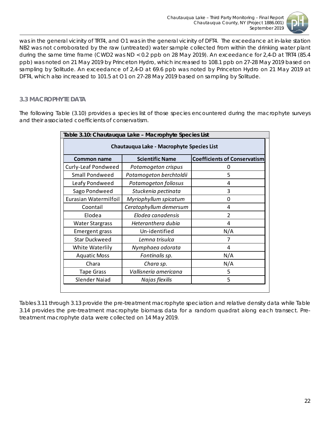

was in the general vicinity of TRT4, and O1 was in the general vicinity of DFT4. The exceedance at in-lake station NB2 was not corroborated by the raw (untreated) water sample collected from within the drinking water plant during the same time frame (CWD2 was ND < 0.2 ppb on 28 May 2019). An exceedance for 2,4-D at TRT4 (85.4 ppb) was noted on 21 May 2019 by Princeton Hydro, which increased to 108.1 ppb on 27-28 May 2019 based on sampling by Solitude. An exceedance of 2,4-D at 69.6 ppb was noted by Princeton Hydro on 21 May 2019 at DFT4, which also increased to 101.5 at O1 on 27-28 May 2019 based on sampling by Solitude.

# <span id="page-22-0"></span>*3.3 MACROPHYTE DATA*

The following Table (3.10) provides a species list of those species encountered during the macrophyte surveys and their associated coefficients of conservatism.

|                        | Table 3.10: Chautauqua Lake - Macrophyte Species List |                                     |
|------------------------|-------------------------------------------------------|-------------------------------------|
|                        | Chautauqua Lake - Macrophyte Species List             |                                     |
| <b>Common name</b>     | <b>Scientific Name</b>                                | <b>Coefficients of Conservatism</b> |
| Curly-Leaf Pondweed    | Potamogeton crispus                                   | 0                                   |
| <b>Small Pondweed</b>  | Potamogeton berchtoldii                               | 5                                   |
| Leafy Pondweed         | Potamogeton foliosus                                  | 4                                   |
| Sago Pondweed          | Stuckenia pectinata                                   | 3                                   |
| Eurasian Watermilfoil  | Myriophyllum spicatum                                 | 0                                   |
| Coontail               | Ceratophyllum demersum                                | 4                                   |
| Elodea                 | Elodea canadensis                                     | $\overline{2}$                      |
| <b>Water Stargrass</b> | Heteranthera dubia                                    | 4                                   |
| <b>Emergent grass</b>  | Un-identified                                         | N/A                                 |
| <b>Star Duckweed</b>   | Lemna trisulca                                        | 7                                   |
| White Waterlily        | Nymphaea odorata                                      | 4                                   |
| <b>Aquatic Moss</b>    | Fontinalis sp.                                        | N/A                                 |
| Chara                  | Chara sp.                                             | N/A                                 |
| <b>Tape Grass</b>      | Vallisneria americana                                 | 5                                   |
| <b>Slender Naiad</b>   | Najas flexilis                                        | 5                                   |
|                        |                                                       |                                     |

Tables 3.11 through 3.13 provide the pre-treatment macrophyte speciation and relative density data while Table 3.14 provides the pre-treatment macrophyte biomass data for a random quadrat along each transect. Pretreatment macrophyte data were collected on 14 May 2019.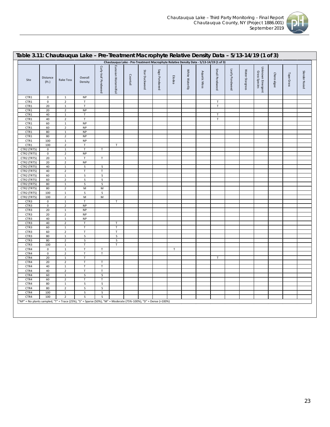

| Site        | Distance<br>(Ft.) | Rake Toss                                                                                                       | Overall<br>Density | Curly-leaf Pondweed | Eurasian Watermilfoil   | Coontail | Star Duckweed | Sago Pondweed | Elodea      | White Waterlily | Aquatic Moss | Small Pondweed | Leafy Pondweed | Water Stargrass | Unknown Emergent<br>Grass Species | Charaalgae | Tape Grass | Slender Naiad |
|-------------|-------------------|-----------------------------------------------------------------------------------------------------------------|--------------------|---------------------|-------------------------|----------|---------------|---------------|-------------|-----------------|--------------|----------------|----------------|-----------------|-----------------------------------|------------|------------|---------------|
| CTR1        | $\mathbf 0$       | $\mathbf 1$                                                                                                     | <b>NP</b>          |                     |                         |          |               |               |             |                 |              |                |                |                 |                                   |            |            |               |
| CTR1        | $\pmb{0}$         | $\mathbf 2$                                                                                                     | $\mathsf T$        |                     |                         |          |               |               |             |                 |              | $\mathsf T$    |                |                 |                                   |            |            |               |
| CTR1        | 20                | $\,$ 1                                                                                                          | $\mathsf T$        |                     |                         |          |               |               |             |                 |              | $\sf T$        |                |                 |                                   |            |            |               |
| CTR1        | 20                | $\overline{2}$                                                                                                  | <b>NP</b>          |                     |                         |          |               |               |             |                 |              |                |                |                 |                                   |            |            |               |
| CTR1        | 40                | $\mathbf 1$                                                                                                     | $\mathsf T$        |                     |                         |          |               |               |             |                 |              | $\mathsf T$    |                |                 |                                   |            |            |               |
| CTR1        | 40                | $\overline{2}$                                                                                                  | $\mathsf T$        |                     |                         |          |               |               |             |                 |              | $\sf T$        |                |                 |                                   |            |            |               |
| CTR1        | 60                | $\mathbf 1$                                                                                                     | <b>NP</b>          |                     |                         |          |               |               |             |                 |              |                |                |                 |                                   |            |            |               |
|             | 60                | $\mathbf 2$                                                                                                     | <b>NP</b>          |                     |                         |          |               |               |             |                 |              |                |                |                 |                                   |            |            |               |
| CTR1        |                   |                                                                                                                 |                    |                     |                         |          |               |               |             |                 |              |                |                |                 |                                   |            |            |               |
| CTR1        | $80\,$            | $\,$ 1                                                                                                          | <b>NP</b>          |                     |                         |          |               |               |             |                 |              |                |                |                 |                                   |            |            |               |
| CTR1        | 80                | $\mathbf 2$                                                                                                     | <b>NP</b>          |                     |                         |          |               |               |             |                 |              |                |                |                 |                                   |            |            |               |
| CTR1        | 100               | $1\,$                                                                                                           | <b>NP</b>          |                     |                         |          |               |               |             |                 |              |                |                |                 |                                   |            |            |               |
| CTR1        | 100               | $\overline{2}$                                                                                                  | $\mathsf T$        |                     | $\mathsf T$             |          |               |               |             |                 |              |                |                |                 |                                   |            |            |               |
| CTR2 (TRT5) | $\mathsf 0$       | $\mathbf{1}$                                                                                                    | $\mathsf T$        | $\mathsf T$         |                         |          |               |               |             |                 |              |                |                |                 |                                   |            |            |               |
| CTR2 (TRT5) | $\pmb{0}$         | $\sqrt{2}$                                                                                                      | <b>NP</b>          |                     |                         |          |               |               |             |                 |              |                |                |                 |                                   |            |            |               |
| CTR2 (TRT5) | 20                | $\mathbf 1$                                                                                                     | $\mathsf T$        | $\mathsf T$         |                         |          |               |               |             |                 |              |                |                |                 |                                   |            |            |               |
| CTR2 (TRT5) | 20                | $\mathbf 2$                                                                                                     | NP                 |                     |                         |          |               |               |             |                 |              |                |                |                 |                                   |            |            |               |
| CTR2 (TRT5) | 40                | $\,$ 1                                                                                                          | S                  | S                   |                         |          |               |               |             |                 |              |                |                |                 |                                   |            |            |               |
| CTR2 (TRT5) | 40                | $\mathbf 2$                                                                                                     | $\mathsf T$        | $\mathsf T$         |                         |          |               |               |             |                 |              |                |                |                 |                                   |            |            |               |
| CTR2 (TRT5) | 60                | $\,$ 1                                                                                                          | S                  | $\sf S$             |                         |          |               |               |             |                 |              |                |                |                 |                                   |            |            |               |
| CTR2 (TRT5) | 60                | $\overline{2}$                                                                                                  | S                  | $\sf S$             |                         |          |               |               |             |                 |              |                |                |                 |                                   |            |            |               |
| CTR2 (TRT5) | $80\,$            | $\,$ 1 $\,$                                                                                                     | $\sf S$            | $\sf S$             |                         |          |               |               |             |                 |              |                |                |                 |                                   |            |            |               |
| CTR2 (TRT5) | 80                | $\mathbf 2$                                                                                                     | M                  | M                   |                         |          |               |               |             |                 |              |                |                |                 |                                   |            |            |               |
| CTR2 (TRT5) | 100               | $\mathbf 1$                                                                                                     | S                  | $\sf S$             |                         |          |               |               |             |                 |              |                |                |                 |                                   |            |            |               |
| CTR2 (TRT5) | 100               | $\mathbf 2$                                                                                                     | M                  | M                   |                         |          |               |               |             |                 |              |                |                |                 |                                   |            |            |               |
| CTR3        | $\pmb{0}$         | $\,1\,$                                                                                                         | $\mathsf T$        |                     | $\mathsf T$             |          |               |               |             |                 |              |                |                |                 |                                   |            |            |               |
| CTR3        | 0                 | $\overline{2}$                                                                                                  | <b>NP</b>          |                     |                         |          |               |               |             |                 |              |                |                |                 |                                   |            |            |               |
| CTR3        | 20                | $\mathbf 1$                                                                                                     | <b>NP</b>          |                     |                         |          |               |               |             |                 |              |                |                |                 |                                   |            |            |               |
| CTR3        | 20                | $\mathbf 2$                                                                                                     | <b>NP</b>          |                     |                         |          |               |               |             |                 |              |                |                |                 |                                   |            |            |               |
| CTR3        | 40                | $\,$ 1                                                                                                          | <b>NP</b>          |                     |                         |          |               |               |             |                 |              |                |                |                 |                                   |            |            |               |
| CTR3        | 40                | $\overline{2}$                                                                                                  | $\mathsf T$        |                     | $\mathsf T$             |          |               |               |             |                 |              |                |                |                 |                                   |            |            |               |
| CTR3        | 60                | $\,$ 1 $\,$                                                                                                     | $\mathsf T$        |                     | $\mathsf T$             |          |               |               |             |                 |              |                |                |                 |                                   |            |            |               |
| CTR3        | 60                | $\overline{2}$                                                                                                  | $\mathsf T$        |                     | $\mathsf T$             |          |               |               |             |                 |              |                |                |                 |                                   |            |            |               |
| CTR3        | 80                | $\mathbf{1}$                                                                                                    | S                  |                     | S                       |          |               |               |             |                 |              |                |                |                 |                                   |            |            |               |
|             | 80                | $\sqrt{2}$                                                                                                      | $\sf S$            |                     | $\overline{\mathsf{S}}$ |          |               |               |             |                 |              |                |                |                 |                                   |            |            |               |
| CTR3        |                   |                                                                                                                 | $\mathsf T$        |                     |                         |          |               |               |             |                 |              |                |                |                 |                                   |            |            |               |
| CTR3        | 100               | $\mathbf 1$                                                                                                     | $\top$             |                     | $\mathsf T$             |          |               |               |             |                 |              |                |                |                 |                                   |            |            |               |
| CTR4        | $\pmb{0}$         | $\,$ 1                                                                                                          |                    | $\mathsf T$         |                         |          |               |               | $\mathsf T$ |                 |              |                |                |                 |                                   |            |            |               |
| CTR4        | $\pmb{0}$         | $\overline{2}$                                                                                                  | $\mathsf T$        | $\mathsf T$         |                         |          |               |               |             |                 |              |                |                |                 |                                   |            |            |               |
| CTR4        | 20                | $\,1\,$                                                                                                         | $\sf T$            |                     |                         |          |               |               |             |                 |              | $\sf T$        |                |                 |                                   |            |            |               |
| CTR4        | 20                | $\mathbf 2$                                                                                                     | $\mathsf T$        | $\mathsf T$         |                         |          |               |               |             |                 |              |                |                |                 |                                   |            |            |               |
| CTR4        | 40                | $\,$ 1                                                                                                          | $\mathsf T$        | $\mathsf T$         |                         |          |               |               |             |                 |              |                |                |                 |                                   |            |            |               |
| CTR4        | 40                | $\mathbf 2$                                                                                                     | $\mathsf T$        | $\mathsf T$         |                         |          |               |               |             |                 |              |                |                |                 |                                   |            |            |               |
| CTR4        | 60                | $\,1\,$                                                                                                         | $\sf S$            | ${\sf S}$           |                         |          |               |               |             |                 |              |                |                |                 |                                   |            |            |               |
| CTR4        | 60                | $\overline{2}$                                                                                                  | $\mathsf T$        | $\mathsf T$         |                         |          |               |               |             |                 |              |                |                |                 |                                   |            |            |               |
| CTR4        | 80                | $1\,$                                                                                                           | S                  | S                   |                         |          |               |               |             |                 |              |                |                |                 |                                   |            |            |               |
| CTR4        | 80                | $\mathbf 2$                                                                                                     | S                  | $\sf S$             |                         |          |               |               |             |                 |              |                |                |                 |                                   |            |            |               |
| CTR4        | 100               | $\,$ 1                                                                                                          | S                  | S                   |                         |          |               |               |             |                 |              |                |                |                 |                                   |            |            |               |
| CTR4        | 100               | $\mathbf 2$                                                                                                     | S                  | S                   |                         |          |               |               |             |                 |              |                |                |                 |                                   |            |            |               |
|             |                   | "NP" = No plants sampled, "T" = Trace (25%), "S" = Sparse (50%), "M" = Moderate (75%-100%), "D" = Dense (>100%) |                    |                     |                         |          |               |               |             |                 |              |                |                |                 |                                   |            |            |               |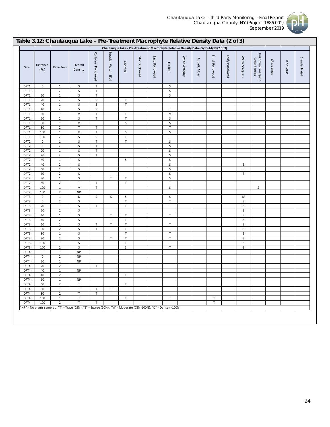

|                                      |                            |                                | Table 3.12: Chautauqua Lake - Pre-Treatment Macrophyte Relative Density Data (2 of 3)                           |                     |                       |                   |               |               |                                                                                        |                 |              |                |                |                 |                                   |             |            |               |
|--------------------------------------|----------------------------|--------------------------------|-----------------------------------------------------------------------------------------------------------------|---------------------|-----------------------|-------------------|---------------|---------------|----------------------------------------------------------------------------------------|-----------------|--------------|----------------|----------------|-----------------|-----------------------------------|-------------|------------|---------------|
|                                      |                            |                                |                                                                                                                 |                     |                       |                   |               |               | Chautauqua Lake - Pre-Treatment Macrophyte Relative Density Data - 5/13-14/19 (2 of 3) |                 |              |                |                |                 |                                   |             |            |               |
| Site                                 | Distance<br>(Ft.)          | Rake Toss                      | Overall<br>Density                                                                                              | Curly-leaf Pondweed | Eurasian Watermilfoil | Coontail          | Star Duckweed | Sago Pondweed | Elodea                                                                                 | White Waterlily | Aquatic Moss | Small Pondweed | Leafy Pondweed | Water Stargrass | Unknown Emergent<br>Grass Species | Chara algae | Tape Grass | Slender Naiad |
| DFT1                                 | 0                          | $\mathbf{1}$                   | S                                                                                                               | $\mathsf T$         |                       |                   |               |               | S                                                                                      |                 |              |                |                |                 |                                   |             |            |               |
| DFT1                                 | $\mathbf 0$                | $\overline{2}$                 | S                                                                                                               | $\top$              |                       |                   |               |               | S                                                                                      |                 |              |                |                |                 |                                   |             |            |               |
| DFT1<br>DFT1                         | 20<br>20                   | $\mathbf{1}$<br>$\overline{2}$ | S<br>S                                                                                                          | $\sf T$<br>$\sf S$  |                       | T                 |               |               | S                                                                                      |                 |              |                |                |                 |                                   |             |            |               |
| DFT1                                 | 40                         | $\mathbf 1$                    | $\sf S$                                                                                                         | $\sf S$             |                       | $\mathsf T$       |               |               |                                                                                        |                 |              |                |                |                 |                                   |             |            |               |
| DFT1                                 | 40                         | $\overline{2}$                 | S                                                                                                               | S                   |                       |                   |               |               | $\mathsf T$                                                                            |                 |              |                |                |                 |                                   |             |            |               |
| DFT1                                 | 60                         | $\mathbf{1}$                   | ${\sf M}$                                                                                                       | $\sf T$             |                       | $\top$            |               |               | M                                                                                      |                 |              |                |                |                 |                                   |             |            |               |
| DFT1<br>DFT1                         | 60<br>80                   | $\overline{2}$<br>$\mathbf{1}$ | S<br>M                                                                                                          | $\mathsf T$         |                       | $\top$<br>S       |               |               | S<br>S                                                                                 |                 |              |                |                |                 |                                   |             |            |               |
| DFT1                                 | 80                         | $\overline{2}$                 | $\mathsf{T}$                                                                                                    | T                   |                       |                   |               |               | Τ                                                                                      |                 |              |                |                |                 |                                   |             |            |               |
| DFT1                                 | 100                        | $\mathbf{1}$                   | M                                                                                                               | $\mathsf T$         |                       | S                 |               |               | S                                                                                      |                 |              |                |                |                 |                                   |             |            |               |
| DFT1                                 | 100                        | $\overline{2}$                 | $\sf S$                                                                                                         | $\sf S$             |                       | $\sf T$           |               |               | $\mathsf T$                                                                            |                 |              |                |                |                 |                                   |             |            |               |
| DFT <sub>2</sub>                     | $\pmb{0}$                  | $\mathbf{1}$                   | S                                                                                                               | $\sf T$             |                       | $\top$            |               |               | $\sf S$                                                                                |                 |              |                |                |                 |                                   |             |            |               |
| DFT <sub>2</sub><br>DFT <sub>2</sub> | $\pmb{0}$<br>20            | $\overline{2}$<br>$\mathbf{1}$ | $\sf S$<br>S                                                                                                    | $\sf T$<br>$\sf T$  |                       |                   |               |               | S<br>S                                                                                 |                 |              |                |                |                 |                                   |             |            |               |
| DFT <sub>2</sub>                     | 20                         | $\overline{2}$                 | S                                                                                                               | $\mathsf{T}$        |                       |                   |               |               | S                                                                                      |                 |              |                |                |                 |                                   |             |            |               |
| DFT <sub>2</sub>                     | 40                         | $\mathbf 1$                    | S                                                                                                               |                     |                       | S                 |               |               | $\sf S$                                                                                |                 |              |                |                |                 |                                   |             |            |               |
| DFT <sub>2</sub>                     | 40                         | $\overline{2}$                 | $\sf S$                                                                                                         |                     |                       |                   |               |               | S                                                                                      |                 |              |                |                | S               |                                   |             |            |               |
| DFT <sub>2</sub>                     | 60                         | $\mathbf{1}$                   | S                                                                                                               |                     |                       |                   |               |               | S                                                                                      |                 |              |                |                | $\sf S$         |                                   |             |            |               |
| DFT <sub>2</sub><br>DFT <sub>2</sub> | 60<br>80                   | $\overline{2}$<br>1            | S<br>S                                                                                                          |                     | $\mathsf{T}$          | $\mathsf T$       |               |               | $\sf S$<br>S                                                                           |                 |              |                |                | $\sf S$         |                                   |             |            |               |
| DFT <sub>2</sub>                     | 80                         | $\overline{2}$                 | $\top$                                                                                                          | $\mathsf T$         |                       | $\top$            |               |               | $\mathsf T$                                                                            |                 |              |                |                |                 |                                   |             |            |               |
| DFT <sub>2</sub>                     | 100                        | $\mathbf{1}$                   | M                                                                                                               | $\mathsf T$         |                       |                   |               |               | S                                                                                      |                 |              |                |                |                 | S                                 |             |            |               |
| DFT <sub>2</sub>                     | 100                        | $\mathbf 2$                    | NP                                                                                                              |                     |                       |                   |               |               |                                                                                        |                 |              |                |                |                 |                                   |             |            |               |
| DFT3<br>DFT3                         | $\mathbf 0$<br>$\mathbf 0$ | $\mathbf 1$<br>$\overline{2}$  | D<br>$\sf S$                                                                                                    | S                   | S                     | S<br>$\mathsf T$  |               |               | S<br>$\mathsf T$                                                                       |                 |              |                |                | M<br>S          |                                   |             |            |               |
| DFT3                                 | 20                         | $\mathbf 1$                    | $\sf S$                                                                                                         | $\mathsf T$         |                       | $\top$            |               |               | $\top$                                                                                 |                 |              |                |                | $\sf S$         |                                   |             |            |               |
| DFT3                                 | 20                         | $\overline{2}$                 | $\sf S$                                                                                                         |                     |                       |                   |               |               |                                                                                        |                 |              |                |                | S               |                                   |             |            |               |
| DFT3                                 | 40                         | $\mathbf{1}$                   | S                                                                                                               |                     | $\mathsf T$           | $\top$            |               |               | T                                                                                      |                 |              |                |                | S               |                                   |             |            |               |
| DFT3                                 | 40                         | $\overline{2}$                 | $\sf S$                                                                                                         |                     | $\mathsf T$           | $\top$            |               |               |                                                                                        |                 |              |                |                | $\sf S$         |                                   |             |            |               |
| DFT3<br>DFT3                         | 60<br>60                   | $\mathbf 1$<br>$\overline{2}$  | $\sf S$<br>$\sf S$                                                                                              | т<br>$\mathsf T$    | T                     | $\sf T$<br>$\top$ |               |               | T<br>$\mathsf T$                                                                       |                 |              |                |                | $\sf S$<br>S    |                                   |             |            |               |
| DFT3                                 | 80                         | $\mathbf{1}$                   | S                                                                                                               |                     |                       | $\top$            |               |               | $\mathsf T$                                                                            |                 |              |                |                | S               |                                   |             |            |               |
| DFT3                                 | 80                         | $\overline{2}$                 | $\sf S$                                                                                                         |                     | $\top$                | $\top$            |               |               | $\top$                                                                                 |                 |              |                |                | S               |                                   |             |            |               |
| DFT3                                 | 100                        | $\mathbf{1}$                   | $\sf S$                                                                                                         |                     |                       | $\top$            |               |               | Τ                                                                                      |                 |              |                |                | S               |                                   |             |            |               |
| DFT3                                 | 100                        | $\overline{2}$                 | S                                                                                                               |                     |                       | S                 |               |               | T                                                                                      |                 |              |                |                | S               |                                   |             |            |               |
| DFT4<br>DFT4                         | 0<br>$\mathbf 0$           | $\mathbf{1}$<br>$\overline{2}$ | <b>NP</b><br><b>NP</b>                                                                                          |                     |                       |                   |               |               |                                                                                        |                 |              |                |                |                 |                                   |             |            |               |
| DFT4                                 | 20                         | $\mathbf{1}$                   | <b>NP</b>                                                                                                       |                     |                       |                   |               |               |                                                                                        |                 |              |                |                |                 |                                   |             |            |               |
| DFT4                                 | 20                         | $\overline{2}$                 | T                                                                                                               | Τ                   |                       |                   |               |               |                                                                                        |                 |              |                |                |                 |                                   |             |            |               |
| DFT4                                 | 40                         | $\mathbf{1}$                   | <b>NP</b>                                                                                                       |                     |                       |                   |               |               |                                                                                        |                 |              |                |                |                 |                                   |             |            |               |
| DFT4                                 | 40                         | $\overline{2}$                 | T                                                                                                               |                     |                       | T                 |               |               |                                                                                        |                 |              |                |                |                 |                                   |             |            |               |
| DFT4<br>DFT4                         | 60<br>60                   | $\mathbf{1}$<br>$\overline{2}$ | <b>NP</b><br>T                                                                                                  |                     |                       | T                 |               |               |                                                                                        |                 |              |                |                |                 |                                   |             |            |               |
| DFT4                                 | 80                         | $\mathbf{1}$                   | $\mathsf T$                                                                                                     | T                   | $\top$                |                   |               |               |                                                                                        |                 |              |                |                |                 |                                   |             |            |               |
| DFT4                                 | 80                         | $\overline{2}$                 | T                                                                                                               | $\top$              |                       |                   |               |               |                                                                                        |                 |              |                |                |                 |                                   |             |            |               |
| DFT4                                 | 100                        | $\mathbf{1}$                   | T                                                                                                               |                     |                       | T                 |               |               | $\mathsf T$                                                                            |                 |              | T              |                |                 |                                   |             |            |               |
| DFT4                                 | 100                        | $\overline{2}$                 | T                                                                                                               | $\mathsf{T}$        |                       |                   |               |               |                                                                                        |                 |              | $\top$         |                |                 |                                   |             |            |               |
|                                      |                            |                                | "NP" = No plants sampled, "T" = Trace (25%), "S" = Sparse (50%), "M" = Moderate (75%-100%), "D" = Dense (>100%) |                     |                       |                   |               |               |                                                                                        |                 |              |                |                |                 |                                   |             |            |               |
|                                      |                            |                                |                                                                                                                 |                     |                       |                   |               |               |                                                                                        |                 |              |                |                |                 |                                   |             |            |               |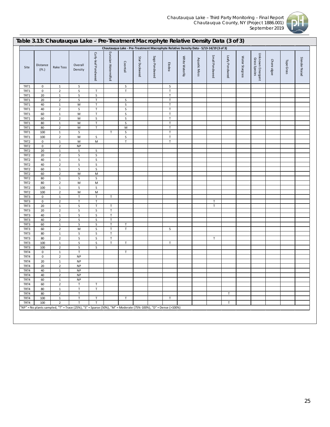

|                          |                       |                               | Table 3.13: Chautauqua Lake - Pre-Treatment Macrophyte Relative Density Data (3 of 3)                           |                                                                                                            |                            |                    |               |               |                       |                 |              |                                                                                        |                |                 |                                   |             |            |               |
|--------------------------|-----------------------|-------------------------------|-----------------------------------------------------------------------------------------------------------------|------------------------------------------------------------------------------------------------------------|----------------------------|--------------------|---------------|---------------|-----------------------|-----------------|--------------|----------------------------------------------------------------------------------------|----------------|-----------------|-----------------------------------|-------------|------------|---------------|
|                          |                       |                               |                                                                                                                 |                                                                                                            |                            |                    |               |               |                       |                 |              | Chautauqua Lake - Pre-Treatment Macrophyte Relative Density Data - 5/13-14/19 (3 of 3) |                |                 |                                   |             |            |               |
| Site                     | Distance<br>(Ft.)     | Rake Toss                     | Overall<br>Density                                                                                              | Curly-leaf Pondweed                                                                                        | Eurasian Watermilfoil      | Coontail           | Star Duckweed | Sago Pondweed | Elodea                | White Waterlily | Aquatic Moss | Small Pondweed                                                                         | Leafy Pondweed | Water Stargrass | Unknown Emergent<br>Grass Species | Chara algae | Tape Grass | Slender Naiad |
| TRT1                     | $\mathbf 0$           | $\mathbf{1}$                  | S                                                                                                               |                                                                                                            |                            | S                  |               |               | S                     |                 |              |                                                                                        |                |                 |                                   |             |            |               |
| TRT1                     | $\mathbf 0$           | $\overline{2}$                | $\mathsf S$                                                                                                     | $\mathsf T$                                                                                                |                            | $\top$             |               |               | $\top$                |                 |              |                                                                                        |                |                 |                                   |             |            |               |
| TRT1                     | 20                    | $\mathbf{1}$                  | S                                                                                                               | $\sf S$                                                                                                    |                            |                    |               |               | $\mathsf T$           |                 |              |                                                                                        |                |                 |                                   |             |            |               |
| TRT1                     | 20                    | $\overline{2}$                | $\mathsf S$                                                                                                     | $\sf T$                                                                                                    |                            | S                  |               |               | $\top$                |                 |              |                                                                                        |                |                 |                                   |             |            |               |
| TRT1                     | 40                    | $\mathbf{1}$                  | M                                                                                                               | $\sf T$                                                                                                    |                            | S                  |               |               | $\mathsf T$<br>$\top$ |                 |              |                                                                                        |                |                 |                                   |             |            |               |
| TRT1<br>TRT1             | 40<br>60              | $\mathbf 2$<br>$\mathbf 1$    | S<br>${\sf M}$                                                                                                  | $\sf T$<br>$\mathsf T$                                                                                     |                            | $\sf S$<br>$\sf S$ |               |               | $\mathsf T$           |                 |              |                                                                                        |                |                 |                                   |             |            |               |
| TRT1                     | 60                    | $\overline{2}$                | M                                                                                                               | $\sf S$                                                                                                    |                            | $\sf S$            |               |               | $\top$                |                 |              |                                                                                        |                |                 |                                   |             |            |               |
| TRT1                     | 80                    | $\mathbf 1$                   | ${\sf M}$                                                                                                       | $\top$                                                                                                     |                            | $\mathsf{S}$       |               |               | $\top$                |                 |              |                                                                                        |                |                 |                                   |             |            |               |
| TRT1                     | 80                    | $\overline{2}$                | M                                                                                                               | T                                                                                                          |                            | M                  |               |               | T                     |                 |              |                                                                                        |                |                 |                                   |             |            |               |
| TRT1                     | 100                   | $\mathbf 1$                   | S                                                                                                               |                                                                                                            | $\mathsf T$                | S                  |               |               | $\top$                |                 |              |                                                                                        |                |                 |                                   |             |            |               |
| TRT1                     | 100                   | $\overline{2}$                | M                                                                                                               | S                                                                                                          |                            | $\sf S$            |               |               | $\top$                |                 |              |                                                                                        |                |                 |                                   |             |            |               |
| TRT2                     | $\mathbf 0$           | $\mathbf 1$                   | ${\sf M}$                                                                                                       | M                                                                                                          |                            | $\sf T$            |               |               | $\top$                |                 |              |                                                                                        |                |                 |                                   |             |            |               |
| TRT <sub>2</sub>         | $\pmb{0}$             | $\overline{2}$                | NP                                                                                                              |                                                                                                            |                            |                    |               |               |                       |                 |              |                                                                                        |                |                 |                                   |             |            |               |
| TRT <sub>2</sub>         | 20                    | $\mathbf 1$<br>$\overline{2}$ | $\mathsf S$<br>$\mathsf S$                                                                                      | S<br>$\sf S$                                                                                               |                            |                    |               |               |                       |                 |              |                                                                                        |                |                 |                                   |             |            |               |
| TRT <sub>2</sub><br>TRT2 | 20<br>40              | $\mathbf{1}$                  | S                                                                                                               | $\sf S$                                                                                                    |                            |                    |               |               |                       |                 |              |                                                                                        |                |                 |                                   |             |            |               |
| TRT <sub>2</sub>         | 40                    | $\overline{2}$                | S                                                                                                               | $\sf S$                                                                                                    |                            |                    |               |               |                       |                 |              |                                                                                        |                |                 |                                   |             |            |               |
| TRT2                     | 60                    | $\mathbf 1$                   | S                                                                                                               | $\sf S$                                                                                                    |                            |                    |               |               |                       |                 |              |                                                                                        |                |                 |                                   |             |            |               |
| TRT2                     | 60                    | $\mathbf 2$                   | M                                                                                                               | $\mathsf{M}% _{T}=\mathsf{M}_{T}\!\left( a,b\right) ,\ \mathsf{M}_{T}=\mathsf{M}_{T}\!\left( a,b\right) ,$ |                            |                    |               |               |                       |                 |              |                                                                                        |                |                 |                                   |             |            |               |
| TRT <sub>2</sub>         | 80                    | $\mathbf 1$                   | S                                                                                                               | S                                                                                                          |                            |                    |               |               |                       |                 |              |                                                                                        |                |                 |                                   |             |            |               |
| TRT2                     | 80                    | $\mathbf 2$                   | ${\sf M}$                                                                                                       | ${\sf M}$                                                                                                  |                            |                    |               |               |                       |                 |              |                                                                                        |                |                 |                                   |             |            |               |
| TRT <sub>2</sub>         | 100                   | $\mathbf{1}$                  | S                                                                                                               | S                                                                                                          |                            |                    |               |               |                       |                 |              |                                                                                        |                |                 |                                   |             |            |               |
| TRT2                     | 100                   | $\overline{2}$                | ${\sf M}$                                                                                                       | ${\sf M}$                                                                                                  |                            |                    |               |               |                       |                 |              |                                                                                        |                |                 |                                   |             |            |               |
| TRT3                     | 0                     | $\mathbf 1$                   | $\sf T$<br>T                                                                                                    | $\top$<br>$\top$                                                                                           | $\mathsf T$                |                    |               |               |                       |                 |              | T                                                                                      |                |                 |                                   |             |            |               |
| TRT3<br>TRT3             | $\mathbf 0$<br>$20\,$ | $\mathbf 2$<br>$\,$ 1         | $\sf S$                                                                                                         | $\top$                                                                                                     | $\mathsf T$                |                    |               |               |                       |                 |              | $\sf T$                                                                                |                |                 |                                   |             |            |               |
| TRT3                     | 20                    | $\overline{2}$                | S                                                                                                               | S                                                                                                          | $\mathsf T$                |                    |               |               |                       |                 |              |                                                                                        |                |                 |                                   |             |            |               |
| TRT3                     | 40                    | $\mathbf{1}$                  | $\mathsf S$                                                                                                     | $\sf S$                                                                                                    | $\sf T$                    |                    |               |               |                       |                 |              |                                                                                        |                |                 |                                   |             |            |               |
| TRT3                     | 40                    | $\overline{2}$                | S                                                                                                               | S                                                                                                          | $\sf T$                    |                    |               |               |                       |                 |              |                                                                                        |                |                 |                                   |             |            |               |
| TRT3                     | 60                    | $\mathbf{1}$                  | S                                                                                                               | S                                                                                                          | $\mathsf T$                | T                  |               |               |                       |                 |              |                                                                                        |                |                 |                                   |             |            |               |
| TRT3                     | 60                    | $\mathbf 2$                   | M                                                                                                               | $\sf S$                                                                                                    | $\top$                     | $\top$             |               |               | S                     |                 |              |                                                                                        |                |                 |                                   |             |            |               |
| TRT3                     | 80                    | $\mathbf{1}$                  | $\sf S$                                                                                                         | $\sf S$                                                                                                    | $\mathsf T$                |                    |               |               |                       |                 |              |                                                                                        |                |                 |                                   |             |            |               |
| TRT3<br>TRT3             | 80<br>100             | $\overline{2}$<br>$\,$ 1      | S<br>$\mathsf S$                                                                                                | $\sf S$<br>$\sf S$                                                                                         | $\mathsf T$<br>$\mathsf T$ | $\mathsf T$        |               |               | T                     |                 |              | $\mathsf T$                                                                            |                |                 |                                   |             |            |               |
| TRT3                     | 100                   | $\overline{2}$                | S                                                                                                               | S                                                                                                          |                            |                    |               |               |                       |                 |              |                                                                                        |                |                 |                                   |             |            |               |
| TRT4                     | $\bf{0}$              | $\mathbf{1}$                  | $\top$                                                                                                          |                                                                                                            |                            | $\mathsf T$        |               |               |                       |                 |              |                                                                                        |                |                 |                                   |             |            |               |
| TRT4                     | $\mathbf 0$           | $\overline{2}$                | <b>NP</b>                                                                                                       |                                                                                                            |                            |                    |               |               |                       |                 |              |                                                                                        |                |                 |                                   |             |            |               |
| TRT4                     | 20                    | $\mathbf 1$                   | <b>NP</b>                                                                                                       |                                                                                                            |                            |                    |               |               |                       |                 |              |                                                                                        |                |                 |                                   |             |            |               |
| TRT4                     | 20                    | $\mathbf 2$                   | <b>NP</b>                                                                                                       |                                                                                                            |                            |                    |               |               |                       |                 |              |                                                                                        |                |                 |                                   |             |            |               |
| TRT4                     | 40                    | $\mathbf{1}$                  | <b>NP</b>                                                                                                       |                                                                                                            |                            |                    |               |               |                       |                 |              |                                                                                        |                |                 |                                   |             |            |               |
| TRT4                     | 40                    | $\mathbf 2$                   | NP                                                                                                              |                                                                                                            |                            |                    |               |               |                       |                 |              |                                                                                        |                |                 |                                   |             |            |               |
| TRT4<br>TRT4             | 60<br>60              | 1<br>$\overline{2}$           | NP.<br>$\top$                                                                                                   | $\mathsf T$                                                                                                |                            |                    |               |               |                       |                 |              |                                                                                        |                |                 |                                   |             |            |               |
| TRT4                     | 80                    | $\mathbf{1}$                  | $\mathsf T$                                                                                                     | T                                                                                                          |                            |                    |               |               |                       |                 |              |                                                                                        |                |                 |                                   |             |            |               |
| TRT4                     | 80                    | $\overline{2}$                | T                                                                                                               |                                                                                                            |                            |                    |               |               |                       |                 |              |                                                                                        | T              |                 |                                   |             |            |               |
| TRT4                     | 100                   | $\mathbf{1}$                  | $\top$                                                                                                          | $\top$                                                                                                     |                            | $\mathsf T$        |               |               | T                     |                 |              |                                                                                        |                |                 |                                   |             |            |               |
| TRT4                     | 100                   | $\overline{2}$                | $\mathsf T$                                                                                                     | $\mathsf{T}$                                                                                               |                            |                    |               |               |                       |                 |              |                                                                                        | T              |                 |                                   |             |            |               |
|                          |                       |                               | "NP" = No plants sampled, "T" = Trace (25%), "S" = Sparse (50%), "M" = Moderate (75%-100%), "D" = Dense (>100%) |                                                                                                            |                            |                    |               |               |                       |                 |              |                                                                                        |                |                 |                                   |             |            |               |
|                          |                       |                               |                                                                                                                 |                                                                                                            |                            |                    |               |               |                       |                 |              |                                                                                        |                |                 |                                   |             |            |               |
|                          |                       |                               |                                                                                                                 |                                                                                                            |                            |                    |               |               |                       |                 |              |                                                                                        |                |                 |                                   |             |            |               |
|                          |                       |                               |                                                                                                                 |                                                                                                            |                            |                    |               |               |                       |                 |              |                                                                                        |                |                 |                                   |             |            |               |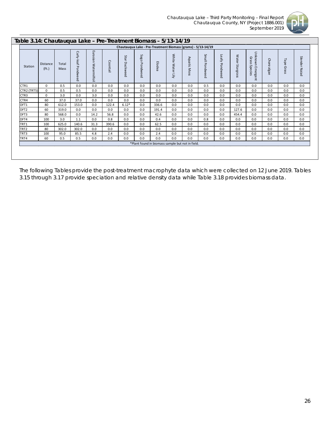

| Table 3.14: Chautauqua Lake - Pre-Treatment Biomass - 5/13-14/19 |                          |               |                        |                          |          |                  |                  |        |                                                              |                        |                |                |                 |                                             |             |               |                         |
|------------------------------------------------------------------|--------------------------|---------------|------------------------|--------------------------|----------|------------------|------------------|--------|--------------------------------------------------------------|------------------------|----------------|----------------|-----------------|---------------------------------------------|-------------|---------------|-------------------------|
|                                                                  |                          |               |                        |                          |          |                  |                  |        | Chautauqua Lake - Pre-Treatment Biomass (grams) - 5/13-14/19 |                        |                |                |                 |                                             |             |               |                         |
| Station                                                          | <b>Distance</b><br>(Ft.) | Total<br>Mass | Curly-leaf<br>Pondweed | Eurasian<br>Watermilfoil | Coontail | Star<br>Duckweed | Sago<br>Pondweed | Elodea | White Water Lily                                             | Aquatic<br><b>Moss</b> | Small Pondweed | Leafy Pondweed | Water Stargrass | Unknown Emergent<br>Grass<br><b>Species</b> | Chara algae | Tape<br>Grass | <b>Slender</b><br>Naiad |
| CTR1                                                             | $\Omega$                 | 0.5           | 0.0                    | 0.0                      | 0.0      | 0.0              | 0.0              | 0.0    | 0.0                                                          | 0.0                    | 0.5            | 0.0            | 0.0             | 0.0                                         | 0.0         | 0.0           | 0.0                     |
| CTR2 (TRT5)                                                      | $\Omega$                 | 0.5           | 0.5                    | 0.0                      | 0.0      | 0.0              | 0.0              | 0.0    | 0.0                                                          | 0.0                    | 0.0            | 0.0            | 0.0             | 0.0                                         | 0.0         | 0.0           | 0.0                     |
| CTR3                                                             | $\mathbf 0$              | 3.0           | 0.0                    | 3.0                      | 0.0      | 0.0              | 0.0              | 0.0    | 0.0                                                          | 0.0                    | 0.0            | 0.0            | 0.0             | 0.0                                         | 0.0         | 0.0           | 0.0                     |
| CTR4                                                             | 60                       | 37.0          | 37.0                   | 0.0                      | 0.0      | 0.0              | 0.0              | 0.0    | 0.0                                                          | 0.0                    | 0.0            | 0.0            | 0.0             | 0.0                                         | 0.0         | 0.0           | 0.0                     |
| DFT1                                                             | 80                       | 612.0         | 153.0                  | 0.0                      | 122.4    | $6.12*$          | 0.0              | 336.6  | 0.0                                                          | 0.0                    | 0.0            | 0.0            | 0.0             | 0.0                                         | 0.0         | 0.0           | 0.0                     |
| DFT <sub>2</sub>                                                 | 60                       | 319.0         | 0.0                    | 0.0                      | 0.0      | 0.0              | 0.0              | 191.4  | 0.0                                                          | 0.0                    | 0.0            | 0.0            | 127.6           | 0.0                                         | 0.0         | 0.0           | 0.0                     |
| DFT3                                                             | 80                       | 568.0         | 0.0                    | 14.2                     | 56.8     | 0.0              | 0.0              | 42.6   | 0.0                                                          | 0.0                    | 0.0            | 0.0            | 454.4           | 0.0                                         | 0.0         | 0.0           | 0.0                     |
| DFT4                                                             | 100                      | 3.0           | 1.1                    | 0.0                      | 0.8      | 0.0              | 0.0              | 0.4    | 0.0                                                          | 0.0                    | 0.8            | 0.0            | 0.0             | 0.0                                         | 0.0         | 0.0           | 0.0                     |
| TRT1                                                             | 100                      | 625.0         | 140.6                  | 31.3                     | 390.6    | 0.0              | 0.0              | 62.5   | 0.0                                                          | 0.0                    | 0.0            | 0.0            | 0.0             | 0.0                                         | 0.0         | 0.0           | 0.0                     |
| TRT <sub>2</sub>                                                 | 80                       | 302.0         | 302.0                  | 0.0                      | 0.0      | 0.0              | 0.0              | 0.0    | 0.0                                                          | 0.0                    | 0.0            | 0.0            | 0.0             | 0.0                                         | 0.0         | 0.0           | 0.0                     |
| TRT3                                                             | 100                      | 95.0          | 85.5                   | 4.8                      | 2.4      | 0.0              | 0.0              | 2.4    | 0.0                                                          | 0.0                    | 0.0            | 0.0            | 0.0             | 0.0                                         | 0.0         | 0.0           | 0.0                     |
| TRT4                                                             | 60                       | 0.5           | 0.5                    | 0.0                      | 0.0      | 0.0              | 0.0              | 0.0    | 0.0                                                          | 0.0                    | 0.0            | 0.0            | 0.0             | 0.0                                         | 0.0         | 0.0           | 0.0                     |
|                                                                  |                          |               |                        |                          |          |                  |                  |        | *Plant found in biomass sample but not in field.             |                        |                |                |                 |                                             |             |               |                         |
|                                                                  |                          |               |                        |                          |          |                  |                  |        |                                                              |                        |                |                |                 |                                             |             |               |                         |

The following Tables provide the post-treatment macrophyte data which were collected on 12 June 2019. Tables 3.15 through 3.17 provide speciation and relative density data while Table 3.18 provides biomass data.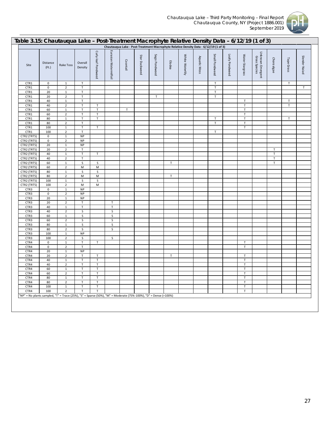

| Table 3.15: Chautauqua Lake - Post-Treatment Macrophyte Relative Density Data - 6/12/19 (1 of 3)                |                   |                               |                    |                     |                       |             |               |                                                                                      |             |                 |              |                |                |                 |                                   |             |              |               |
|-----------------------------------------------------------------------------------------------------------------|-------------------|-------------------------------|--------------------|---------------------|-----------------------|-------------|---------------|--------------------------------------------------------------------------------------|-------------|-----------------|--------------|----------------|----------------|-----------------|-----------------------------------|-------------|--------------|---------------|
|                                                                                                                 |                   |                               |                    |                     |                       |             |               | Chautauqua Lake - Post-Treatment Macrophyte Relative Density Data - 6/12/19 (1 of 3) |             |                 |              |                |                |                 |                                   |             |              |               |
| Site                                                                                                            | Distance<br>(Ft.) | Rake Toss                     | Overall<br>Density | Curly-leaf Pondweed | Eurasian Watermilfoil | Coontail    | Star Duckweed | Sago Pondweed                                                                        | Elodea      | White Waterlily | Aquatic Moss | Small Pondweed | Leafy Pondweed | Water Stargrass | Unknown Emergent<br>Grass Species | Chara algae | Tape Grass   | Slender Naiad |
| CTR1                                                                                                            | $\pmb{0}$         | $\mathbf{1}$                  | $\mathsf T$        |                     |                       |             |               |                                                                                      |             |                 |              | $\mathsf T$    |                |                 |                                   |             | T            |               |
| CTR1                                                                                                            | $\mathbf 0$       | $\overline{2}$                | $\mathsf T$        |                     |                       |             |               |                                                                                      |             |                 |              | $\mathsf T$    |                |                 |                                   |             |              | $\mathsf{T}$  |
| CTR1                                                                                                            | 20                | $\mathbf 1$                   | $\mathsf T$        |                     |                       |             |               |                                                                                      |             |                 |              | $\mathsf T$    |                |                 |                                   |             |              |               |
| CTR1                                                                                                            | 20                | $\mathbf 2$                   | T                  |                     |                       |             |               | $\mathsf T$                                                                          |             |                 |              | $\mathsf T$    |                |                 |                                   |             |              |               |
| CTR1                                                                                                            | 40                | $\mathbf 1$                   | T.                 |                     |                       |             |               |                                                                                      |             |                 |              |                |                | T               |                                   |             | $\mathsf{T}$ |               |
| CTR1                                                                                                            | 40                | $\overline{2}$                | T                  | $\mathsf T$         |                       |             |               |                                                                                      |             |                 |              |                |                | $\mathsf T$     |                                   |             | $\top$       |               |
| CTR1                                                                                                            | 60                | $\mathbf 1$                   | T                  | $\mathsf T$         |                       | $\mathsf T$ |               |                                                                                      |             |                 |              |                |                | $\top$          |                                   |             |              |               |
| CTR1                                                                                                            | 60                | $\overline{2}$                | T                  | $\mathsf T$         |                       |             |               |                                                                                      |             |                 |              |                |                | $\top$          |                                   |             |              |               |
| CTR1                                                                                                            | 80                | $\mathbf 1$                   | T                  | $\mathsf T$         |                       |             |               |                                                                                      |             |                 |              | T              |                | $\mathsf T$     |                                   |             | $\mathsf T$  |               |
| CTR1                                                                                                            | 80                | $\overline{2}$                | $\mathsf T$        |                     |                       |             |               |                                                                                      |             |                 |              | $\mathsf T$    |                | $\sf T$         |                                   |             |              |               |
| CTR1                                                                                                            | 100               | $\mathbf 1$                   | $\mathsf T$        | $\mathsf T$         |                       |             |               |                                                                                      |             |                 |              |                |                | $\top$          |                                   |             |              |               |
| CTR1                                                                                                            | 100               | $\overline{2}$                | T                  |                     |                       |             |               |                                                                                      |             |                 |              | $\mathsf T$    |                |                 |                                   |             |              |               |
| CTR2 (TRT5)                                                                                                     | $\mathbf 0$       | $\mathbf 1$                   | <b>NP</b>          |                     |                       |             |               |                                                                                      |             |                 |              |                |                |                 |                                   |             |              |               |
| CTR2 (TRT5)                                                                                                     | $\mathbf 0$       | $\overline{2}$                | $\sf NP$           |                     |                       |             |               |                                                                                      |             |                 |              |                |                |                 |                                   |             |              |               |
| CTR2 (TRT5)                                                                                                     | 20                | $\mathbf 1$                   | NP                 |                     |                       |             |               |                                                                                      |             |                 |              |                |                |                 |                                   |             |              |               |
| CTR2 (TRT5)                                                                                                     | 20                | $\overline{2}$                | T                  |                     |                       |             |               |                                                                                      |             |                 |              |                |                |                 |                                   | Т           |              |               |
| CTR2 (TRT5)                                                                                                     | 40                | $\mathbf 1$                   | T                  | $\mathsf T$         |                       |             |               |                                                                                      |             |                 |              |                |                |                 |                                   | $\sf T$     |              |               |
| CTR2 (TRT5)                                                                                                     | 40                | $\mathbf 2$                   | T                  |                     |                       |             |               |                                                                                      |             |                 |              |                |                |                 |                                   | $\sf T$     |              |               |
| CTR2 (TRT5)                                                                                                     | 60                | $\mathbf 1$                   | $\sf S$            | $\sf S$             |                       |             |               |                                                                                      | $\mathsf T$ |                 |              |                |                |                 |                                   | $\sf T$     |              |               |
| CTR2 (TRT5)                                                                                                     | 60                | $\overline{2}$                | M                  | M                   |                       |             |               |                                                                                      |             |                 |              |                |                |                 |                                   |             |              |               |
| CTR2 (TRT5)                                                                                                     | 80                | $\mathbf 1$                   | $\sf S$            | $\sf S$             |                       |             |               |                                                                                      |             |                 |              |                |                |                 |                                   |             |              |               |
| CTR2 (TRT5)                                                                                                     | 80                | $\mathbf 2$                   | M                  | M                   |                       |             |               |                                                                                      | $\mathsf T$ |                 |              |                |                |                 |                                   |             |              |               |
| CTR2 (TRT5)                                                                                                     | 100               | $\mathbf 1$                   | $\sf S$            | S                   |                       |             |               |                                                                                      |             |                 |              |                |                |                 |                                   |             |              |               |
| CTR2 (TRT5)                                                                                                     | 100               | $\overline{2}$                | M                  | M                   |                       |             |               |                                                                                      |             |                 |              |                |                |                 |                                   |             |              |               |
| CTR3                                                                                                            | $\mathbf 0$       | $\mathbf{1}$                  | <b>NP</b>          |                     |                       |             |               |                                                                                      |             |                 |              |                |                |                 |                                   |             |              |               |
| CTR3                                                                                                            | $\pmb{0}$         | $\overline{2}$                | <b>NP</b>          |                     |                       |             |               |                                                                                      |             |                 |              |                |                |                 |                                   |             |              |               |
| CTR3                                                                                                            | 20                | $\mathbf{1}$                  | <b>NP</b>          |                     |                       |             |               |                                                                                      |             |                 |              |                |                |                 |                                   |             |              |               |
| CTR3                                                                                                            | 20                | $\overline{2}$                | T                  |                     | $\mathsf T$           |             |               |                                                                                      |             |                 |              |                |                |                 |                                   |             |              |               |
| CTR3                                                                                                            | 40                | $\mathbf 1$                   | T                  |                     | $\mathsf T$           |             |               |                                                                                      |             |                 |              |                |                |                 |                                   |             |              |               |
| CTR3                                                                                                            | 40                | $\mathbf 2$                   | $\sf S$            |                     | $\sf S$               |             |               |                                                                                      |             |                 |              |                |                |                 |                                   |             |              |               |
| CTR3                                                                                                            | 60                | $\mathbf 1$<br>$\overline{2}$ | $\sf S$            |                     | $\sf S$               |             |               |                                                                                      |             |                 |              |                |                |                 |                                   |             |              |               |
| CTR3<br>CTR3                                                                                                    | 60<br>80          | $\mathbf 1$                   | $\sf S$            |                     | S<br>$\sf S$          |             |               |                                                                                      |             |                 |              |                |                |                 |                                   |             |              |               |
| CTR3                                                                                                            | 80                | $\overline{2}$                | S<br>$\sf S$       |                     | $\sf S$               |             |               |                                                                                      |             |                 |              |                |                |                 |                                   |             |              |               |
| CTR3                                                                                                            | 100               | $\overline{\mathbf{1}}$       | <b>NP</b>          |                     |                       |             |               |                                                                                      |             |                 |              |                |                |                 |                                   |             |              |               |
| CTR3                                                                                                            | 100               | $\mathbf 2$                   | $\sf S$            |                     | $\sf S$               |             |               |                                                                                      |             |                 |              |                |                |                 |                                   |             |              |               |
| CTR4                                                                                                            | $\pmb{0}$         | $\mathbf 1$                   | T                  | $\top$              |                       |             |               |                                                                                      |             |                 |              |                |                | $\sf T$         |                                   |             |              |               |
| CTR4                                                                                                            | $\pmb{0}$         | $\overline{2}$                | T                  |                     |                       |             |               |                                                                                      |             |                 |              |                |                | $\mathsf T$     |                                   |             |              |               |
| CTR4                                                                                                            | 20                | $\mathbf 1$                   | <b>NP</b>          |                     |                       |             |               |                                                                                      |             |                 |              |                |                |                 |                                   |             |              |               |
| CTR4                                                                                                            | 20                | $\mathbf 2$                   | T                  | $\mathsf T$         |                       |             |               |                                                                                      | $\mathsf T$ |                 |              |                |                | $\sf T$         |                                   |             |              |               |
| CTR4                                                                                                            | 40                | $\mathbf 1$                   | $\mathsf T$        | $\mathsf T$         |                       |             |               |                                                                                      |             |                 |              |                |                | $\top$          |                                   |             |              |               |
| CTR4                                                                                                            | 40                | $\overline{2}$                | $\mathsf T$        | $\mathsf T$         |                       |             |               |                                                                                      |             |                 |              |                |                | $\mathsf T$     |                                   |             |              |               |
| CTR4                                                                                                            | 60                | $\mathbf 1$                   | T                  | $\mathsf T$         |                       |             |               |                                                                                      |             |                 |              |                |                | $\mathsf T$     |                                   |             |              |               |
| CTR4                                                                                                            | 60                | $\mathbf 2$                   | $\mathsf T$        | $\mathsf T$         |                       |             |               |                                                                                      |             |                 |              |                |                | $\mathsf T$     |                                   |             |              |               |
| CTR4                                                                                                            | 80                | $\mathbf 1$                   | T.                 | $\mathsf T$         |                       |             |               |                                                                                      |             |                 |              |                |                | T               |                                   |             |              |               |
| CTR4                                                                                                            | 80                | $\overline{2}$                | $\mathsf{T}$       | $\mathsf T$         |                       |             |               |                                                                                      |             |                 |              |                |                | $\mathsf T$     |                                   |             |              |               |
| CTR4                                                                                                            | 100               | $\mathbf 1$                   | $\sf T$            | $\mathsf T$         |                       |             |               |                                                                                      |             |                 |              |                |                | $\sf T$         |                                   |             |              |               |
| CTR4                                                                                                            | 100               | $\overline{2}$                | $\sf T$            | $\mathsf T$         |                       |             |               |                                                                                      |             |                 |              |                |                | $\top$          |                                   |             |              |               |
| "NP" = No plants sampled, "T" = Trace (25%), "S" = Sparse (50%), "M" = Moderate (75%-100%), "D" = Dense (>100%) |                   |                               |                    |                     |                       |             |               |                                                                                      |             |                 |              |                |                |                 |                                   |             |              |               |
|                                                                                                                 |                   |                               |                    |                     |                       |             |               |                                                                                      |             |                 |              |                |                |                 |                                   |             |              |               |
|                                                                                                                 |                   |                               |                    |                     |                       |             |               |                                                                                      |             |                 |              |                |                |                 |                                   |             |              |               |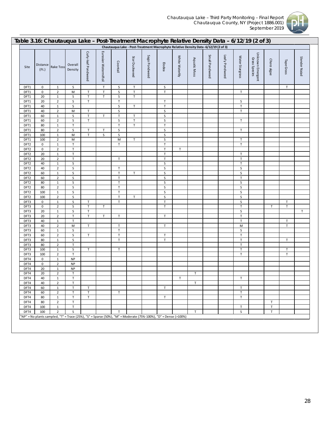

| Chautauqua Lake - Post-Treatment Macrophyte Relative Density Data - 6/12/19 (2 of 3)<br>Curly-leaf Pondweed<br>Eurasian Watermilfoil<br>Unknown Emergent<br>Small Pondweed<br>Leafy Pondweed<br>Sago Pondweed<br>White Waterlily<br>Water Stargrass<br>Star Duckweed<br>Grass Species<br>Aquatic Moss<br>Chara algae<br>Tape Grass<br>Coontail<br>Elodea<br>Overall<br>Distance<br>Rake Toss<br>Site<br>(Ft.)<br>Density<br>$\top$<br>DFT1<br>0<br>$\mathbf{1}$<br>S<br>S<br>Τ<br>S<br>T<br>$\overline{2}$<br>T<br>$\mathsf T$<br>S<br>$\sf T$<br>$\sf T$<br>0<br>М<br>Т<br>DFT1<br>$\sf S$<br>T<br>T<br>$\sf S$<br>$\sf T$<br>$\mathbf{1}$<br>20<br>DFT1<br>$\overline{2}$<br>$\sf S$<br>T<br>$\ensuremath{\mathsf{T}}$<br>T<br>$\sf S$<br>20<br>DFT1<br>$\sf T$<br>$\mathbf 1$<br>$\sf S$<br>$\sf S$<br>$\sf T$<br>$\mathsf T$<br>40<br>DFT1<br>$\overline{2}$<br>${\sf M}$<br>$\top$<br>$\sf S$<br>$\sf S$<br>$\mathsf T$<br>40<br>DFT1<br>$\top$<br>$\sf S$<br>$\sf T$<br>$\sf S$<br>60<br>$\mathbf 1$<br>$\mathsf T$<br>$\sf T$<br>DFT1<br>$\sf T$<br>$\overline{2}$<br>$\sf S$<br>T<br>$\sf S$<br>$\sf S$<br>$\sf T$<br>60<br>DFT1<br>$\sf T$<br>$\top$<br>$\sf T$<br>$\top$<br>80<br>$\mathbf 1$<br>DFT1<br>$\sf S$<br>$\overline{2}$<br>$\sf S$<br>$\ensuremath{\mathsf{T}}$<br>$\sf S$<br>$\top$<br>80<br>$\mathsf T$<br>DFT1<br>$\sf T$<br>$\sf S$<br>M<br>S<br>$\sf S$<br>$\mathbf{1}$<br>DFT1<br>100<br>M<br>$\sf S$<br>$\overline{2}$<br>M<br>$\top$<br>$\sf T$<br>DFT1<br>100<br>$\sf T$<br>T<br>$\mathsf T$<br>T<br>$\boldsymbol{0}$<br>$\mathbf{1}$<br>DFT <sub>2</sub><br>$\overline{2}$<br>$\top$<br>$\mathsf T$<br>$\mathbf 0$<br>$\mathsf T$<br>DFT <sub>2</sub><br>$\sf T$<br>$\mathsf T$<br>$\sf T$<br>20<br>$\mathbf{1}$<br>DFT <sub>2</sub><br>$\overline{2}$<br>$\top$<br>$\mathsf T$<br>$\sf T$<br>$\top$<br>20<br>DFT <sub>2</sub><br>$\sf S$<br>$\sf S$<br>$\sf T$<br>$\mathbf{1}$<br>DFT <sub>2</sub><br>40<br>$\sf S$<br>$\overline{2}$<br>$\sf T$<br>$\sf S$<br>$\sf S$<br>40<br>DFT <sub>2</sub><br>$\top$<br>$\sf S$<br>$\mathbf{1}$<br>S<br>S<br>60<br>Τ<br>DFT <sub>2</sub><br>$\overline{2}$<br>$\mathsf S$<br>$\top$<br>$\top$<br>60<br>S<br>DFT <sub>2</sub><br>$\sf S$<br>$\sf T$<br>$\sf S$<br>$\sf S$<br>$\mathbf 1$<br>80<br>DFT <sub>2</sub><br>$\sf S$<br>$\sf T$<br>$\sf S$<br>$\overline{2}$<br>$\sf S$<br>80<br>DFT <sub>2</sub><br>$\sf T$<br>$\sf S$<br>$\sf S$<br>$\sf S$<br>$\mathbf{1}$<br>100<br>DFT <sub>2</sub><br>$\overline{2}$<br>$\sf S$<br>$\ensuremath{\mathsf{T}}$<br>$\sf S$<br>$\sf S$<br>DFT <sub>2</sub><br>100<br>Т<br>$\sf S$<br>T<br>$\mathsf T$<br>T<br>$\sf S$<br>$\mathbf 1$<br>$\sf T$<br>0<br>DFT3<br>$\mathsf T$<br>$\overline{2}$<br>$\sf S$<br>T<br>T<br>$\ensuremath{\mathsf{T}}$<br>$\mathbf 0$<br>$\mathsf T$<br>T<br>DFT3<br>$\sf S$<br>$\sf T$<br>$\sf S$<br>20<br>$\mathbf{1}$<br>DFT3<br>$\sf T$<br>$\top$<br>$\overline{2}$<br>$\top$<br>$\top$<br>20<br>T<br>$\mathsf T$<br>DFT3<br>$\top$<br>$\top$<br>$\mathbf{1}$<br>$\sf T$<br>40<br>DFT3<br>$\sf T$<br>40<br>$\overline{2}$<br>M<br>$\sf T$<br>$\sf T$<br>$\top$<br>M<br>DFT3<br>$\sf T$<br>$\sf S$<br>$\sf S$<br>60<br>$\mathbf{1}$<br>DFT3<br>$\sf T$<br>T | Slender Naiad |
|---------------------------------------------------------------------------------------------------------------------------------------------------------------------------------------------------------------------------------------------------------------------------------------------------------------------------------------------------------------------------------------------------------------------------------------------------------------------------------------------------------------------------------------------------------------------------------------------------------------------------------------------------------------------------------------------------------------------------------------------------------------------------------------------------------------------------------------------------------------------------------------------------------------------------------------------------------------------------------------------------------------------------------------------------------------------------------------------------------------------------------------------------------------------------------------------------------------------------------------------------------------------------------------------------------------------------------------------------------------------------------------------------------------------------------------------------------------------------------------------------------------------------------------------------------------------------------------------------------------------------------------------------------------------------------------------------------------------------------------------------------------------------------------------------------------------------------------------------------------------------------------------------------------------------------------------------------------------------------------------------------------------------------------------------------------------------------------------------------------------------------------------------------------------------------------------------------------------------------------------------------------------------------------------------------------------------------------------------------------------------------------------------------------------------------------------------------------------------------------------------------------------------------------------------------------------------------------------------------------------------------------------------------------------------------------------------------------------------------------------------------------------------------------------------------------------------------------------------------------------------------------------------------------------------------------------------------------------------------------------------------------------------------------------------------------------------------------------------------------------------------------------------------------------------------------------------------|---------------|
|                                                                                                                                                                                                                                                                                                                                                                                                                                                                                                                                                                                                                                                                                                                                                                                                                                                                                                                                                                                                                                                                                                                                                                                                                                                                                                                                                                                                                                                                                                                                                                                                                                                                                                                                                                                                                                                                                                                                                                                                                                                                                                                                                                                                                                                                                                                                                                                                                                                                                                                                                                                                                                                                                                                                                                                                                                                                                                                                                                                                                                                                                                                                                                                                         |               |
|                                                                                                                                                                                                                                                                                                                                                                                                                                                                                                                                                                                                                                                                                                                                                                                                                                                                                                                                                                                                                                                                                                                                                                                                                                                                                                                                                                                                                                                                                                                                                                                                                                                                                                                                                                                                                                                                                                                                                                                                                                                                                                                                                                                                                                                                                                                                                                                                                                                                                                                                                                                                                                                                                                                                                                                                                                                                                                                                                                                                                                                                                                                                                                                                         |               |
|                                                                                                                                                                                                                                                                                                                                                                                                                                                                                                                                                                                                                                                                                                                                                                                                                                                                                                                                                                                                                                                                                                                                                                                                                                                                                                                                                                                                                                                                                                                                                                                                                                                                                                                                                                                                                                                                                                                                                                                                                                                                                                                                                                                                                                                                                                                                                                                                                                                                                                                                                                                                                                                                                                                                                                                                                                                                                                                                                                                                                                                                                                                                                                                                         |               |
|                                                                                                                                                                                                                                                                                                                                                                                                                                                                                                                                                                                                                                                                                                                                                                                                                                                                                                                                                                                                                                                                                                                                                                                                                                                                                                                                                                                                                                                                                                                                                                                                                                                                                                                                                                                                                                                                                                                                                                                                                                                                                                                                                                                                                                                                                                                                                                                                                                                                                                                                                                                                                                                                                                                                                                                                                                                                                                                                                                                                                                                                                                                                                                                                         |               |
|                                                                                                                                                                                                                                                                                                                                                                                                                                                                                                                                                                                                                                                                                                                                                                                                                                                                                                                                                                                                                                                                                                                                                                                                                                                                                                                                                                                                                                                                                                                                                                                                                                                                                                                                                                                                                                                                                                                                                                                                                                                                                                                                                                                                                                                                                                                                                                                                                                                                                                                                                                                                                                                                                                                                                                                                                                                                                                                                                                                                                                                                                                                                                                                                         |               |
|                                                                                                                                                                                                                                                                                                                                                                                                                                                                                                                                                                                                                                                                                                                                                                                                                                                                                                                                                                                                                                                                                                                                                                                                                                                                                                                                                                                                                                                                                                                                                                                                                                                                                                                                                                                                                                                                                                                                                                                                                                                                                                                                                                                                                                                                                                                                                                                                                                                                                                                                                                                                                                                                                                                                                                                                                                                                                                                                                                                                                                                                                                                                                                                                         |               |
|                                                                                                                                                                                                                                                                                                                                                                                                                                                                                                                                                                                                                                                                                                                                                                                                                                                                                                                                                                                                                                                                                                                                                                                                                                                                                                                                                                                                                                                                                                                                                                                                                                                                                                                                                                                                                                                                                                                                                                                                                                                                                                                                                                                                                                                                                                                                                                                                                                                                                                                                                                                                                                                                                                                                                                                                                                                                                                                                                                                                                                                                                                                                                                                                         |               |
|                                                                                                                                                                                                                                                                                                                                                                                                                                                                                                                                                                                                                                                                                                                                                                                                                                                                                                                                                                                                                                                                                                                                                                                                                                                                                                                                                                                                                                                                                                                                                                                                                                                                                                                                                                                                                                                                                                                                                                                                                                                                                                                                                                                                                                                                                                                                                                                                                                                                                                                                                                                                                                                                                                                                                                                                                                                                                                                                                                                                                                                                                                                                                                                                         |               |
|                                                                                                                                                                                                                                                                                                                                                                                                                                                                                                                                                                                                                                                                                                                                                                                                                                                                                                                                                                                                                                                                                                                                                                                                                                                                                                                                                                                                                                                                                                                                                                                                                                                                                                                                                                                                                                                                                                                                                                                                                                                                                                                                                                                                                                                                                                                                                                                                                                                                                                                                                                                                                                                                                                                                                                                                                                                                                                                                                                                                                                                                                                                                                                                                         |               |
|                                                                                                                                                                                                                                                                                                                                                                                                                                                                                                                                                                                                                                                                                                                                                                                                                                                                                                                                                                                                                                                                                                                                                                                                                                                                                                                                                                                                                                                                                                                                                                                                                                                                                                                                                                                                                                                                                                                                                                                                                                                                                                                                                                                                                                                                                                                                                                                                                                                                                                                                                                                                                                                                                                                                                                                                                                                                                                                                                                                                                                                                                                                                                                                                         |               |
|                                                                                                                                                                                                                                                                                                                                                                                                                                                                                                                                                                                                                                                                                                                                                                                                                                                                                                                                                                                                                                                                                                                                                                                                                                                                                                                                                                                                                                                                                                                                                                                                                                                                                                                                                                                                                                                                                                                                                                                                                                                                                                                                                                                                                                                                                                                                                                                                                                                                                                                                                                                                                                                                                                                                                                                                                                                                                                                                                                                                                                                                                                                                                                                                         |               |
|                                                                                                                                                                                                                                                                                                                                                                                                                                                                                                                                                                                                                                                                                                                                                                                                                                                                                                                                                                                                                                                                                                                                                                                                                                                                                                                                                                                                                                                                                                                                                                                                                                                                                                                                                                                                                                                                                                                                                                                                                                                                                                                                                                                                                                                                                                                                                                                                                                                                                                                                                                                                                                                                                                                                                                                                                                                                                                                                                                                                                                                                                                                                                                                                         |               |
|                                                                                                                                                                                                                                                                                                                                                                                                                                                                                                                                                                                                                                                                                                                                                                                                                                                                                                                                                                                                                                                                                                                                                                                                                                                                                                                                                                                                                                                                                                                                                                                                                                                                                                                                                                                                                                                                                                                                                                                                                                                                                                                                                                                                                                                                                                                                                                                                                                                                                                                                                                                                                                                                                                                                                                                                                                                                                                                                                                                                                                                                                                                                                                                                         |               |
|                                                                                                                                                                                                                                                                                                                                                                                                                                                                                                                                                                                                                                                                                                                                                                                                                                                                                                                                                                                                                                                                                                                                                                                                                                                                                                                                                                                                                                                                                                                                                                                                                                                                                                                                                                                                                                                                                                                                                                                                                                                                                                                                                                                                                                                                                                                                                                                                                                                                                                                                                                                                                                                                                                                                                                                                                                                                                                                                                                                                                                                                                                                                                                                                         |               |
|                                                                                                                                                                                                                                                                                                                                                                                                                                                                                                                                                                                                                                                                                                                                                                                                                                                                                                                                                                                                                                                                                                                                                                                                                                                                                                                                                                                                                                                                                                                                                                                                                                                                                                                                                                                                                                                                                                                                                                                                                                                                                                                                                                                                                                                                                                                                                                                                                                                                                                                                                                                                                                                                                                                                                                                                                                                                                                                                                                                                                                                                                                                                                                                                         |               |
|                                                                                                                                                                                                                                                                                                                                                                                                                                                                                                                                                                                                                                                                                                                                                                                                                                                                                                                                                                                                                                                                                                                                                                                                                                                                                                                                                                                                                                                                                                                                                                                                                                                                                                                                                                                                                                                                                                                                                                                                                                                                                                                                                                                                                                                                                                                                                                                                                                                                                                                                                                                                                                                                                                                                                                                                                                                                                                                                                                                                                                                                                                                                                                                                         |               |
|                                                                                                                                                                                                                                                                                                                                                                                                                                                                                                                                                                                                                                                                                                                                                                                                                                                                                                                                                                                                                                                                                                                                                                                                                                                                                                                                                                                                                                                                                                                                                                                                                                                                                                                                                                                                                                                                                                                                                                                                                                                                                                                                                                                                                                                                                                                                                                                                                                                                                                                                                                                                                                                                                                                                                                                                                                                                                                                                                                                                                                                                                                                                                                                                         |               |
|                                                                                                                                                                                                                                                                                                                                                                                                                                                                                                                                                                                                                                                                                                                                                                                                                                                                                                                                                                                                                                                                                                                                                                                                                                                                                                                                                                                                                                                                                                                                                                                                                                                                                                                                                                                                                                                                                                                                                                                                                                                                                                                                                                                                                                                                                                                                                                                                                                                                                                                                                                                                                                                                                                                                                                                                                                                                                                                                                                                                                                                                                                                                                                                                         |               |
|                                                                                                                                                                                                                                                                                                                                                                                                                                                                                                                                                                                                                                                                                                                                                                                                                                                                                                                                                                                                                                                                                                                                                                                                                                                                                                                                                                                                                                                                                                                                                                                                                                                                                                                                                                                                                                                                                                                                                                                                                                                                                                                                                                                                                                                                                                                                                                                                                                                                                                                                                                                                                                                                                                                                                                                                                                                                                                                                                                                                                                                                                                                                                                                                         |               |
|                                                                                                                                                                                                                                                                                                                                                                                                                                                                                                                                                                                                                                                                                                                                                                                                                                                                                                                                                                                                                                                                                                                                                                                                                                                                                                                                                                                                                                                                                                                                                                                                                                                                                                                                                                                                                                                                                                                                                                                                                                                                                                                                                                                                                                                                                                                                                                                                                                                                                                                                                                                                                                                                                                                                                                                                                                                                                                                                                                                                                                                                                                                                                                                                         |               |
|                                                                                                                                                                                                                                                                                                                                                                                                                                                                                                                                                                                                                                                                                                                                                                                                                                                                                                                                                                                                                                                                                                                                                                                                                                                                                                                                                                                                                                                                                                                                                                                                                                                                                                                                                                                                                                                                                                                                                                                                                                                                                                                                                                                                                                                                                                                                                                                                                                                                                                                                                                                                                                                                                                                                                                                                                                                                                                                                                                                                                                                                                                                                                                                                         |               |
|                                                                                                                                                                                                                                                                                                                                                                                                                                                                                                                                                                                                                                                                                                                                                                                                                                                                                                                                                                                                                                                                                                                                                                                                                                                                                                                                                                                                                                                                                                                                                                                                                                                                                                                                                                                                                                                                                                                                                                                                                                                                                                                                                                                                                                                                                                                                                                                                                                                                                                                                                                                                                                                                                                                                                                                                                                                                                                                                                                                                                                                                                                                                                                                                         |               |
|                                                                                                                                                                                                                                                                                                                                                                                                                                                                                                                                                                                                                                                                                                                                                                                                                                                                                                                                                                                                                                                                                                                                                                                                                                                                                                                                                                                                                                                                                                                                                                                                                                                                                                                                                                                                                                                                                                                                                                                                                                                                                                                                                                                                                                                                                                                                                                                                                                                                                                                                                                                                                                                                                                                                                                                                                                                                                                                                                                                                                                                                                                                                                                                                         |               |
|                                                                                                                                                                                                                                                                                                                                                                                                                                                                                                                                                                                                                                                                                                                                                                                                                                                                                                                                                                                                                                                                                                                                                                                                                                                                                                                                                                                                                                                                                                                                                                                                                                                                                                                                                                                                                                                                                                                                                                                                                                                                                                                                                                                                                                                                                                                                                                                                                                                                                                                                                                                                                                                                                                                                                                                                                                                                                                                                                                                                                                                                                                                                                                                                         |               |
|                                                                                                                                                                                                                                                                                                                                                                                                                                                                                                                                                                                                                                                                                                                                                                                                                                                                                                                                                                                                                                                                                                                                                                                                                                                                                                                                                                                                                                                                                                                                                                                                                                                                                                                                                                                                                                                                                                                                                                                                                                                                                                                                                                                                                                                                                                                                                                                                                                                                                                                                                                                                                                                                                                                                                                                                                                                                                                                                                                                                                                                                                                                                                                                                         |               |
|                                                                                                                                                                                                                                                                                                                                                                                                                                                                                                                                                                                                                                                                                                                                                                                                                                                                                                                                                                                                                                                                                                                                                                                                                                                                                                                                                                                                                                                                                                                                                                                                                                                                                                                                                                                                                                                                                                                                                                                                                                                                                                                                                                                                                                                                                                                                                                                                                                                                                                                                                                                                                                                                                                                                                                                                                                                                                                                                                                                                                                                                                                                                                                                                         | $\mathsf T$   |
|                                                                                                                                                                                                                                                                                                                                                                                                                                                                                                                                                                                                                                                                                                                                                                                                                                                                                                                                                                                                                                                                                                                                                                                                                                                                                                                                                                                                                                                                                                                                                                                                                                                                                                                                                                                                                                                                                                                                                                                                                                                                                                                                                                                                                                                                                                                                                                                                                                                                                                                                                                                                                                                                                                                                                                                                                                                                                                                                                                                                                                                                                                                                                                                                         |               |
|                                                                                                                                                                                                                                                                                                                                                                                                                                                                                                                                                                                                                                                                                                                                                                                                                                                                                                                                                                                                                                                                                                                                                                                                                                                                                                                                                                                                                                                                                                                                                                                                                                                                                                                                                                                                                                                                                                                                                                                                                                                                                                                                                                                                                                                                                                                                                                                                                                                                                                                                                                                                                                                                                                                                                                                                                                                                                                                                                                                                                                                                                                                                                                                                         |               |
|                                                                                                                                                                                                                                                                                                                                                                                                                                                                                                                                                                                                                                                                                                                                                                                                                                                                                                                                                                                                                                                                                                                                                                                                                                                                                                                                                                                                                                                                                                                                                                                                                                                                                                                                                                                                                                                                                                                                                                                                                                                                                                                                                                                                                                                                                                                                                                                                                                                                                                                                                                                                                                                                                                                                                                                                                                                                                                                                                                                                                                                                                                                                                                                                         |               |
|                                                                                                                                                                                                                                                                                                                                                                                                                                                                                                                                                                                                                                                                                                                                                                                                                                                                                                                                                                                                                                                                                                                                                                                                                                                                                                                                                                                                                                                                                                                                                                                                                                                                                                                                                                                                                                                                                                                                                                                                                                                                                                                                                                                                                                                                                                                                                                                                                                                                                                                                                                                                                                                                                                                                                                                                                                                                                                                                                                                                                                                                                                                                                                                                         | $\sf T$       |
| $\sf S$<br>60<br>$\overline{2}$<br>$\mathsf T$<br>DFT3<br>$\sf S$<br>$\top$<br>$\sf T$<br>$\mathbf 1$<br>$\top$<br>$\mathsf T$<br>80<br>DFT3                                                                                                                                                                                                                                                                                                                                                                                                                                                                                                                                                                                                                                                                                                                                                                                                                                                                                                                                                                                                                                                                                                                                                                                                                                                                                                                                                                                                                                                                                                                                                                                                                                                                                                                                                                                                                                                                                                                                                                                                                                                                                                                                                                                                                                                                                                                                                                                                                                                                                                                                                                                                                                                                                                                                                                                                                                                                                                                                                                                                                                                            |               |
| $\sf T$<br>$\sf T$<br>$\overline{2}$<br>DFT3<br>80                                                                                                                                                                                                                                                                                                                                                                                                                                                                                                                                                                                                                                                                                                                                                                                                                                                                                                                                                                                                                                                                                                                                                                                                                                                                                                                                                                                                                                                                                                                                                                                                                                                                                                                                                                                                                                                                                                                                                                                                                                                                                                                                                                                                                                                                                                                                                                                                                                                                                                                                                                                                                                                                                                                                                                                                                                                                                                                                                                                                                                                                                                                                                      |               |
| $\sf S$<br>$\sf T$<br>$\mathbf{1}$<br>T<br>$\mathsf T$<br>$\sf T$<br>100<br>DFT3                                                                                                                                                                                                                                                                                                                                                                                                                                                                                                                                                                                                                                                                                                                                                                                                                                                                                                                                                                                                                                                                                                                                                                                                                                                                                                                                                                                                                                                                                                                                                                                                                                                                                                                                                                                                                                                                                                                                                                                                                                                                                                                                                                                                                                                                                                                                                                                                                                                                                                                                                                                                                                                                                                                                                                                                                                                                                                                                                                                                                                                                                                                        |               |
| $\top$<br>$\overline{2}$<br>T<br>$\mathsf T$<br>100<br>DFT3                                                                                                                                                                                                                                                                                                                                                                                                                                                                                                                                                                                                                                                                                                                                                                                                                                                                                                                                                                                                                                                                                                                                                                                                                                                                                                                                                                                                                                                                                                                                                                                                                                                                                                                                                                                                                                                                                                                                                                                                                                                                                                                                                                                                                                                                                                                                                                                                                                                                                                                                                                                                                                                                                                                                                                                                                                                                                                                                                                                                                                                                                                                                             |               |
| <b>NP</b><br>$\mathbf 0$<br>$\mathbf{1}$<br>DFT4                                                                                                                                                                                                                                                                                                                                                                                                                                                                                                                                                                                                                                                                                                                                                                                                                                                                                                                                                                                                                                                                                                                                                                                                                                                                                                                                                                                                                                                                                                                                                                                                                                                                                                                                                                                                                                                                                                                                                                                                                                                                                                                                                                                                                                                                                                                                                                                                                                                                                                                                                                                                                                                                                                                                                                                                                                                                                                                                                                                                                                                                                                                                                        |               |
| <b>NP</b><br>$\overline{2}$<br>$\boldsymbol{0}$<br>DFT4                                                                                                                                                                                                                                                                                                                                                                                                                                                                                                                                                                                                                                                                                                                                                                                                                                                                                                                                                                                                                                                                                                                                                                                                                                                                                                                                                                                                                                                                                                                                                                                                                                                                                                                                                                                                                                                                                                                                                                                                                                                                                                                                                                                                                                                                                                                                                                                                                                                                                                                                                                                                                                                                                                                                                                                                                                                                                                                                                                                                                                                                                                                                                 |               |
| NP<br>20<br>$\mathbf{1}$<br>DFT4<br>20<br>$\overline{2}$<br>$\sf T$<br>T                                                                                                                                                                                                                                                                                                                                                                                                                                                                                                                                                                                                                                                                                                                                                                                                                                                                                                                                                                                                                                                                                                                                                                                                                                                                                                                                                                                                                                                                                                                                                                                                                                                                                                                                                                                                                                                                                                                                                                                                                                                                                                                                                                                                                                                                                                                                                                                                                                                                                                                                                                                                                                                                                                                                                                                                                                                                                                                                                                                                                                                                                                                                |               |
| DFT4<br>$\mathbf 1$<br>$\mathsf T$<br>40<br>$\mathsf T$<br>DFT4<br>Τ                                                                                                                                                                                                                                                                                                                                                                                                                                                                                                                                                                                                                                                                                                                                                                                                                                                                                                                                                                                                                                                                                                                                                                                                                                                                                                                                                                                                                                                                                                                                                                                                                                                                                                                                                                                                                                                                                                                                                                                                                                                                                                                                                                                                                                                                                                                                                                                                                                                                                                                                                                                                                                                                                                                                                                                                                                                                                                                                                                                                                                                                                                                                    |               |
| $\overline{2}$<br>DFT4<br>40<br>$\mathsf{T}$<br>T                                                                                                                                                                                                                                                                                                                                                                                                                                                                                                                                                                                                                                                                                                                                                                                                                                                                                                                                                                                                                                                                                                                                                                                                                                                                                                                                                                                                                                                                                                                                                                                                                                                                                                                                                                                                                                                                                                                                                                                                                                                                                                                                                                                                                                                                                                                                                                                                                                                                                                                                                                                                                                                                                                                                                                                                                                                                                                                                                                                                                                                                                                                                                       |               |
| DFT4<br>60<br>$\mathbf{1}$<br>$\mathsf T$<br>т<br>$\mathsf T$<br>T                                                                                                                                                                                                                                                                                                                                                                                                                                                                                                                                                                                                                                                                                                                                                                                                                                                                                                                                                                                                                                                                                                                                                                                                                                                                                                                                                                                                                                                                                                                                                                                                                                                                                                                                                                                                                                                                                                                                                                                                                                                                                                                                                                                                                                                                                                                                                                                                                                                                                                                                                                                                                                                                                                                                                                                                                                                                                                                                                                                                                                                                                                                                      |               |
| $\overline{2}$<br>$\sf T$<br>60<br>$\mathsf T$<br>т<br>T.<br>DFT4                                                                                                                                                                                                                                                                                                                                                                                                                                                                                                                                                                                                                                                                                                                                                                                                                                                                                                                                                                                                                                                                                                                                                                                                                                                                                                                                                                                                                                                                                                                                                                                                                                                                                                                                                                                                                                                                                                                                                                                                                                                                                                                                                                                                                                                                                                                                                                                                                                                                                                                                                                                                                                                                                                                                                                                                                                                                                                                                                                                                                                                                                                                                       |               |
| $\mathsf T$<br>T<br>$\mathsf T$<br>$\mathsf T$<br>DFT4<br>80<br>$\mathbf{1}$                                                                                                                                                                                                                                                                                                                                                                                                                                                                                                                                                                                                                                                                                                                                                                                                                                                                                                                                                                                                                                                                                                                                                                                                                                                                                                                                                                                                                                                                                                                                                                                                                                                                                                                                                                                                                                                                                                                                                                                                                                                                                                                                                                                                                                                                                                                                                                                                                                                                                                                                                                                                                                                                                                                                                                                                                                                                                                                                                                                                                                                                                                                            |               |
| $\overline{2}$<br>80<br>T.<br>T.<br>DFT4                                                                                                                                                                                                                                                                                                                                                                                                                                                                                                                                                                                                                                                                                                                                                                                                                                                                                                                                                                                                                                                                                                                                                                                                                                                                                                                                                                                                                                                                                                                                                                                                                                                                                                                                                                                                                                                                                                                                                                                                                                                                                                                                                                                                                                                                                                                                                                                                                                                                                                                                                                                                                                                                                                                                                                                                                                                                                                                                                                                                                                                                                                                                                                |               |
| T<br>$\mathbf{1}$<br>$\sf T$<br>T<br>DFT4<br>100                                                                                                                                                                                                                                                                                                                                                                                                                                                                                                                                                                                                                                                                                                                                                                                                                                                                                                                                                                                                                                                                                                                                                                                                                                                                                                                                                                                                                                                                                                                                                                                                                                                                                                                                                                                                                                                                                                                                                                                                                                                                                                                                                                                                                                                                                                                                                                                                                                                                                                                                                                                                                                                                                                                                                                                                                                                                                                                                                                                                                                                                                                                                                        |               |
| $\overline{2}$<br>S<br>$\mathsf T$<br>$\mathsf T$<br>S<br>T<br>100<br>DFT4                                                                                                                                                                                                                                                                                                                                                                                                                                                                                                                                                                                                                                                                                                                                                                                                                                                                                                                                                                                                                                                                                                                                                                                                                                                                                                                                                                                                                                                                                                                                                                                                                                                                                                                                                                                                                                                                                                                                                                                                                                                                                                                                                                                                                                                                                                                                                                                                                                                                                                                                                                                                                                                                                                                                                                                                                                                                                                                                                                                                                                                                                                                              |               |
| 'NP" = No plants sampled, "T" = Trace (25%), "S" = Sparse (50%), "M" = Moderate (75%-100%), "D" = Dense (>100%)                                                                                                                                                                                                                                                                                                                                                                                                                                                                                                                                                                                                                                                                                                                                                                                                                                                                                                                                                                                                                                                                                                                                                                                                                                                                                                                                                                                                                                                                                                                                                                                                                                                                                                                                                                                                                                                                                                                                                                                                                                                                                                                                                                                                                                                                                                                                                                                                                                                                                                                                                                                                                                                                                                                                                                                                                                                                                                                                                                                                                                                                                         |               |
|                                                                                                                                                                                                                                                                                                                                                                                                                                                                                                                                                                                                                                                                                                                                                                                                                                                                                                                                                                                                                                                                                                                                                                                                                                                                                                                                                                                                                                                                                                                                                                                                                                                                                                                                                                                                                                                                                                                                                                                                                                                                                                                                                                                                                                                                                                                                                                                                                                                                                                                                                                                                                                                                                                                                                                                                                                                                                                                                                                                                                                                                                                                                                                                                         |               |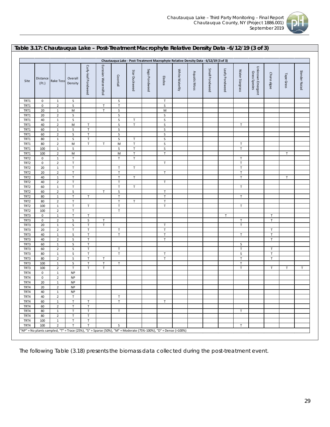

### **Table 3.17: Chautauqua Lake – Post-Treatment Macrophyte Relative Density Data -6/12/19 (3 of 3)**

|                  |                         |                                |                            |                            |                       |                       |               | Chautauqua Lake - Post-Treatment Macrophyte Relative Density Data - 6/12/19 (3 of 3) |                            |                 |              |                |                |                  |                                   |              |             |               |
|------------------|-------------------------|--------------------------------|----------------------------|----------------------------|-----------------------|-----------------------|---------------|--------------------------------------------------------------------------------------|----------------------------|-----------------|--------------|----------------|----------------|------------------|-----------------------------------|--------------|-------------|---------------|
| Site             | Distance<br>$($ Ft. $)$ | <b>Rake Toss</b>               | Overall<br>Density         | Curly-leaf Pondweed        | Eurasian Watermilfoil | Coontail              | Star Duckweed | Sago Pondweed                                                                        | Elodea                     | White Waterlily | Aquatic Moss | Small Pondweed | Leafy Pondweed | Water Stargrass  | Unknown Emergent<br>Grass Species | Chara algae  | Tape Grass  | Slender Naiad |
| TRT1             | 0                       | $\mathbf{1}$                   | S                          |                            |                       | S                     |               |                                                                                      | $\mathsf T$                |                 |              |                |                |                  |                                   |              |             |               |
| TRT1             | 0                       | $\overline{2}$                 | $\sf S$                    |                            | $\mathsf T$           | $\mathsf T$           |               |                                                                                      | S                          |                 |              |                |                |                  |                                   |              |             |               |
| TRT1             | 20                      | $\mathbf{1}$                   | М                          |                            | $\mathsf T$           | S                     |               |                                                                                      | M                          |                 |              |                |                |                  |                                   |              |             |               |
| TRT1             | 20                      | $\overline{2}$                 | $\mathsf S$                |                            |                       | S                     |               |                                                                                      | S                          |                 |              |                |                |                  |                                   |              |             |               |
| TRT1             | 40                      | $\mathbf{1}$                   | $\sf S$                    |                            |                       | $\sf S$               | T             |                                                                                      | S                          |                 |              |                |                |                  |                                   |              |             |               |
| TRT1             | 40                      | $\mathbf 2$                    | M                          | $\mathsf T$                |                       | S                     | $\mathsf T$   |                                                                                      | S                          |                 |              |                |                | Τ                |                                   |              |             |               |
| TRT1             | 60                      | $\mathbf{1}$                   | $\sf S$                    | $\mathsf T$                |                       | S                     |               |                                                                                      | S<br>S                     |                 |              |                |                |                  |                                   |              |             |               |
| TRT1<br>TRT1     | 60<br>80                | $\overline{2}$<br>$\mathbf{1}$ | $\sf S$<br>$\sf S$         | $\mathsf T$<br>$\mathsf T$ |                       | $\mathsf S$<br>S      | $\mathsf T$   |                                                                                      | $\mathsf S$                |                 |              |                |                |                  |                                   |              |             |               |
| TRT1             | 80                      | $\overline{2}$                 | M                          | $\mathsf T$                | $\mathsf T$           | M                     | $\mathsf T$   |                                                                                      | S                          |                 |              |                |                | Τ                |                                   |              |             |               |
| TRT1             | 100                     | $\mathbf{1}$                   | $\sf S$                    |                            |                       | S                     | $\mathsf T$   |                                                                                      | $\sf S$                    |                 |              |                |                | $\mathsf T$      |                                   |              |             |               |
| TRT1             | 100                     | $\overline{2}$                 | M                          |                            |                       | M                     | $\mathsf T$   |                                                                                      | $\top$                     |                 |              |                |                |                  |                                   |              | $\mathsf T$ |               |
| TRT2             | 0                       | $\mathbf{1}$                   | $\mathsf T$                |                            |                       | $\mathsf T$           | $\mathsf T$   |                                                                                      |                            |                 |              |                |                | $\mathsf T$      |                                   |              |             |               |
| TRT <sub>2</sub> | $\pmb{0}$               | $\overline{2}$                 | $\top$                     |                            |                       |                       |               |                                                                                      | $\top$                     |                 |              |                |                | $\mathsf T$      |                                   |              |             |               |
| TRT <sub>2</sub> | 20                      | $\mathbf{1}$                   | $\mathsf T$                |                            |                       | $\mathsf T$           | T             |                                                                                      |                            |                 |              |                |                | $\mathsf T$      |                                   |              |             |               |
| TRT <sub>2</sub> | 20                      | $\overline{2}$                 | $\mathsf T$                |                            |                       | $\mathsf T$           |               |                                                                                      | $\mathsf{T}$               |                 |              |                |                | $\mathsf T$      |                                   |              |             |               |
| TRT2             | 40                      | $\mathbf{1}$                   | $\mathsf T$                |                            |                       | $\mathsf T$           | $\mathsf{T}$  |                                                                                      |                            |                 |              |                |                | $\mathsf T$      |                                   |              | T           |               |
| TRT2             | 40                      | $\overline{2}$                 | $\top$                     |                            |                       | $\top$                |               |                                                                                      | T                          |                 |              |                |                |                  |                                   |              |             |               |
| TRT2             | 60                      | 1                              | $\mathsf T$                |                            |                       | $\mathsf T$           | T             |                                                                                      |                            |                 |              |                |                | T                |                                   |              |             |               |
| TRT2             | 60                      | $\overline{2}$                 | S                          |                            | $\mathsf T$           | S                     |               |                                                                                      | $\mathsf{T}$               |                 |              |                |                |                  |                                   |              |             |               |
| TRT2<br>TRT2     | 80<br>80                | $\mathbf{1}$<br>$\overline{2}$ | $\mathsf T$<br>$\mathsf T$ | $\mathsf T$                |                       | $\mathsf T$<br>$\top$ | $\mathsf T$   |                                                                                      | $\mathsf T$<br>$\mathsf T$ |                 |              |                |                | T                |                                   |              |             |               |
| TRT2             | 100                     | $\mathbf{1}$                   | Т                          | Τ                          |                       | $\mathsf T$           |               |                                                                                      | $\mathsf{T}$               |                 |              |                |                | T                |                                   |              |             |               |
| TRT2             | 100                     | $\overline{2}$                 | $\mathsf T$                |                            |                       | $\top$                |               |                                                                                      |                            |                 |              |                |                |                  |                                   |              |             |               |
| TRT3             | 0                       | $\mathbf{1}$                   | $\mathsf T$                | $\mathsf{T}$               |                       |                       |               |                                                                                      |                            |                 |              |                | T.             |                  |                                   | $\mathsf{T}$ |             |               |
| TRT3             | 0                       | $\overline{2}$                 | $\sf S$                    | S                          | Т                     |                       |               |                                                                                      |                            |                 |              |                |                | Τ                |                                   | $\mathsf T$  |             |               |
| TRT3             | 20                      | $\mathbf{1}$                   | $\sf S$                    | T                          | $\mathsf{T}$          |                       |               |                                                                                      | $\mathsf{T}$               |                 |              |                |                | T                |                                   |              |             |               |
| TRT3             | 20                      | $\overline{2}$                 | $\mathsf T$                | $\mathsf T$                |                       | $\mathsf T$           |               |                                                                                      | $\mathsf{T}$               |                 |              |                |                |                  |                                   | $\mathsf{T}$ |             |               |
| TRT3             | 40                      | $\mathbf{1}$                   | $\sf S$                    | $\mathsf T$                |                       | $\mathsf T$           |               |                                                                                      | $\mathsf{T}$               |                 |              |                |                | $\mathsf T$      |                                   | $\mathsf T$  |             |               |
| TRT3             | 40                      | $\mathbf 2$                    | $\sf S$                    | $\mathsf T$                |                       |                       |               |                                                                                      | $\mathsf T$                |                 |              |                |                |                  |                                   | $\mathsf{T}$ |             |               |
| TRT3<br>TRT3     | 60<br>60                | $\mathbf{1}$<br>$\overline{2}$ | $\sf S$<br>$\sf S$         | $\mathsf T$<br>$\mathsf T$ |                       |                       |               |                                                                                      |                            |                 |              |                |                | S<br>$\mathsf T$ |                                   | $\mathsf{T}$ |             |               |
| TRT3             | 80                      | $\mathbf{1}$                   | $\sf S$                    | $\mathsf T$                |                       | $\sf T$<br>$\top$     |               |                                                                                      | $\mathsf T$                |                 |              |                |                | S                |                                   | $\mathsf T$  |             |               |
| TRT3             | 80                      | $\overline{2}$                 | $\sf S$                    | $\mathsf T$                | Т                     |                       |               |                                                                                      | $\mathsf T$                |                 |              |                |                | $\mathsf T$      |                                   | $\mathsf{T}$ |             |               |
| TRT3             | 100                     | $\mathbf{1}$                   | $\sf S$                    | $\mathsf T$                | $\top$                | $\mathsf T$           |               |                                                                                      |                            |                 |              |                |                | $\mathsf T$      |                                   |              |             |               |
| TRT3             | 100                     | $\overline{2}$                 | $\mathsf T$                | $\mathsf T$                | $\mathsf T$           |                       |               |                                                                                      |                            |                 |              |                |                | $\mathsf T$      |                                   | $\mathsf{T}$ | $\mathsf T$ | $\mathsf T$   |
| TRT4             | 0                       | $\mathbf{1}$                   | <b>NP</b>                  |                            |                       |                       |               |                                                                                      |                            |                 |              |                |                |                  |                                   |              |             |               |
| TRT4             | 0                       | $\overline{2}$                 | <b>NP</b>                  |                            |                       |                       |               |                                                                                      |                            |                 |              |                |                |                  |                                   |              |             |               |
| TRT4             | 20                      | $\mathbf{1}$                   | <b>NP</b>                  |                            |                       |                       |               |                                                                                      |                            |                 |              |                |                |                  |                                   |              |             |               |
| TRT4             | 20                      | $\overline{2}$                 | <b>NP</b>                  |                            |                       |                       |               |                                                                                      |                            |                 |              |                |                |                  |                                   |              |             |               |
| TRT4             | 40                      | $\mathbf{1}$                   | <b>NP</b>                  |                            |                       |                       |               |                                                                                      |                            |                 |              |                |                |                  |                                   |              |             |               |
| TRT4             | 40                      | 2                              | т                          |                            |                       | т                     |               |                                                                                      |                            |                 |              |                |                |                  |                                   |              |             |               |
| TRT4<br>TRT4     | 60<br>60                | $\mathbf{1}$<br>$\overline{2}$ | $\mathsf T$<br>T           | T<br>T                     |                       | $\mathsf T$           |               |                                                                                      | $\mathsf T$                |                 |              |                |                |                  |                                   |              |             |               |
| TRT4             | 80                      | $\mathbf 1$                    | $\sf T$                    | $\mathsf T$                |                       | $\mathsf T$           |               |                                                                                      |                            |                 |              |                |                | T                |                                   |              |             |               |
| TRT4             | 80                      | $\overline{2}$                 | $\sf T$                    | $\sf T$                    |                       |                       |               |                                                                                      |                            |                 |              |                |                |                  |                                   |              |             |               |
| TRT4             | 100                     | $\mathbf{1}$                   | $\top$                     | $\sf T$                    |                       |                       |               |                                                                                      |                            |                 |              |                |                |                  |                                   |              |             |               |
| TRT4             | 100                     | $\overline{2}$                 | T                          | T.                         |                       | S                     |               |                                                                                      |                            |                 |              |                |                | T.               |                                   |              |             |               |

The following Table (3.18) presents the biomass data collected during the post-treatment event.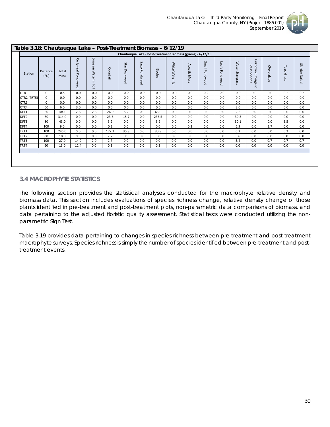

|                  |                          |               |                        |                               |          |                  |                  | Chautauqua Lake - Post-Treatment Biomass (grams) - 6/12/19 |                    |              |                |                   |                 |                                         |             |               |                  |
|------------------|--------------------------|---------------|------------------------|-------------------------------|----------|------------------|------------------|------------------------------------------------------------|--------------------|--------------|----------------|-------------------|-----------------|-----------------------------------------|-------------|---------------|------------------|
| Station          | <b>Distance</b><br>(Ft.) | Total<br>Mass | Curly-leaf<br>Pondweed | Eura<br>nsian<br>Watermilfoil | Coontail | Star<br>Duckweed | Sago<br>Pondweed | Elodea                                                     | White<br>Waterlily | Aquatic Moss | Small Pondweed | Leafy<br>Pondweed | Water Stargrass | Unknown<br>Grass<br>Species<br>Emergent | Chara algae | Tape<br>Grass | Slender<br>Naiad |
| CTR1             | $\mathbf 0$              | 0.5           | 0.0                    | 0.0                           | 0.0      | 0.0              | 0.0              | 0.0                                                        | 0.0                | 0.0          | 0.2            | 0.0               | 0.0             | 0.0                                     | 0.0         | 0.2           | 0.2              |
| CTR2 (TRT5)      | $\mathbf 0$              | 0.0           | 0.0                    | 0.0                           | 0.0      | 0.0              | 0.0              | 0.0                                                        | 0.0                | 0.0          | 0.0            | 0.0               | 0.0             | 0.0                                     | 0.0         | 0.0           | 0.0              |
| CTR <sub>3</sub> | $\Omega$                 | 0.0           | 0.0                    | 0.0                           | 0.0      | 0.0              | 0.0              | 0.0                                                        | 0.0                | 0.0          | 0.0            | 0.0               | 0.0             | 0.0                                     | 0.0         | 0.0           | 0.0              |
| CTR4             | 60                       | 6.0           | 3.0                    | 0.0                           | 0.0      | 0.0              | 0.0              | 0.0                                                        | 0.0                | 0.0          | 0.0            | 0.0               | 3.0             | 0.0                                     | 0.0         | 0.0           | 0.0              |
| DFT1             | 80                       | 104.0         | 2.6                    | 2.6                           | 26.0     | 5.2              | 0.0              | 65.0                                                       | 0.0                | 0.0          | 0.0            | 0.0               | 2.6             | 0.0                                     | 0.0         | 0.0           | 0.0              |
| DFT <sub>2</sub> | 60                       | 314.0         | 0.0                    | 0.0                           | 23.6     | 15.7             | 0.0              | 235.5                                                      | 0.0                | 0.0          | 0.0            | 0.0               | 39.3            | 0.0                                     | 0.0         | 0.0           | 0.0              |
| DFT3             | 80                       | 43.0          | 0.0                    | 0.0                           | 3.2      | 0.0              | 0.0              | 3.2                                                        | 0.0                | 0.0          | 0.0            | 0.0               | 30.1            | 0.0                                     | 0.0         | 6.5           | 0.0              |
| DFT4             | 100                      | 9.0           | 0.0                    | 0.0                           | 0.2      | 0.0              | 0.0              | 0.0                                                        | 0.0                | 0.2          | 0.0            | 0.0               | 5.9             | 0.0                                     | 2.7         | 0.0           | 0.0              |
| TRT1             | 100                      | 246.0         | 0.0                    | 0.0                           | 172.2    | 30.8             | 0.0              | 30.8                                                       | 0.0                | 0.0          | 0.0            | 0.0               | 6.2             | 0.0                                     | 0.0         | 6.2           | 0.0              |
| TRT2             | 80                       | 18.0          | 0.9                    | 0.0                           | 7.7      | 0.9              | 0.0              | 5.0                                                        | 0.0                | 0.0          | 0.0            | 0.0               | 3.6             | 0.0                                     | 0.0         | 0.0           | 0.0              |
| TRT3             | 100                      | 27.0          | 14.9                   | 2.0                           | 2.7      | 0.0              | 0.0              | 0.0                                                        | 0.0                | 0.0          | 0.0            | 0.0               | 5.4             | 0.0                                     | 0.7         | 0.7           | 0.7              |
| TRT4             | 60                       | 13.0          | 12.4                   | 0.0                           | 0.3      | 0.0              | 0.0              | 0.3                                                        | 0.0                | 0.0          | 0.0            | 0.0               | 0.0             | 0.0                                     | 0.0         | 0.0           | 0.0              |

# <span id="page-30-0"></span>*3.4 MACROPHYTE STATISTICS*

The following section provides the statistical analyses conducted for the macrophyte relative density and biomass data. This section includes evaluations of species richness change, relative density change of those plants identified in pre-treatment and post-treatment plots, non-parametric data comparisons of biomass, and data pertaining to the adjusted floristic quality assessment. Statistical tests were conducted utilizing the nonparametric Sign Test.

Table 3.19 provides data pertaining to changes in species richness between pre-treatment and post-treatment macrophyte surveys. Species richness is simply the number of species identified between pre-treatment and posttreatment events.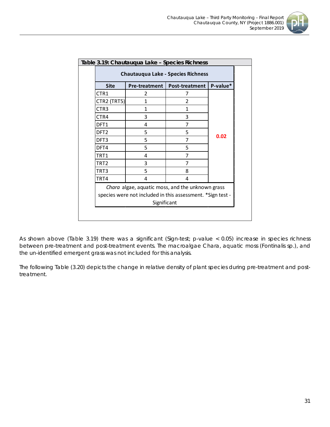

| <b>Site</b>      | <b>Pre-treatment</b> | <b>Post-treatment</b>                            | P-value* |
|------------------|----------------------|--------------------------------------------------|----------|
| CTR1             | 2                    | 7                                                |          |
| CTR2 (TRT5)      | 1                    | 2                                                |          |
| CTR <sub>3</sub> | 1                    | 1                                                |          |
| CTR4             | 3                    | 3                                                |          |
| DFT1             | 4                    | 7                                                |          |
| DFT <sub>2</sub> | 5                    | 5                                                |          |
| DFT3             | 5                    | 7                                                | 0.02     |
| DFT4             | 5                    | 5                                                |          |
| TRT1             | 4                    | 7                                                |          |
| TRT2             | 3                    | 7                                                |          |
| TRT3             | 5                    | 8                                                |          |
| TRT4             | 4                    | 4                                                |          |
|                  |                      | Chara algae, aquatic moss, and the unknown grass |          |

As shown above (Table 3.19) there was a significant (Sign-test; p-value < 0.05) increase in species richness between pre-treatment and post-treatment events. The macroalgae *Chara*, aquatic moss (*Fontinalis* sp.), and the un-identified emergent grass was not included for this analysis.

The following Table (3.20) depicts the change in relative density of plant species during pre-treatment and posttreatment.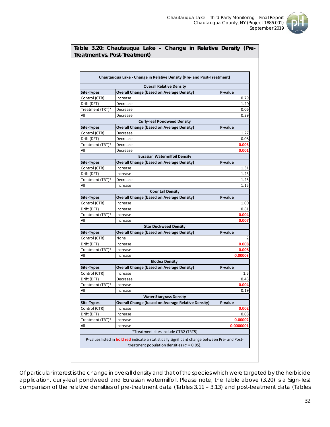

|                         | Table 3.20: Chautauqua Lake - Change in Relative Density (Pre-<br>Treatment vs. Post-Treatment)       |                  |
|-------------------------|-------------------------------------------------------------------------------------------------------|------------------|
|                         |                                                                                                       |                  |
|                         | Chautauqua Lake - Change in Relative Density (Pre- and Post-Treatment)                                |                  |
|                         | <b>Overall Relative Density</b>                                                                       |                  |
| <b>Site-Types</b>       | <b>Overall Change (based on Average Density)</b>                                                      | P-value          |
| Control (CTR)           | Increase                                                                                              | 0.79             |
| Drift (DFT)             | Decrease                                                                                              | 1.20             |
| Treatment (TRT)*        | Decrease                                                                                              | 0.06             |
| All                     | Decrease                                                                                              | 0.39             |
|                         | <b>Curly-leaf Pondweed Density</b>                                                                    |                  |
| Site-Types              | <b>Overall Change (based on Average Density)</b>                                                      | P-value          |
| Control (CTR)           | Decrease                                                                                              | 1.27             |
| Drift (DFT)             | Decrease                                                                                              | 0.08             |
| Treatment (TRT)*        | Decrease                                                                                              | 0.003            |
| All                     | Decrease                                                                                              | 0.001            |
|                         | <b>Eurasian Watermilfoil Density</b>                                                                  |                  |
| <b>Site-Types</b>       | <b>Overall Change (based on Average Density)</b>                                                      | P-value          |
| Control (CTR)           | Increase                                                                                              | 1.31             |
| Drift (DFT)             | Increase                                                                                              | 1.23             |
| Treatment (TRT)*        | Decrease                                                                                              | 1.25             |
| All                     | Increase                                                                                              | 1.15             |
|                         | <b>Coontail Density</b>                                                                               |                  |
| <b>Site-Types</b>       | <b>Overall Change (based on Average Density)</b>                                                      | P-value          |
| Control (CTR)           | Increase                                                                                              | 1.00             |
| Drift (DFT)             | Increase                                                                                              | 0.61             |
| Treatment (TRT)*        | Increase                                                                                              | 0.004            |
| All                     | Increase                                                                                              | 0.007            |
|                         | <b>Star Duckweed Density</b>                                                                          |                  |
| <b>Site-Types</b>       | <b>Overall Change (based on Average Density)</b>                                                      | P-value          |
| Control (CTR)           | None                                                                                                  | 2                |
| Drift (DFT)             | Increase                                                                                              | 0.008            |
| Treatment (TRT)*<br>All | Increase<br>Increase                                                                                  | 0.008<br>0.00003 |
|                         | <b>Elodea Density</b>                                                                                 |                  |
| <b>Site-Types</b>       | <b>Overall Change (based on Average Density)</b>                                                      | P-value          |
| Control (CTR)           | Increase                                                                                              | $1.5\,$          |
| Drift (DFT)             | Decrease                                                                                              | 0.45             |
| Treatment (TRT)*        | Increase                                                                                              | 0.004            |
| All                     | Increase                                                                                              | 0.19             |
|                         | <b>Water Stargrass Density</b>                                                                        |                  |
| <b>Site-Types</b>       | <b>Overall Change (based on Average Relative Density)</b>                                             | P-value          |
| Control (CTR)           | Increase                                                                                              | 0.002            |
| Drift (DFT)             | Increase                                                                                              | 0.08             |
| Treatment (TRT)*        | Increase                                                                                              | 0.00002          |
| All                     | Increase                                                                                              | 0.0000001        |
|                         | *Treatment sites include CTR2 (TRT5)                                                                  |                  |
|                         | P-values listed in <b>bold red</b> indicate a statistically significant change between Pre- and Post- |                  |
|                         | treatment population densities ( $a = 0.05$ ).                                                        |                  |

Of particular interest is the change in overall density and that of the species which were targeted by the herbicide application, curly-leaf pondweed and Eurasian watermilfoil. Please note, the Table above (3.20) is a Sign-Test comparison of the relative densities of pre-treatment data (Tables 3.11 – 3.13) and post-treatment data (Tables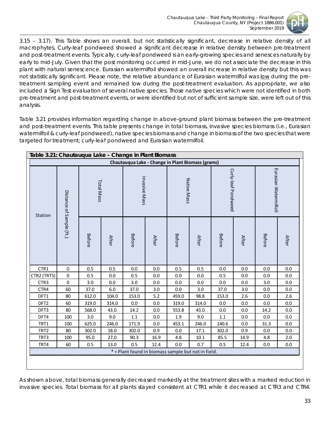

3.15 – 3.17). This Table shows an overall, but not statistically significant, decrease in relative density of all macrophytes. Curly-leaf pondweed showed a significant decrease in relative density between pre-treatment and post-treatment events. Typically, curly-leaf pondweed is an early-growing species and senesces naturally by early to mid-July. Given that the post monitoring occurred in mid-June, we do not associate the decrease in this plant with natural senescence. Eurasian watermilfoil showed an overall increase in relative density but this was not statistically significant. Please note, the relative abundance of Eurasian watermilfoil was low during the pretreatment sampling event and remained low during the post-treatment evaluation. As appropriate, we also included a Sign Test evaluation of several native species. Those native species which were not identified in both pre-treatment and post-treatment events, or were identified but not of sufficient sample size, were left out of this analysis.

Table 3.21 provides information regarding change in above-ground plant biomass between the pre-treatment and post-treatment events. This table presents change in total biomass, invasive species biomass (i.e., Eurasian watermilfoil & curly-leaf pondweed), native species biomass and change in biomass of the two species that were targeted for treatment; curly-leaf pondweed and Eurasian watermilfoil.

| Station          | Distance of Sample (ft.) | Total Mass    |              | Invasive Mass |              | Native Mass                                         |              | Curly-leaf Pondweed |              | Eurasian Watermilfoil |              |
|------------------|--------------------------|---------------|--------------|---------------|--------------|-----------------------------------------------------|--------------|---------------------|--------------|-----------------------|--------------|
|                  |                          | <b>Before</b> | <b>After</b> | <b>Before</b> | <b>After</b> | <b>Before</b>                                       | <b>After</b> | Before              | <b>After</b> | <b>Before</b>         | <b>After</b> |
| CTR1             | $\pmb{0}$                | 0.5           | 0.5          | 0.0           | 0.0          | 0.5                                                 | 0.5          | 0.0                 | 0.0          | 0.0                   | 0.0          |
| CTR2 (TRT5)      | $\pmb{0}$                | 0.5           | 0.0          | 0.5           | $0.0\,$      | 0.0                                                 | 0.0          | 0.5                 | 0.0          | 0.0                   | 0.0          |
| CTR3             | $\boldsymbol{0}$         | 3.0           | 0.0          | 3.0           | 0.0          | 0.0                                                 | 0.0          | 0.0                 | 0.0          | 3.0                   | 0.0          |
| CTR4             | 60                       | 37.0          | 6.0          | 37.0          | 3.0          | 0.0                                                 | 3.0          | 37.0                | 3.0          | 0.0                   | 0.0          |
| DFT1             | 80                       | 612.0         | 104.0        | 153.0         | 5.2          | 459.0                                               | 98.8         | 153.0               | 2.6          | 0.0                   | 2.6          |
| DFT <sub>2</sub> | 60                       | 319.0         | 314.0        | 0.0           | 0.0          | 319.0                                               | 314.0        | 0.0                 | 0.0          | 0.0                   | 0.0          |
| DFT3             | 80                       | 568.0         | 43.0         | 14.2          | 0.0          | 553.8                                               | 43.0         | 0.0                 | 0.0          | 14.2                  | 0.0          |
| DFT4             | 100                      | 3.0           | 9.0          | $1.1\,$       | 0.0          | 1.9                                                 | 9.0          | $1.1\,$             | 0.0          | 0.0                   | 0.0          |
| TRT1             | 100                      | 625.0         | 246.0        | 171.9         | $0.0\,$      | 453.1                                               | 246.0        | 140.6               | 0.0          | 31.3                  | 0.0          |
| TRT <sub>2</sub> | 80                       | 302.0         | 18.0         | 302.0         | 0.9          | 0.0                                                 | 17.1         | 302.0               | 0.9          | 0.0                   | 0.0          |
| TRT3             | 100                      | 95.0          | 27.0         | 90.3          | 16.9         | 4.8                                                 | 10.1         | 85.5                | 14.9         | 4.8                   | 2.0          |
| TRT4             | 60                       | 0.5           | 13.0         | 0.5           | 12.4         | 0.0                                                 | 0.7          | 0.5                 | 12.4         | 0.0                   | 0.0          |
|                  |                          |               |              |               |              | * = Plant found in biomass sample but not in field. |              |                     |              |                       |              |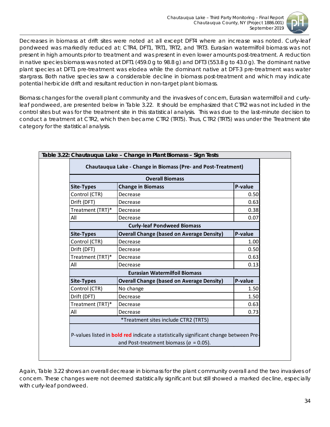

Decreases in biomass at drift sites were noted at all except DFT4 where an increase was noted. Curly-leaf pondweed was markedly reduced at: CTR4, DFT1, TRT1, TRT2, and TRT3. Eurasian watermilfoil biomass was not present in high amounts prior to treatment and was present in even lower amounts post-treatment. A reduction in native species biomass was noted at DFT1 (459.0 g to 98.8 g) and DFT3 (553.8 g to 43.0 g). The dominant native plant species at DFT1 pre-treatment was elodea while the dominant native at DFT-3 pre-treatment was water stargrass. Both native species saw a considerable decline in biomass post-treatment and which may indicate potential herbicide drift and resultant reduction in non-target plant biomass.

Biomass changes for the overall plant community and the invasives of concern, Eurasian watermilfoil and curlyleaf pondweed, are presented below in Table 3.22. It should be emphasized that CTR2 was not included in the control sites but was for the treatment site in this statistical analysis. This was due to the last-minute decision to conduct a treatment at CTR2, which then became CTR2 (TRT5). Thus, CTR2 (TRT5) was under the Treatment site category for the statistical analysis.

|                   | <b>Overall Biomass</b>                                                                                                                    |         |
|-------------------|-------------------------------------------------------------------------------------------------------------------------------------------|---------|
| <b>Site-Types</b> | <b>Change in Biomass</b>                                                                                                                  | P-value |
| Control (CTR)     | Decrease                                                                                                                                  | 0.50    |
| Drift (DFT)       | Decrease                                                                                                                                  | 0.63    |
| Treatment (TRT)*  | Decrease                                                                                                                                  | 0.38    |
| All               | Decrease                                                                                                                                  | 0.07    |
|                   | <b>Curly-leaf Pondweed Biomass</b>                                                                                                        |         |
| <b>Site-Types</b> | <b>Overall Change (based on Average Density)</b>                                                                                          | P-value |
| Control (CTR)     | Decrease                                                                                                                                  | 1.00    |
| Drift (DFT)       | Decrease                                                                                                                                  | 0.50    |
| Treatment (TRT)*  | Decrease                                                                                                                                  | 0.63    |
| All               | Decrease                                                                                                                                  | 0.13    |
|                   | <b>Eurasian Watermilfoil Biomass</b>                                                                                                      |         |
| <b>Site-Types</b> | <b>Overall Change (based on Average Density)</b>                                                                                          | P-value |
| Control (CTR)     | No change                                                                                                                                 | 1.50    |
| Drift (DFT)       | Decrease                                                                                                                                  | 1.50    |
| Treatment (TRT)*  | Decrease                                                                                                                                  | 0.63    |
| All               | Decrease                                                                                                                                  | 0.73    |
|                   | *Treatment sites include CTR2 (TRT5)                                                                                                      |         |
|                   | P-values listed in <b>bold red</b> indicate a statistically significant change between Pre-<br>and Post-treatment biomass ( $a = 0.05$ ). |         |

Again, Table 3.22 shows an overall decrease in biomass for the plant community overall and the two invasives of concern. These changes were not deemed statistically significant but still showed a marked decline, especially with curly-leaf pondweed.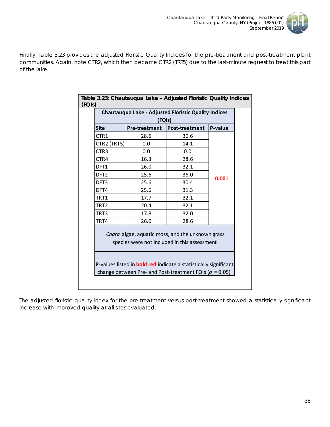

Finally, Table 3.23 provides the adjusted Floristic Quality Indices for the pre-treatment and post-treatment plant communities. Again, note CTR2, which then became CTR2 (TRT5) due to the last-minute request to treat this part of the lake.

|                  | (FQIs)               |                                                                                                                                                                             | P-value |
|------------------|----------------------|-----------------------------------------------------------------------------------------------------------------------------------------------------------------------------|---------|
| <b>Site</b>      | <b>Pre-treatment</b> | Post-treatment                                                                                                                                                              |         |
| CTR1             | 28.6                 | 30.6                                                                                                                                                                        |         |
| CTR2 (TRT5)      | 0.0                  | 14.1                                                                                                                                                                        |         |
| CTR3             | 0.0                  | 0.0                                                                                                                                                                         |         |
| CTR4             | 16.3                 | 28.6                                                                                                                                                                        |         |
| DFT1             | 26.0                 | 32.1                                                                                                                                                                        |         |
| DFT <sub>2</sub> | 25.6                 | 36.0                                                                                                                                                                        |         |
| DFT3             | 25.6                 | 30.4                                                                                                                                                                        | 0.001   |
| DFT4             | 25.6                 | 31.3                                                                                                                                                                        |         |
| TRT1             | 17.7                 | 32.1                                                                                                                                                                        |         |
| TRT2             | 20.4                 | 32.1                                                                                                                                                                        |         |
| TRT3             | 17.8                 | 32.0                                                                                                                                                                        |         |
| TRT4             | 26.0                 | 28.6                                                                                                                                                                        |         |
|                  |                      | Chara algae, aquatic moss, and the unknown grass<br>species were not included in this assessment<br>P-values listed in <b>bold red</b> indicate a statistically significant |         |

The adjusted floristic quality index for the pre-treatment versus post-treatment showed a statistically significant increase with improved quality at all sites evaluated.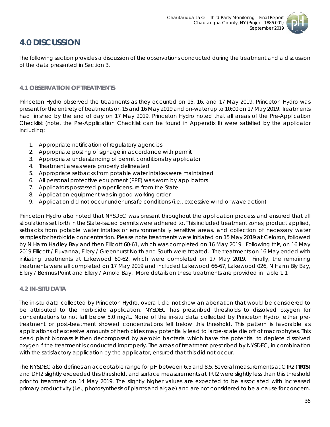

# <span id="page-36-0"></span>**4.0 DISCUSSION**

The following section provides a discussion of the observations conducted during the treatment and a discussion of the data presented in Section 3.

# <span id="page-36-1"></span>*4.1 OBSERVATION OF TREATMENTS*

Princeton Hydro observed the treatments as they occurred on 15, 16, and 17 May 2019. Princeton Hydro was present for the entirety of treatments on 15 and 16 May 2019 and on-water up to 10:00 on 17 May 2019. Treatments had finished by the end of day on 17 May 2019. Princeton Hydro noted that all areas of the Pre-Application Checklist (note, the Pre-Application Checklist can be found in Appendix II) were satisfied by the applicator including:

- 1. Appropriate notification of regulatory agencies
- 2. Appropriate posting of signage in accordance with permit
- 3. Appropriate understanding of permit conditions by applicator
- 4. Treatment areas were properly delineated
- 5. Appropriate setbacks from potable water intakes were maintained
- 6. All personal protective equipment (PPE) was worn by applicators
- 7. Applicators possessed proper licensure from the State
- 8. Application equipment was in good working order
- 9. Application did not occur under unsafe conditions (i.e., excessive wind or wave action)

Princeton Hydro also noted that NYSDEC was present throughout the application process and ensured that all stipulations set forth in the State-issued permits were adhered to. This included treatment zones, product applied, setbacks from potable water intakes or environmentally sensitive areas, and collection of necessary water samples for herbicide concentration. Please note treatments were initiated on 15 May 2019 at Celoron, followed by N Harm Hadley Bay and then Ellicott 60-61, which was completed on 16 May 2019. Following this, on 16 May 2019 Ellicott / Fluvanna, Ellery / Greenhurst North and South were treated. The treatments on 16 May ended with initiating treatments at Lakewood 60-62, which were completed on 17 May 2019. Finally, the remaining treatments were all completed on 17 May 2019 and included Lakewood 66-67, Lakewood 026, N Harm Bly Bay, Ellery / Bermus Point and Ellery / Arnold Bay. More details on these treatments are provided in Table 1.1

# <span id="page-36-2"></span>*4.2 IN-SITU DATA*

The *in-situ* data collected by Princeton Hydro, overall, did not show an aberration that would be considered to be attributed to the herbicide application. NYSDEC has prescribed thresholds to dissolved oxygen for concentrations to not fall below 5.0 mg/L. None of the *in-situ* data collected by Princeton Hydro, either pretreatment or post-treatment showed concentrations fell below this threshold. This pattern is favorable as applications of excessive amounts of herbicides may potentially lead to large-scale die off of macrophytes. This dead plant biomass is then decomposed by aerobic bacteria which have the potential to deplete dissolved oxygen if the treatment is conducted improperly. The areas of treatment prescribed by NYSDEC, in combination with the satisfactory application by the applicator, ensured that this did not occur.

The NYSDEC also defines an acceptable range for pH between 6.5 and 8.5. Several measurements at CTR2 (**TRT5**) and DFT2 slightly exceeded this threshold, and surface measurements at TRT2 were slightly less than this threshold prior to treatment on 14 May 2019. The slightly higher values are expected to be associated with increased primary productivity (i.e., photosynthesis of plants and algae) and are not considered to be a cause for concern.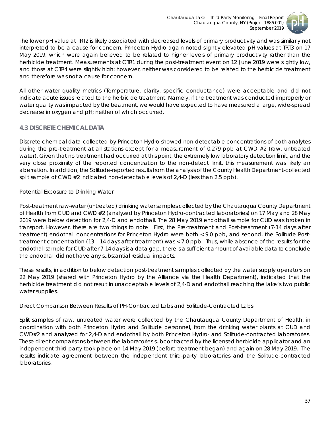

The lower pH value at TRT2 is likely associated with decreased levels of primary productivity and was similarly not interpreted to be a cause for concern. Princeton Hydro again noted slightly elevated pH values at TRT3 on 17 May 2019, which were again believed to be related to higher levels of primary productivity rather than the herbicide treatment. Measurements at CTR1 during the post-treatment event on 12 June 2019 were slightly low, and those at CTR4 were slightly high; however, neither was considered to be related to the herbicide treatment and therefore was not a cause for concern.

All other water quality metrics (Temperature, clarity, specific conductance) were acceptable and did not indicate acute issues related to the herbicide treatment. Namely, if the treatment was conducted improperly or water quality was impacted by the treatment, we would have expected to have measured a large, wide-spread decrease in oxygen and pH; neither of which occurred.

### <span id="page-37-0"></span>*4.3 DISCRETE CHEMICAL DATA*

Discrete chemical data collected by Princeton Hydro showed non-detectable concentrations of both analytes during the pre-treatment at all stations except for a measurement of 0.279 ppb at CWD #2 (raw, untreated water). Given that no treatment had occurred at this point, the extremely low laboratory detection limit, and the very close proximity of the reported concentration to the non-detect limit, this measurement was likely an aberration. In addition, the Solitude-reported results from the analysis of the County Health Department-collected split sample of CWD #2 indicated non-detectable levels of 2,4-D (less than 2.5 ppb).

### *Potential Exposure to Drinking Water*

Post-treatment raw-water (untreated) drinking water samples collected by the Chautauqua County Department of Health from CUD and CWD #2 (analyzed by Princeton Hydro-contracted laboratories) on 17 May and 28 May 2019 were below detection for 2,4-D and endothall. The 28 May 2019 endothall sample for CUD was broken in transport. However, there are two things to note. First, the Pre-treatment and Post-treatment (7-14 days after treatment) endothall concentrations for Princeton Hydro were both < 9.0 ppb, and second, the Solitude Posttreatment concentration (13 – 14 days after treatment) was < 7.0 ppb. Thus, while absence of the results for the endothall sample for CUD after 7-14 days is a data gap, there is a sufficient amount of available data to conclude the endothall did not have any substantial residual impacts.

These results, in addition to below detection post-treatment samples collected by the water supply operators on 22 May 2019 (shared with Princeton Hydro by the Alliance via the Health Department), indicated that the herbicide treatment did not result in unacceptable levels of 2,4-D and endothall reaching the lake's two public water supplies.

### *Direct Comparison Between Results of PH-Contracted Labs and Solitude-Contracted Labs*

Split samples of raw, untreated water were collected by the Chautauqua County Department of Health, in coordination with both Princeton Hydro and Solitude personnel, from the drinking water plants at CUD and CWD#2 and analyzed for 2,4-D and endothall by both Princeton Hydro- and Solitude-contracted laboratories. These direct comparisons between the laboratories subcontracted by the licensed herbicide applicator and an independent third party took place on 14 May 2019 (before treatment began) and again on 28 May 2019. The results indicate agreement between the independent third-party laboratories and the Solitude-contracted laboratories.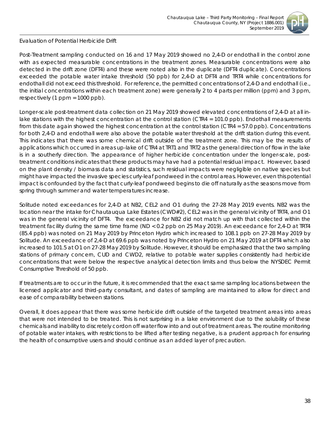

### *Evaluation of Potential Herbicide Drift*

Post-Treatment sampling conducted on 16 and 17 May 2019 showed no 2,4-D or endothall in the control zone with as expected measurable concentrations in the treatment zones. Measurable concentrations were also detected in the drift zone (DFT4) and these were noted also in the duplicate (DFT4 duplicate). Concentrations exceeded the potable water intake threshold (50 ppb) for 2,4-D at DFT4 and TRT4 while concentrations for endothall did not exceed this threshold. For reference, the permitted concentrations of 2,4-D and endothall (i.e., the initial concentrations within each treatment zone) were generally 2 to 4 parts per million (ppm) and 3 ppm, respectively (1 ppm = 1000 ppb).

Longer-scale post-treatment data collection on 21 May 2019 showed elevated concentrations of 2,4-D at all inlake stations with the *highest* concentration at the control station (CTR4 = 101.0 ppb). Endothall measurements from this date again showed the highest concentration at the control station (CTR4 = 57.0 ppb). Concentrations for both 2,4-D and endothall were also above the potable water threshold at the drift station during this event. This indicates that there was some chemical drift outside of the treatment zone. This may be the results of applications which occurred in areas up-lake of CTR4 at TRT1 and TRT2 as the general direction of flow in the lake is in a southerly direction. The appearance of higher herbicide concentration under the longer-scale, posttreatment conditions indicates that these products may have had a potential residual impact. However, based on the plant density / biomass data and statistics, such residual impacts were negligible on native species but might have impacted the invasive species curly-leaf pondweed in the control areas. However, even this potential impact is confounded by the fact that curly-leaf pondweed begins to die off naturally as the seasons move from spring through summer and water temperatures increase.

Solitude noted exceedances for 2,4-D at NB2, CEL2 and O1 during the 27-28 May 2019 events. NB2 was the location near the intake for Chautauqua Lake Estates (CWD#2), CEL2 was in the general vicinity of TRT4, and O1 was in the general vicinity of DFT4. The exceedance for NB2 did not match up with that collected within the treatment facility during the same time frame (ND < 0.2 ppb on 25 May 2019). An exceedance for 2,4-D at TRT4 (85.4 ppb) was noted on 21 May 2019 by Princeton Hydro which increased to 108.1 ppb on 27-28 May 2019 by Solitude. An exceedance of 2,4-D at 69.6 ppb was noted by Princeton Hydro on 21 May 2019 at DFT4 which also increased to 101.5 at O1 on 27-28 May 2019 by Solitude. However, it should be emphasized that the two sampling stations of primary concern, CUD and CWD2, relative to potable water supplies consistently had herbicide concentrations that were below the respective analytical detection limits and thus below the NYSDEC Permit Consumptive Threshold of 50 ppb.

If treatments are to occur in the future, it is recommended that the exact same sampling locations between the licensed applicator and third-party consultant, and dates of sampling are maintained to allow for direct and ease of comparability between stations.

Overall, it does appear that there was some herbicide drift outside of the targeted treatment areas into areas that were not intended to be treated. This is not surprising in a lake environment due to the solubility of these chemicals and inability to discretely cordon off water flow into and out of treatment areas. The routine monitoring of potable water intakes, with restrictions to be lifted after testing negative, is a prudent approach for ensuring the health of consumptive users and should continue as an added layer of precaution.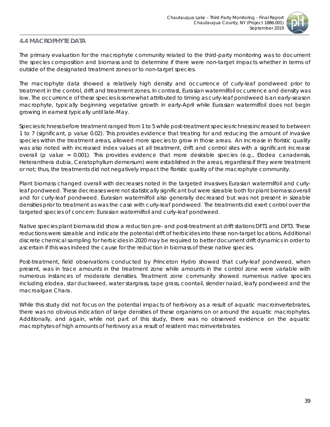

# <span id="page-39-0"></span>*4.4 MACROPHYTE DATA*

The primary evaluation for the macrophyte community related to the third-party monitoring was to document the species composition and biomass and to determine if there were non-target impacts whether in terms of outside of the designated treatment zones or to non-target species.

The macrophyte data showed a relatively high density and occurrence of curly-leaf pondweed prior to treatment in the control, drift and treatment zones. In contrast, Eurasian watermilfoil occurrence and density was low. The occurrence of these species is somewhat attributed to timing as curly-leaf pondweed is an early-season macrophyte, typically beginning vegetative growth in early-April while Eurasian watermilfoil does not begin growing in earnest typically until late-May.

Species richness before treatment ranged from 1 to 5 while post-treatment species richness increased to between 1 to 7 (significant, p value 0.02). This provides evidence that treating for and reducing the amount of invasive species within the treatment areas, allowed more species to grow in those areas. An increase in floristic quality was also noted with increased index values at all treatment, drift and control sites with a significant increase overall (p value = 0.001). This provides evidence that more desirable species (e.g., *Elodea canadensis, Heteranthera dubia, Ceratophyllum demersum*) were established in the areas, regardless if they were treatment or not; thus, the treatments did not negatively impact the floristic quality of the macrophyte community.

Plant biomass changed overall with decreases noted in the targeted invasives Eurasian watermilfoil and curlyleaf pondweed. These decreases were not statistically significant but were sizeable both for plant biomass overall and for curly-leaf pondweed. Eurasian watermilfoil also generally decreased but was not present in sizeable densities prior to treatment as was the case with curly-leaf pondweed. The treatments did exert control over the targeted species of concern: Eurasian watermilfoil and curly-leaf pondweed.

Native species plant biomass did show a reduction pre- and post-treatment at drift stations DFT1 and DFT3. These reductions were sizeable and indicate the potential drift of herbicides into these non-target locations. Additional discrete chemical sampling for herbicides in 2020 may be required to better document drift dynamics in order to ascertain if this was indeed the cause for the reduction in biomass of these native species.

Post-treatment, field observations conducted by Princeton Hydro showed that curly-leaf pondweed, when present, was in trace amounts in the treatment zone while amounts in the control zone were variable with numerous instances of moderate densities. Treatment zone community showed numerous native species including elodea, star duckweed, water stargrass, tape grass, coontail, slender naiad, leafy pondweed and the macroalgae *Chara*.

While this study did not focus on the potential impacts of herbivory as a result of aquatic macroinvertebrates, there was no obvious indication of large densities of these organisms on or around the aquatic macrophytes. Additionally, and again, while not part of this study, there was no observed evidence on the aquatic macrophytes of high amounts of herbivory as a result of resident macroinvertebrates.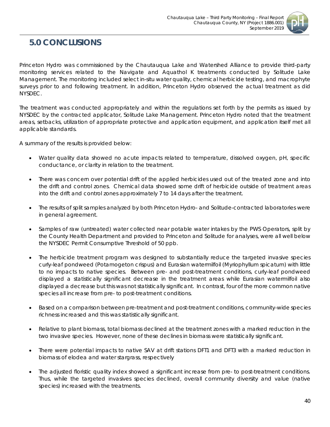

# <span id="page-40-0"></span>**5.0 CONCLUSIONS**

Princeton Hydro was commissioned by the Chautauqua Lake and Watershed Alliance to provide third-party monitoring services related to the Navigate and Aquathol K treatments conducted by Solitude Lake Management. The monitoring included select *in-situ* water quality, chemical herbicide testing, and macrophyte surveys prior to and following treatment. In addition, Princeton Hydro observed the actual treatment as did NYSDEC.

The treatment was conducted appropriately and within the regulations set forth by the permits as issued by NYSDEC by the contracted applicator, Solitude Lake Management. Princeton Hydro noted that the treatment areas, setbacks, utilization of appropriate protective and application equipment, and application itself met all applicable standards.

A summary of the results is provided below:

- Water quality data showed no acute impacts related to temperature, dissolved oxygen, pH, specific conductance, or clarity in relation to the treatment.
- There was concern over potential drift of the applied herbicides used out of the treated zone and into the drift and control zones. Chemical data showed some drift of herbicide outside of treatment areas into the drift and control zones approximately 7 to 14 days after the treatment.
- The results of split samples analyzed by both Princeton Hydro- and Solitude-contracted laboratories were in general agreement.
- Samples of raw (untreated) water collected near potable water intakes by the PWS Operators, split by the County Health Department and provided to Princeton and Solitude for analyses, were all well below the NYSDEC Permit Consumptive Threshold of 50 ppb.
- The herbicide treatment program was designed to substantially reduce the targeted invasive species curly-leaf pondweed (*Potamogeton crispus*) and Eurasian watermilfoil (*Myriophyllum spicatum*) with little to no impacts to native species. Between pre- and post-treatment conditions, curly-leaf pondweed displayed a statistically significant decrease in the treatment areas while Eurasian watermilfoil also displayed a decrease but this was not statistically significant. In contrast, four of the more common native species all increase from pre- to post-treatment conditions.
- Based on a comparison between pre-treatment and post-treatment conditions, community-wide species richness increased and this was statistically significant.
- Relative to plant biomass, total biomass declined at the treatment zones with a marked reduction in the two invasive species. However, none of these declines in biomass were statistically significant.
- There were potential impacts to native SAV at drift stations DFT1 and DFT3 with a marked reduction in biomass of elodea and water stargrass, respectively
- The adjusted floristic quality index showed a significant increase from pre- to post-treatment conditions. Thus, while the targeted invasives species declined, overall community diversity and value (native species) increased with the treatments.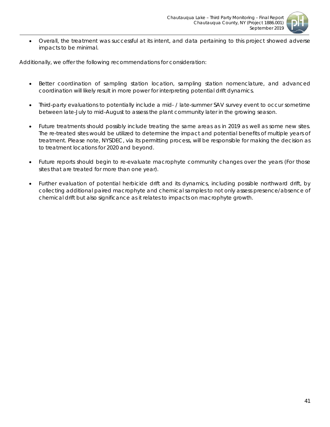

• Overall, the treatment was successful at its intent, and data pertaining to this project showed adverse impacts to be minimal.

Additionally, we offer the following recommendations for consideration:

- Better coordination of sampling station location, sampling station nomenclature, and advanced coordination will likely result in more power for interpreting potential drift dynamics.
- Third-party evaluations to potentially include a mid- / late-summer SAV survey event to occur sometime between late-July to mid-August to assess the plant community later in the growing season.
- Future treatments should possibly include treating the same areas as in 2019 as well as some new sites. The re-treated sites would be utilized to determine the impact and potential benefits of multiple years of treatment. Please note, NYSDEC, via its permitting process, will be responsible for making the decision as to treatment locations for 2020 and beyond.
- Future reports should begin to re-evaluate macrophyte community changes over the years (For those sites that are treated for more than one year).
- Further evaluation of potential herbicide drift and its dynamics, including possible northward drift, by collecting additional paired macrophyte and chemical samples to not only assess presence/absence of chemical drift but also significance as it relates to impacts on macrophyte growth.